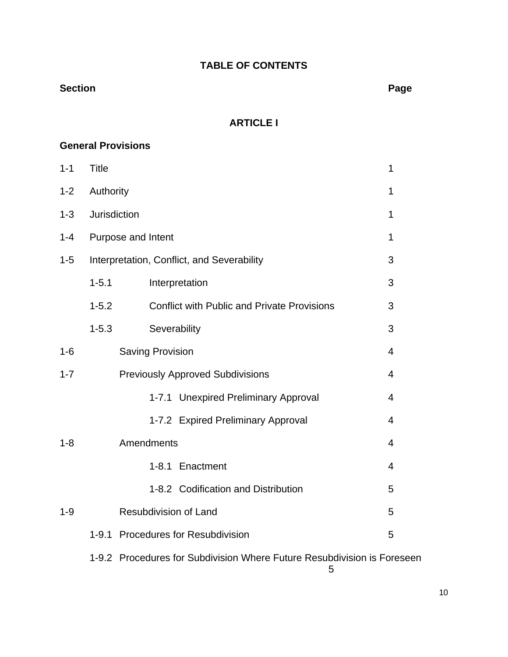# **TABLE OF CONTENTS**

## **Section Page**

# **ARTICLE I**

# **General Provisions**

| $1 - 1$ | <b>Title</b>        |                                                                         | 1              |  |  |  |
|---------|---------------------|-------------------------------------------------------------------------|----------------|--|--|--|
| $1 - 2$ |                     | Authority                                                               |                |  |  |  |
| $1 - 3$ | <b>Jurisdiction</b> |                                                                         | 1              |  |  |  |
| $1 - 4$ |                     | Purpose and Intent                                                      | 1              |  |  |  |
| $1 - 5$ |                     | Interpretation, Conflict, and Severability                              | 3              |  |  |  |
|         | $1 - 5.1$           | Interpretation                                                          | 3              |  |  |  |
|         | $1 - 5.2$           | <b>Conflict with Public and Private Provisions</b>                      | 3              |  |  |  |
|         | $1 - 5.3$           | Severability                                                            | 3              |  |  |  |
| $1 - 6$ |                     | <b>Saving Provision</b>                                                 | 4              |  |  |  |
| $1 - 7$ |                     | <b>Previously Approved Subdivisions</b>                                 | 4              |  |  |  |
|         |                     | 1-7.1 Unexpired Preliminary Approval                                    | $\overline{4}$ |  |  |  |
|         |                     | 1-7.2 Expired Preliminary Approval                                      | $\overline{4}$ |  |  |  |
| $1 - 8$ |                     | Amendments                                                              | 4              |  |  |  |
|         |                     | 1-8.1 Enactment                                                         | 4              |  |  |  |
|         |                     | 1-8.2 Codification and Distribution                                     | 5              |  |  |  |
| $1 - 9$ |                     | <b>Resubdivision of Land</b>                                            | 5              |  |  |  |
|         | $1 - 9.1$           | <b>Procedures for Resubdivision</b>                                     | 5              |  |  |  |
|         |                     | 1-9.2 Procedures for Subdivision Where Future Resubdivision is Foreseen |                |  |  |  |

 $\sim$  5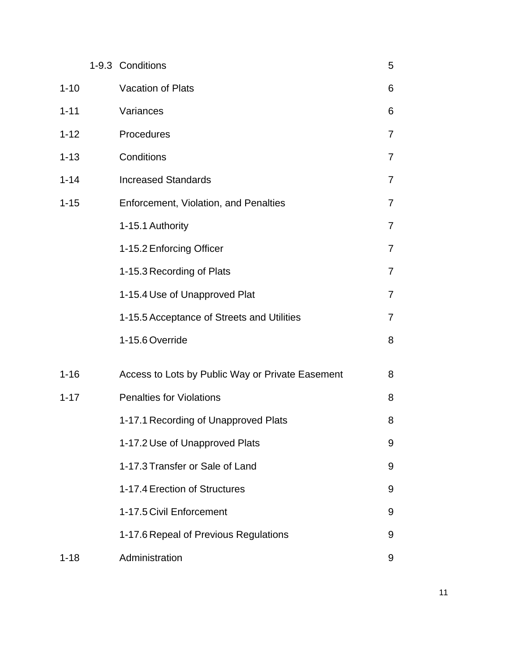|          | 1-9.3 Conditions                                 | 5              |
|----------|--------------------------------------------------|----------------|
| $1 - 10$ | Vacation of Plats                                | 6              |
| $1 - 11$ | Variances                                        | 6              |
| $1 - 12$ | Procedures                                       | $\overline{7}$ |
| $1 - 13$ | Conditions                                       | $\overline{7}$ |
| $1 - 14$ | <b>Increased Standards</b>                       | $\overline{7}$ |
| $1 - 15$ | Enforcement, Violation, and Penalties            | $\overline{7}$ |
|          | 1-15.1 Authority                                 | $\overline{7}$ |
|          | 1-15.2 Enforcing Officer                         | $\overline{7}$ |
|          | 1-15.3 Recording of Plats                        | $\overline{7}$ |
|          | 1-15.4 Use of Unapproved Plat                    | $\overline{7}$ |
|          | 1-15.5 Acceptance of Streets and Utilities       | $\overline{7}$ |
|          | 1-15.6 Override                                  | 8              |
| $1 - 16$ | Access to Lots by Public Way or Private Easement | 8              |
| $1 - 17$ | <b>Penalties for Violations</b>                  | 8              |
|          | 1-17.1 Recording of Unapproved Plats             | 8              |
|          | 1-17.2 Use of Unapproved Plats                   | 9              |
|          | 1-17.3 Transfer or Sale of Land                  | 9              |
|          | 1-17.4 Erection of Structures                    | 9              |
|          | 1-17.5 Civil Enforcement                         | 9              |
|          | 1-17.6 Repeal of Previous Regulations            | 9              |
| $1 - 18$ | Administration                                   | 9              |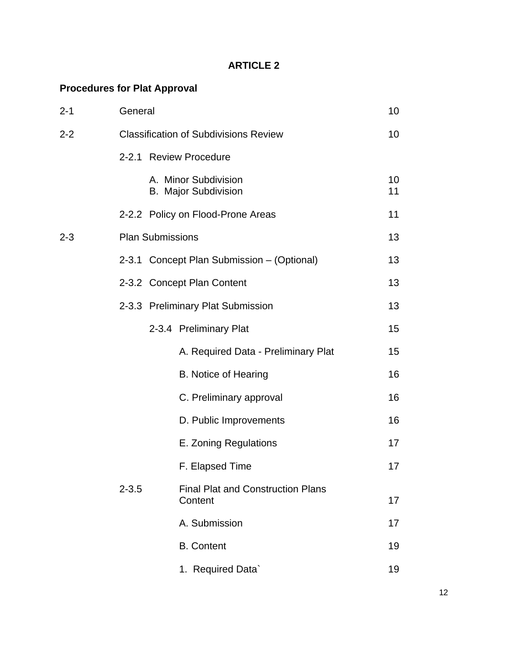# **ARTICLE 2**

# **Procedures for Plat Approval**

| $2 - 1$ | General                 |                                                     |          |  |
|---------|-------------------------|-----------------------------------------------------|----------|--|
| $2 - 2$ |                         | <b>Classification of Subdivisions Review</b>        | 10       |  |
|         |                         | 2-2.1 Review Procedure                              |          |  |
|         |                         | A. Minor Subdivision<br><b>B. Major Subdivision</b> | 10<br>11 |  |
|         |                         | 2-2.2 Policy on Flood-Prone Areas                   | 11       |  |
| $2 - 3$ | <b>Plan Submissions</b> |                                                     | 13       |  |
|         |                         | 2-3.1 Concept Plan Submission – (Optional)          | 13       |  |
|         |                         | 2-3.2 Concept Plan Content                          | 13       |  |
|         |                         | 2-3.3 Preliminary Plat Submission                   | 13       |  |
|         |                         | 2-3.4 Preliminary Plat                              | 15       |  |
|         |                         | A. Required Data - Preliminary Plat                 | 15       |  |
|         |                         | B. Notice of Hearing                                | 16       |  |
|         |                         | C. Preliminary approval                             | 16       |  |
|         |                         | D. Public Improvements                              | 16       |  |
|         |                         | E. Zoning Regulations                               | 17       |  |
|         |                         | F. Elapsed Time                                     | 17       |  |
|         | $2 - 3.5$               | <b>Final Plat and Construction Plans</b><br>Content | 17       |  |
|         |                         | A. Submission                                       | 17       |  |
|         |                         | <b>B.</b> Content                                   | 19       |  |
|         |                         | 1. Required Data`                                   | 19       |  |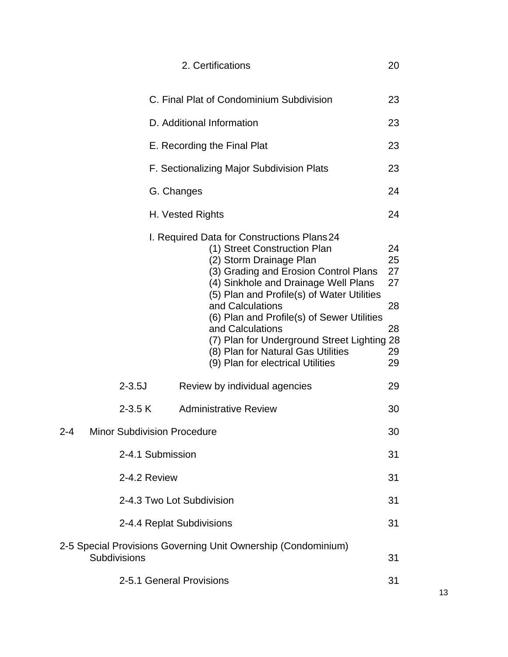|     |                                    | 2. Certifications                                                                                                                                                                                                                                                                                                                                                                                                                                     | 20                                           |
|-----|------------------------------------|-------------------------------------------------------------------------------------------------------------------------------------------------------------------------------------------------------------------------------------------------------------------------------------------------------------------------------------------------------------------------------------------------------------------------------------------------------|----------------------------------------------|
|     |                                    | C. Final Plat of Condominium Subdivision                                                                                                                                                                                                                                                                                                                                                                                                              | 23                                           |
|     |                                    | D. Additional Information                                                                                                                                                                                                                                                                                                                                                                                                                             | 23                                           |
|     |                                    | E. Recording the Final Plat                                                                                                                                                                                                                                                                                                                                                                                                                           | 23                                           |
|     |                                    | F. Sectionalizing Major Subdivision Plats                                                                                                                                                                                                                                                                                                                                                                                                             | 23                                           |
|     | G. Changes                         |                                                                                                                                                                                                                                                                                                                                                                                                                                                       | 24                                           |
|     |                                    | H. Vested Rights                                                                                                                                                                                                                                                                                                                                                                                                                                      | 24                                           |
|     |                                    | I. Required Data for Constructions Plans 24<br>(1) Street Construction Plan<br>(2) Storm Drainage Plan<br>(3) Grading and Erosion Control Plans<br>(4) Sinkhole and Drainage Well Plans<br>(5) Plan and Profile(s) of Water Utilities<br>and Calculations<br>(6) Plan and Profile(s) of Sewer Utilities<br>and Calculations<br>(7) Plan for Underground Street Lighting 28<br>(8) Plan for Natural Gas Utilities<br>(9) Plan for electrical Utilities | 24<br>25<br>27<br>27<br>28<br>28<br>29<br>29 |
|     | $2 - 3.5J$                         | Review by individual agencies                                                                                                                                                                                                                                                                                                                                                                                                                         | 29                                           |
|     | $2 - 3.5 K$                        | <b>Administrative Review</b>                                                                                                                                                                                                                                                                                                                                                                                                                          | 30                                           |
| 2-4 | <b>Minor Subdivision Procedure</b> |                                                                                                                                                                                                                                                                                                                                                                                                                                                       | 30                                           |
|     | 2-4.1 Submission                   |                                                                                                                                                                                                                                                                                                                                                                                                                                                       | 31                                           |
|     | 2-4.2 Review                       |                                                                                                                                                                                                                                                                                                                                                                                                                                                       | 31                                           |
|     |                                    | 2-4.3 Two Lot Subdivision                                                                                                                                                                                                                                                                                                                                                                                                                             | 31                                           |
|     | 2-4.4 Replat Subdivisions          |                                                                                                                                                                                                                                                                                                                                                                                                                                                       | 31                                           |
|     | Subdivisions                       | 2-5 Special Provisions Governing Unit Ownership (Condominium)                                                                                                                                                                                                                                                                                                                                                                                         | 31                                           |
|     | 2-5.1 General Provisions           |                                                                                                                                                                                                                                                                                                                                                                                                                                                       | 31                                           |

13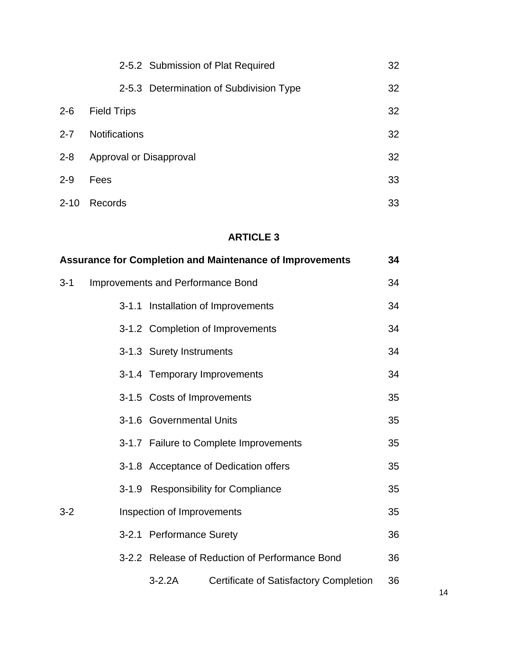|          | 2-5.2 Submission of Plat Required       | 32              |
|----------|-----------------------------------------|-----------------|
|          | 2-5.3 Determination of Subdivision Type | 32 <sub>2</sub> |
| $2 - 6$  | <b>Field Trips</b>                      | 32              |
| $2 - 7$  | <b>Notifications</b>                    | 32              |
| $2 - 8$  | Approval or Disapproval                 | 32              |
| $2 - 9$  | Fees                                    | 33              |
| $2 - 10$ | Records                                 | 33              |

# **ARTICLE 3**

| <b>Assurance for Completion and Maintenance of Improvements</b> |                                   |                             |                                                |    |
|-----------------------------------------------------------------|-----------------------------------|-----------------------------|------------------------------------------------|----|
| $3 - 1$                                                         | Improvements and Performance Bond |                             |                                                |    |
|                                                                 |                                   |                             | 3-1.1 Installation of Improvements             | 34 |
|                                                                 |                                   |                             | 3-1.2 Completion of Improvements               | 34 |
|                                                                 |                                   | 3-1.3 Surety Instruments    |                                                | 34 |
|                                                                 |                                   |                             | 3-1.4 Temporary Improvements                   | 34 |
|                                                                 |                                   | 3-1.5 Costs of Improvements |                                                | 35 |
|                                                                 |                                   | 3-1.6 Governmental Units    |                                                | 35 |
|                                                                 |                                   |                             | 3-1.7 Failure to Complete Improvements         | 35 |
|                                                                 |                                   |                             | 3-1.8 Acceptance of Dedication offers          | 35 |
|                                                                 |                                   |                             | 3-1.9 Responsibility for Compliance            | 35 |
| $3 - 2$                                                         |                                   | Inspection of Improvements  |                                                | 35 |
|                                                                 |                                   | 3-2.1 Performance Surety    |                                                | 36 |
|                                                                 |                                   |                             | 3-2.2 Release of Reduction of Performance Bond | 36 |
|                                                                 |                                   | $3-2.2A$                    | <b>Certificate of Satisfactory Completion</b>  | 36 |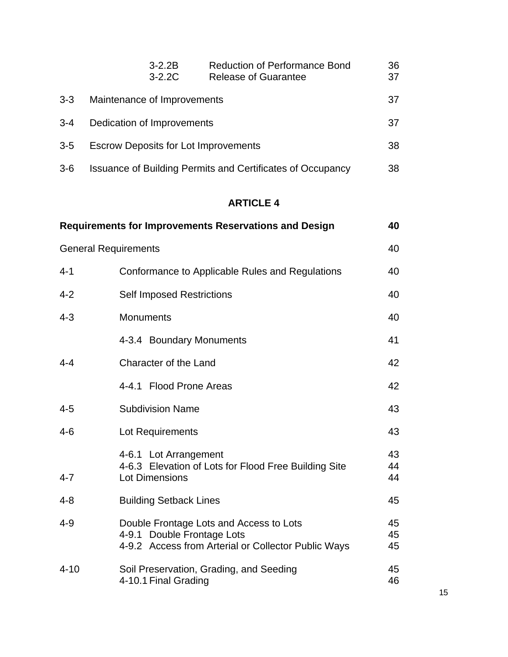|         | $3 - 2.2B$<br>$3 - 2.2C$                    | <b>Reduction of Performance Bond</b><br><b>Release of Guarantee</b> | 36<br>37 |
|---------|---------------------------------------------|---------------------------------------------------------------------|----------|
| $3 - 3$ | Maintenance of Improvements                 |                                                                     | 37       |
| $3 - 4$ | Dedication of Improvements                  |                                                                     |          |
| $3 - 5$ | <b>Escrow Deposits for Lot Improvements</b> |                                                                     | 38       |
| $3-6$   |                                             | Issuance of Building Permits and Certificates of Occupancy          | 38       |

# **ARTICLE 4**

|                             | <b>Requirements for Improvements Reservations and Design</b>                                                                 | 40             |
|-----------------------------|------------------------------------------------------------------------------------------------------------------------------|----------------|
| <b>General Requirements</b> |                                                                                                                              | 40             |
| $4 - 1$                     | Conformance to Applicable Rules and Regulations                                                                              | 40             |
| $4 - 2$                     | <b>Self Imposed Restrictions</b>                                                                                             | 40             |
| $4 - 3$                     | <b>Monuments</b>                                                                                                             | 40             |
|                             | 4-3.4 Boundary Monuments                                                                                                     | 41             |
| $4 - 4$                     | Character of the Land                                                                                                        | 42             |
|                             | 4-4.1 Flood Prone Areas                                                                                                      | 42             |
| $4 - 5$                     | <b>Subdivision Name</b>                                                                                                      | 43             |
| $4 - 6$                     | Lot Requirements                                                                                                             | 43             |
| $4 - 7$                     | 4-6.1 Lot Arrangement<br>4-6.3 Elevation of Lots for Flood Free Building Site<br><b>Lot Dimensions</b>                       | 43<br>44<br>44 |
| $4 - 8$                     | <b>Building Setback Lines</b>                                                                                                | 45             |
| $4 - 9$                     | Double Frontage Lots and Access to Lots<br>4-9.1 Double Frontage Lots<br>4-9.2 Access from Arterial or Collector Public Ways | 45<br>45<br>45 |
| $4 - 10$                    | Soil Preservation, Grading, and Seeding<br>4-10.1 Final Grading                                                              | 45<br>46       |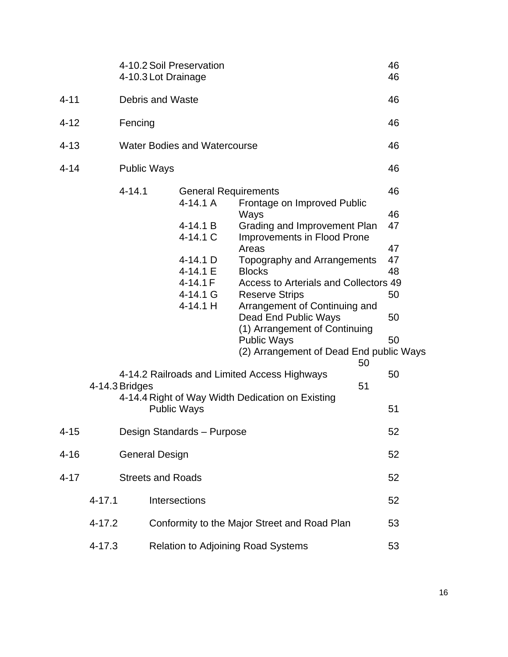|          |                | 4-10.2 Soil Preservation<br>4-10.3 Lot Drainage |                                                                                    |                                                                                                                                                                                                                                                                                                                                                         | 46<br>46                         |
|----------|----------------|-------------------------------------------------|------------------------------------------------------------------------------------|---------------------------------------------------------------------------------------------------------------------------------------------------------------------------------------------------------------------------------------------------------------------------------------------------------------------------------------------------------|----------------------------------|
| $4 - 11$ |                | <b>Debris and Waste</b>                         |                                                                                    |                                                                                                                                                                                                                                                                                                                                                         | 46                               |
| $4 - 12$ |                | Fencing                                         |                                                                                    |                                                                                                                                                                                                                                                                                                                                                         | 46                               |
| $4 - 13$ |                |                                                 | <b>Water Bodies and Watercourse</b>                                                |                                                                                                                                                                                                                                                                                                                                                         | 46                               |
| $4 - 14$ |                | <b>Public Ways</b>                              |                                                                                    |                                                                                                                                                                                                                                                                                                                                                         | 46                               |
|          |                | $4 - 14.1$                                      | <b>General Requirements</b><br>$4-14.1A$<br>4-14.1 B                               | Frontage on Improved Public<br>Ways                                                                                                                                                                                                                                                                                                                     | 46<br>46<br>47                   |
|          |                |                                                 | 4-14.1 C<br>$4-14.1$ D<br>$4 - 14.1 E$<br>$4 - 14.1 F$<br>$4 - 14.1$ G<br>4-14.1 H | Grading and Improvement Plan<br>Improvements in Flood Prone<br>Areas<br>Topography and Arrangements<br><b>Blocks</b><br>Access to Arterials and Collectors 49<br><b>Reserve Strips</b><br>Arrangement of Continuing and<br>Dead End Public Ways<br>(1) Arrangement of Continuing<br><b>Public Ways</b><br>(2) Arrangement of Dead End public Ways<br>50 | 47<br>47<br>48<br>50<br>50<br>50 |
|          | 4-14.3 Bridges |                                                 |                                                                                    | 4-14.2 Railroads and Limited Access Highways<br>51<br>4-14.4 Right of Way Width Dedication on Existing                                                                                                                                                                                                                                                  | 50                               |
|          |                | <b>Public Ways</b>                              |                                                                                    |                                                                                                                                                                                                                                                                                                                                                         | 51                               |
| $4 - 15$ |                |                                                 | Design Standards - Purpose                                                         |                                                                                                                                                                                                                                                                                                                                                         | 52                               |
| $4 - 16$ |                | <b>General Design</b>                           |                                                                                    |                                                                                                                                                                                                                                                                                                                                                         | 52                               |
| $4 - 17$ |                | <b>Streets and Roads</b>                        |                                                                                    |                                                                                                                                                                                                                                                                                                                                                         | 52                               |
|          | $4 - 17.1$     | Intersections                                   |                                                                                    |                                                                                                                                                                                                                                                                                                                                                         | 52                               |
|          | $4 - 17.2$     |                                                 |                                                                                    | Conformity to the Major Street and Road Plan                                                                                                                                                                                                                                                                                                            | 53                               |
|          | $4 - 17.3$     |                                                 |                                                                                    | <b>Relation to Adjoining Road Systems</b>                                                                                                                                                                                                                                                                                                               | 53                               |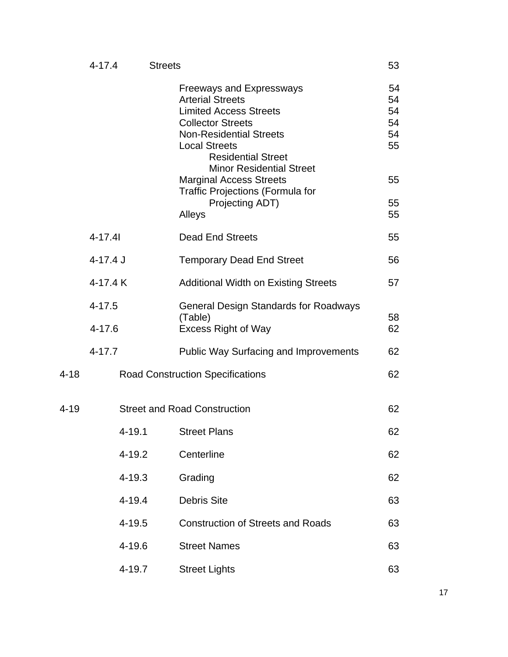|      | $4 - 17.4$               |        | <b>Streets</b> |                                                                                                                                                                                                                                                                                                                                                   | 53                                           |
|------|--------------------------|--------|----------------|---------------------------------------------------------------------------------------------------------------------------------------------------------------------------------------------------------------------------------------------------------------------------------------------------------------------------------------------------|----------------------------------------------|
|      |                          |        |                | <b>Freeways and Expressways</b><br><b>Arterial Streets</b><br><b>Limited Access Streets</b><br><b>Collector Streets</b><br><b>Non-Residential Streets</b><br><b>Local Streets</b><br><b>Residential Street</b><br><b>Minor Residential Street</b><br><b>Marginal Access Streets</b><br><b>Traffic Projections (Formula for</b><br>Projecting ADT) | 54<br>54<br>54<br>54<br>54<br>55<br>55<br>55 |
|      |                          |        |                | Alleys                                                                                                                                                                                                                                                                                                                                            | 55                                           |
|      | $4 - 17.41$              |        |                | <b>Dead End Streets</b>                                                                                                                                                                                                                                                                                                                           | 55                                           |
|      | $4 - 17.4$ J             |        |                | <b>Temporary Dead End Street</b>                                                                                                                                                                                                                                                                                                                  | 56                                           |
|      | 4-17.4 K                 |        |                | <b>Additional Width on Existing Streets</b>                                                                                                                                                                                                                                                                                                       | 57                                           |
|      | $4 - 17.5$<br>$4 - 17.6$ |        |                | <b>General Design Standards for Roadways</b><br>(Table)<br><b>Excess Right of Way</b>                                                                                                                                                                                                                                                             | 58<br>62                                     |
|      | $4 - 17.7$               |        |                | <b>Public Way Surfacing and Improvements</b>                                                                                                                                                                                                                                                                                                      | 62                                           |
| 4-18 |                          |        |                | <b>Road Construction Specifications</b>                                                                                                                                                                                                                                                                                                           | 62                                           |
| 4-19 |                          |        |                | <b>Street and Road Construction</b>                                                                                                                                                                                                                                                                                                               | 62                                           |
|      |                          |        | 4-19.1         | <b>Street Plans</b>                                                                                                                                                                                                                                                                                                                               | 62                                           |
|      |                          | 4-19.2 |                | Centerline                                                                                                                                                                                                                                                                                                                                        | 62                                           |
|      |                          | 4-19.3 |                | Grading                                                                                                                                                                                                                                                                                                                                           | 62                                           |
|      |                          | 4-19.4 |                | <b>Debris Site</b>                                                                                                                                                                                                                                                                                                                                | 63                                           |
|      |                          | 4-19.5 |                | <b>Construction of Streets and Roads</b>                                                                                                                                                                                                                                                                                                          | 63                                           |
|      |                          | 4-19.6 |                | <b>Street Names</b>                                                                                                                                                                                                                                                                                                                               | 63                                           |
|      |                          | 4-19.7 |                | <b>Street Lights</b>                                                                                                                                                                                                                                                                                                                              | 63                                           |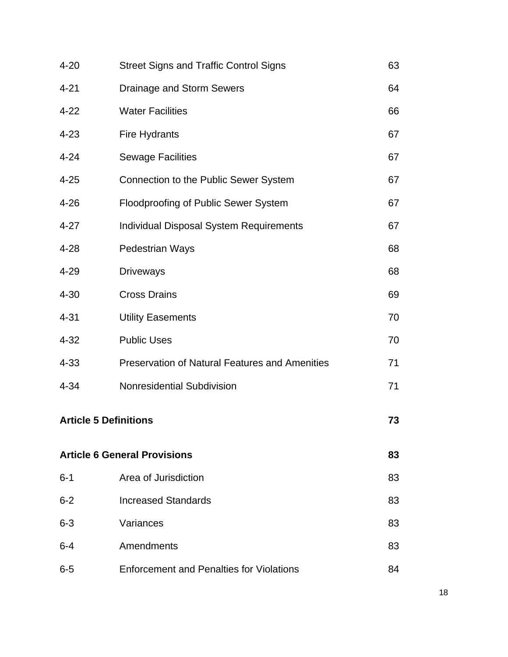| $4 - 20$ | <b>Street Signs and Traffic Control Signs</b>         | 63 |
|----------|-------------------------------------------------------|----|
| $4 - 21$ | Drainage and Storm Sewers                             | 64 |
| $4 - 22$ | <b>Water Facilities</b>                               | 66 |
| $4 - 23$ | Fire Hydrants                                         | 67 |
| $4 - 24$ | <b>Sewage Facilities</b>                              | 67 |
| $4 - 25$ | Connection to the Public Sewer System                 | 67 |
| $4 - 26$ | Floodproofing of Public Sewer System                  | 67 |
| $4 - 27$ | <b>Individual Disposal System Requirements</b>        | 67 |
| $4 - 28$ | <b>Pedestrian Ways</b>                                | 68 |
| $4 - 29$ | <b>Driveways</b>                                      | 68 |
| $4 - 30$ | <b>Cross Drains</b>                                   | 69 |
| $4 - 31$ | <b>Utility Easements</b>                              | 70 |
| $4 - 32$ | <b>Public Uses</b>                                    | 70 |
| $4 - 33$ | <b>Preservation of Natural Features and Amenities</b> | 71 |
| $4 - 34$ | Nonresidential Subdivision                            | 71 |
|          | <b>Article 5 Definitions</b>                          | 73 |
|          | <b>Article 6 General Provisions</b>                   | 83 |
| $6 - 1$  | Area of Jurisdiction                                  | 83 |
| $6 - 2$  | <b>Increased Standards</b>                            | 83 |
| $6 - 3$  | Variances                                             | 83 |
| $6 - 4$  | Amendments                                            | 83 |
| $6-5$    | <b>Enforcement and Penalties for Violations</b>       | 84 |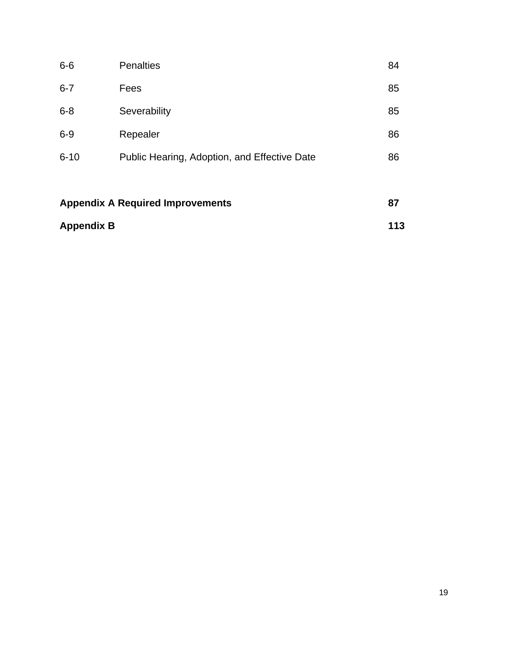| <b>Appendix B</b>                       |                                              |    |
|-----------------------------------------|----------------------------------------------|----|
| <b>Appendix A Required Improvements</b> |                                              |    |
| $6 - 10$                                | Public Hearing, Adoption, and Effective Date | 86 |
| $6-9$                                   | Repealer                                     | 86 |
| $6 - 8$                                 | Severability                                 | 85 |
| $6 - 7$                                 | Fees                                         | 85 |
| $6-6$                                   | <b>Penalties</b>                             | 84 |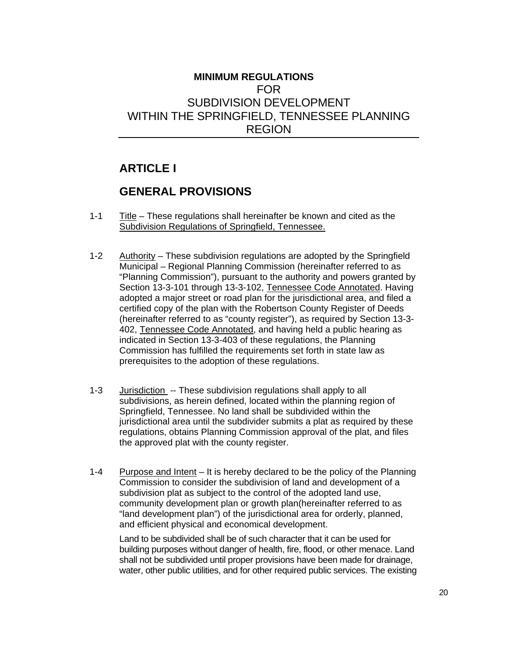# **MINIMUM REGULATIONS**  FOR SUBDIVISION DEVELOPMENT WITHIN THE SPRINGFIELD, TENNESSEE PLANNING REGION

# **ARTICLE I**

# **GENERAL PROVISIONS**

- 1-1 Title These regulations shall hereinafter be known and cited as the Subdivision Regulations of Springfield, Tennessee.
- 1-2 Authority These subdivision regulations are adopted by the Springfield Municipal – Regional Planning Commission (hereinafter referred to as "Planning Commission"), pursuant to the authority and powers granted by Section 13-3-101 through 13-3-102, Tennessee Code Annotated. Having adopted a major street or road plan for the jurisdictional area, and filed a certified copy of the plan with the Robertson County Register of Deeds (hereinafter referred to as "county register"), as required by Section 13-3- 402, Tennessee Code Annotated, and having held a public hearing as indicated in Section 13-3-403 of these regulations, the Planning Commission has fulfilled the requirements set forth in state law as prerequisites to the adoption of these regulations.
- 1-3 Jurisdiction -- These subdivision regulations shall apply to all subdivisions, as herein defined, located within the planning region of Springfield, Tennessee. No land shall be subdivided within the jurisdictional area until the subdivider submits a plat as required by these regulations, obtains Planning Commission approval of the plat, and files the approved plat with the county register.
- 1-4 Purpose and Intent It is hereby declared to be the policy of the Planning Commission to consider the subdivision of land and development of a subdivision plat as subject to the control of the adopted land use, community development plan or growth plan(hereinafter referred to as "land development plan") of the jurisdictional area for orderly, planned, and efficient physical and economical development.

Land to be subdivided shall be of such character that it can be used for building purposes without danger of health, fire, flood, or other menace. Land shall not be subdivided until proper provisions have been made for drainage, water, other public utilities, and for other required public services. The existing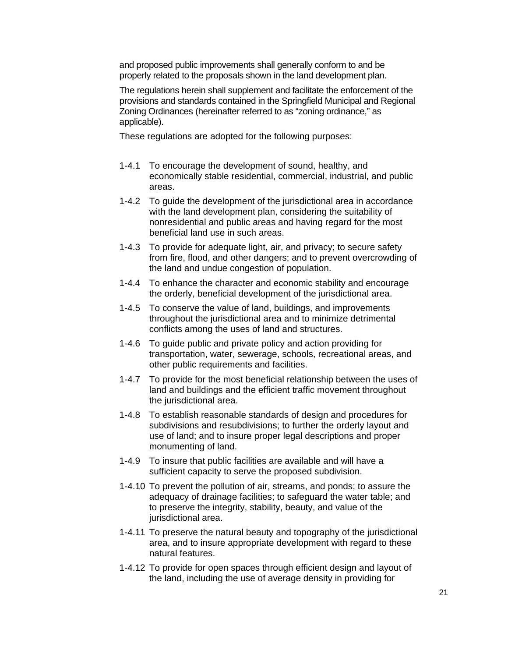and proposed public improvements shall generally conform to and be properly related to the proposals shown in the land development plan.

The regulations herein shall supplement and facilitate the enforcement of the provisions and standards contained in the Springfield Municipal and Regional Zoning Ordinances (hereinafter referred to as "zoning ordinance," as applicable).

These regulations are adopted for the following purposes:

- 1-4.1 To encourage the development of sound, healthy, and economically stable residential, commercial, industrial, and public areas.
- 1-4.2 To guide the development of the jurisdictional area in accordance with the land development plan, considering the suitability of nonresidential and public areas and having regard for the most beneficial land use in such areas.
- 1-4.3 To provide for adequate light, air, and privacy; to secure safety from fire, flood, and other dangers; and to prevent overcrowding of the land and undue congestion of population.
- 1-4.4 To enhance the character and economic stability and encourage the orderly, beneficial development of the jurisdictional area.
- 1-4.5 To conserve the value of land, buildings, and improvements throughout the jurisdictional area and to minimize detrimental conflicts among the uses of land and structures.
- 1-4.6 To guide public and private policy and action providing for transportation, water, sewerage, schools, recreational areas, and other public requirements and facilities.
- 1-4.7 To provide for the most beneficial relationship between the uses of land and buildings and the efficient traffic movement throughout the jurisdictional area.
- 1-4.8 To establish reasonable standards of design and procedures for subdivisions and resubdivisions; to further the orderly layout and use of land; and to insure proper legal descriptions and proper monumenting of land.
- 1-4.9 To insure that public facilities are available and will have a sufficient capacity to serve the proposed subdivision.
- 1-4.10 To prevent the pollution of air, streams, and ponds; to assure the adequacy of drainage facilities; to safeguard the water table; and to preserve the integrity, stability, beauty, and value of the jurisdictional area.
- 1-4.11 To preserve the natural beauty and topography of the jurisdictional area, and to insure appropriate development with regard to these natural features.
- 1-4.12 To provide for open spaces through efficient design and layout of the land, including the use of average density in providing for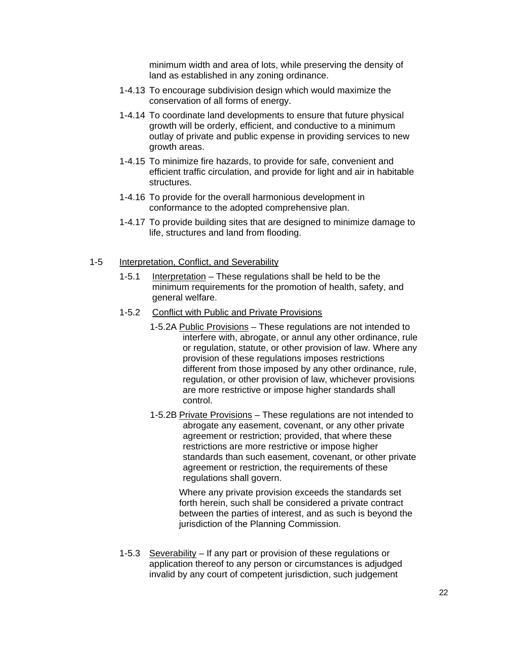minimum width and area of lots, while preserving the density of land as established in any zoning ordinance.

- 1-4.13 To encourage subdivision design which would maximize the conservation of all forms of energy.
- 1-4.14 To coordinate land developments to ensure that future physical growth will be orderly, efficient, and conductive to a minimum outlay of private and public expense in providing services to new growth areas.
- 1-4.15 To minimize fire hazards, to provide for safe, convenient and efficient traffic circulation, and provide for light and air in habitable structures.
- 1-4.16 To provide for the overall harmonious development in conformance to the adopted comprehensive plan.
- 1-4.17 To provide building sites that are designed to minimize damage to life, structures and land from flooding.
- 1-5 Interpretation, Conflict, and Severability
	- 1-5.1 Interpretation These regulations shall be held to be the minimum requirements for the promotion of health, safety, and general welfare.
	- 1-5.2 Conflict with Public and Private Provisions
		- 1-5.2A Public Provisions These regulations are not intended to interfere with, abrogate, or annul any other ordinance, rule or regulation, statute, or other provision of law. Where any provision of these regulations imposes restrictions different from those imposed by any other ordinance, rule, regulation, or other provision of law, whichever provisions are more restrictive or impose higher standards shall control.
		- 1-5.2B Private Provisions These regulations are not intended to abrogate any easement, covenant, or any other private agreement or restriction; provided, that where these restrictions are more restrictive or impose higher standards than such easement, covenant, or other private agreement or restriction, the requirements of these regulations shall govern.

Where any private provision exceeds the standards set forth herein, such shall be considered a private contract between the parties of interest, and as such is beyond the jurisdiction of the Planning Commission.

1-5.3 Severability – If any part or provision of these regulations or application thereof to any person or circumstances is adjudged invalid by any court of competent jurisdiction, such judgement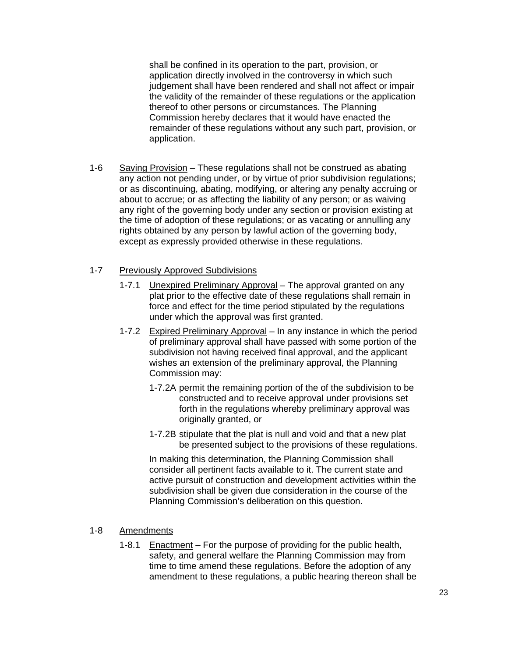shall be confined in its operation to the part, provision, or application directly involved in the controversy in which such judgement shall have been rendered and shall not affect or impair the validity of the remainder of these regulations or the application thereof to other persons or circumstances. The Planning Commission hereby declares that it would have enacted the remainder of these regulations without any such part, provision, or application.

1-6 Saving Provision – These regulations shall not be construed as abating any action not pending under, or by virtue of prior subdivision regulations; or as discontinuing, abating, modifying, or altering any penalty accruing or about to accrue; or as affecting the liability of any person; or as waiving any right of the governing body under any section or provision existing at the time of adoption of these regulations; or as vacating or annulling any rights obtained by any person by lawful action of the governing body, except as expressly provided otherwise in these regulations.

## 1-7 Previously Approved Subdivisions

- 1-7.1 Unexpired Preliminary Approval The approval granted on any plat prior to the effective date of these regulations shall remain in force and effect for the time period stipulated by the regulations under which the approval was first granted.
- 1-7.2 Expired Preliminary Approval In any instance in which the period of preliminary approval shall have passed with some portion of the subdivision not having received final approval, and the applicant wishes an extension of the preliminary approval, the Planning Commission may:
	- 1-7.2A permit the remaining portion of the of the subdivision to be constructed and to receive approval under provisions set forth in the regulations whereby preliminary approval was originally granted, or
	- 1-7.2B stipulate that the plat is null and void and that a new plat be presented subject to the provisions of these regulations.

In making this determination, the Planning Commission shall consider all pertinent facts available to it. The current state and active pursuit of construction and development activities within the subdivision shall be given due consideration in the course of the Planning Commission's deliberation on this question.

## 1-8 Amendments

1-8.1 Enactment – For the purpose of providing for the public health, safety, and general welfare the Planning Commission may from time to time amend these regulations. Before the adoption of any amendment to these regulations, a public hearing thereon shall be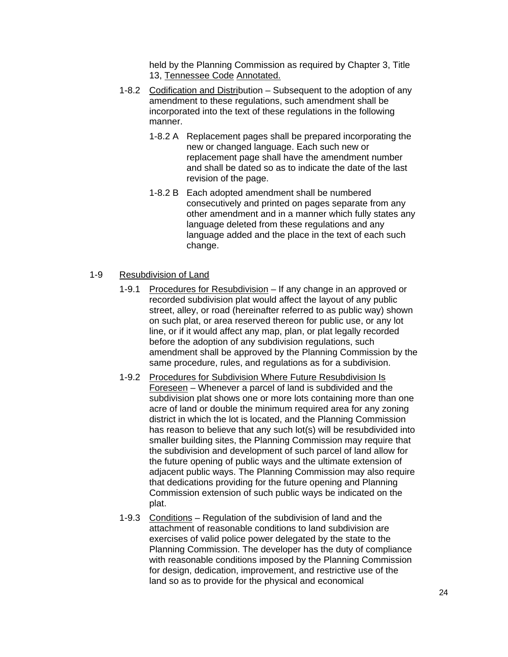held by the Planning Commission as required by Chapter 3, Title 13, Tennessee Code Annotated.

- 1-8.2 Codification and Distribution Subsequent to the adoption of any amendment to these regulations, such amendment shall be incorporated into the text of these regulations in the following manner.
	- 1-8.2 A Replacement pages shall be prepared incorporating the new or changed language. Each such new or replacement page shall have the amendment number and shall be dated so as to indicate the date of the last revision of the page.
	- 1-8.2 B Each adopted amendment shall be numbered consecutively and printed on pages separate from any other amendment and in a manner which fully states any language deleted from these regulations and any language added and the place in the text of each such change.

### 1-9 Resubdivision of Land

- 1-9.1 Procedures for Resubdivision If any change in an approved or recorded subdivision plat would affect the layout of any public street, alley, or road (hereinafter referred to as public way) shown on such plat, or area reserved thereon for public use, or any lot line, or if it would affect any map, plan, or plat legally recorded before the adoption of any subdivision regulations, such amendment shall be approved by the Planning Commission by the same procedure, rules, and regulations as for a subdivision.
- 1-9.2 Procedures for Subdivision Where Future Resubdivision Is Foreseen – Whenever a parcel of land is subdivided and the subdivision plat shows one or more lots containing more than one acre of land or double the minimum required area for any zoning district in which the lot is located, and the Planning Commission has reason to believe that any such lot(s) will be resubdivided into smaller building sites, the Planning Commission may require that the subdivision and development of such parcel of land allow for the future opening of public ways and the ultimate extension of adjacent public ways. The Planning Commission may also require that dedications providing for the future opening and Planning Commission extension of such public ways be indicated on the plat.
- 1-9.3 Conditions Regulation of the subdivision of land and the attachment of reasonable conditions to land subdivision are exercises of valid police power delegated by the state to the Planning Commission. The developer has the duty of compliance with reasonable conditions imposed by the Planning Commission for design, dedication, improvement, and restrictive use of the land so as to provide for the physical and economical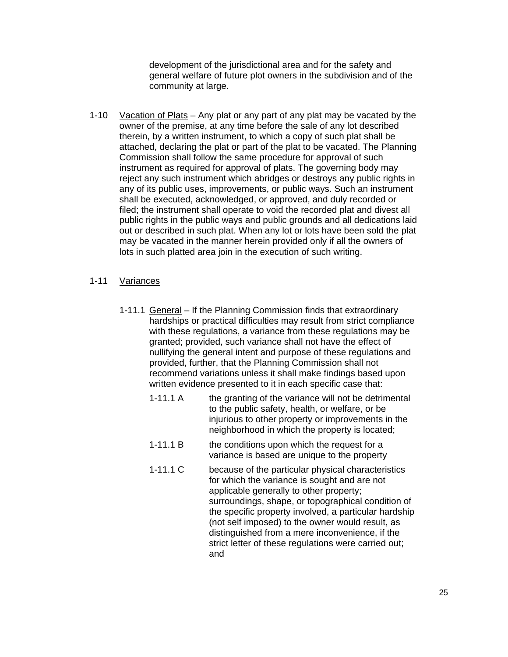development of the jurisdictional area and for the safety and general welfare of future plot owners in the subdivision and of the community at large.

1-10 Vacation of Plats – Any plat or any part of any plat may be vacated by the owner of the premise, at any time before the sale of any lot described therein, by a written instrument, to which a copy of such plat shall be attached, declaring the plat or part of the plat to be vacated. The Planning Commission shall follow the same procedure for approval of such instrument as required for approval of plats. The governing body may reject any such instrument which abridges or destroys any public rights in any of its public uses, improvements, or public ways. Such an instrument shall be executed, acknowledged, or approved, and duly recorded or filed; the instrument shall operate to void the recorded plat and divest all public rights in the public ways and public grounds and all dedications laid out or described in such plat. When any lot or lots have been sold the plat may be vacated in the manner herein provided only if all the owners of lots in such platted area join in the execution of such writing.

## 1-11 Variances

- 1-11.1 General If the Planning Commission finds that extraordinary hardships or practical difficulties may result from strict compliance with these regulations, a variance from these regulations may be granted; provided, such variance shall not have the effect of nullifying the general intent and purpose of these regulations and provided, further, that the Planning Commission shall not recommend variations unless it shall make findings based upon written evidence presented to it in each specific case that:
	- 1-11.1 A the granting of the variance will not be detrimental to the public safety, health, or welfare, or be injurious to other property or improvements in the neighborhood in which the property is located;
	- 1-11.1 B the conditions upon which the request for a variance is based are unique to the property
	- 1-11.1 C because of the particular physical characteristics for which the variance is sought and are not applicable generally to other property; surroundings, shape, or topographical condition of the specific property involved, a particular hardship (not self imposed) to the owner would result, as distinguished from a mere inconvenience, if the strict letter of these regulations were carried out; and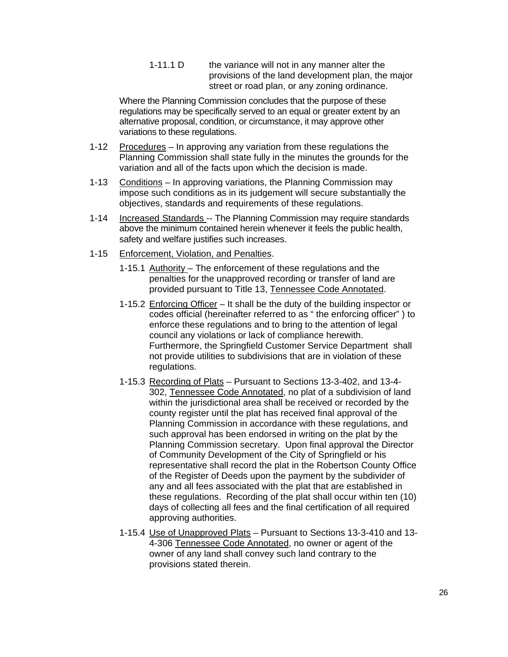1-11.1 D the variance will not in any manner alter the provisions of the land development plan, the major street or road plan, or any zoning ordinance.

Where the Planning Commission concludes that the purpose of these regulations may be specifically served to an equal or greater extent by an alternative proposal, condition, or circumstance, it may approve other variations to these regulations.

- 1-12 Procedures In approving any variation from these regulations the Planning Commission shall state fully in the minutes the grounds for the variation and all of the facts upon which the decision is made.
- 1-13 Conditions In approving variations, the Planning Commission may impose such conditions as in its judgement will secure substantially the objectives, standards and requirements of these regulations.
- 1-14 Increased Standards -- The Planning Commission may require standards above the minimum contained herein whenever it feels the public health, safety and welfare justifies such increases.
- 1-15 Enforcement, Violation, and Penalties.
	- 1-15.1 Authority The enforcement of these regulations and the penalties for the unapproved recording or transfer of land are provided pursuant to Title 13, Tennessee Code Annotated.
	- 1-15.2 Enforcing Officer It shall be the duty of the building inspector or codes official (hereinafter referred to as " the enforcing officer" ) to enforce these regulations and to bring to the attention of legal council any violations or lack of compliance herewith. Furthermore, the Springfield Customer Service Department shall not provide utilities to subdivisions that are in violation of these regulations.
	- 1-15.3 Recording of Plats Pursuant to Sections 13-3-402, and 13-4- 302, Tennessee Code Annotated, no plat of a subdivision of land within the jurisdictional area shall be received or recorded by the county register until the plat has received final approval of the Planning Commission in accordance with these regulations, and such approval has been endorsed in writing on the plat by the Planning Commission secretary. Upon final approval the Director of Community Development of the City of Springfield or his representative shall record the plat in the Robertson County Office of the Register of Deeds upon the payment by the subdivider of any and all fees associated with the plat that are established in these regulations. Recording of the plat shall occur within ten (10) days of collecting all fees and the final certification of all required approving authorities.
	- 1-15.4 Use of Unapproved Plats Pursuant to Sections 13-3-410 and 13- 4-306 Tennessee Code Annotated, no owner or agent of the owner of any land shall convey such land contrary to the provisions stated therein.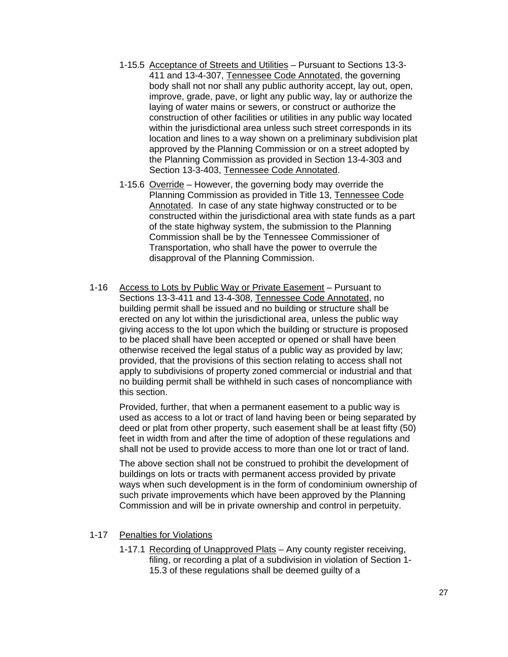- 1-15.5 Acceptance of Streets and Utilities Pursuant to Sections 13-3- 411 and 13-4-307, Tennessee Code Annotated, the governing body shall not nor shall any public authority accept, lay out, open, improve, grade, pave, or light any public way, lay or authorize the laying of water mains or sewers, or construct or authorize the construction of other facilities or utilities in any public way located within the jurisdictional area unless such street corresponds in its location and lines to a way shown on a preliminary subdivision plat approved by the Planning Commission or on a street adopted by the Planning Commission as provided in Section 13-4-303 and Section 13-3-403, Tennessee Code Annotated.
- 1-15.6 Override However, the governing body may override the Planning Commission as provided in Title 13, Tennessee Code Annotated. In case of any state highway constructed or to be constructed within the jurisdictional area with state funds as a part of the state highway system, the submission to the Planning Commission shall be by the Tennessee Commissioner of Transportation, who shall have the power to overrule the disapproval of the Planning Commission.
- 1-16 Access to Lots by Public Way or Private Easement Pursuant to Sections 13-3-411 and 13-4-308, Tennessee Code Annotated, no building permit shall be issued and no building or structure shall be erected on any lot within the jurisdictional area, unless the public way giving access to the lot upon which the building or structure is proposed to be placed shall have been accepted or opened or shall have been otherwise received the legal status of a public way as provided by law; provided, that the provisions of this section relating to access shall not apply to subdivisions of property zoned commercial or industrial and that no building permit shall be withheld in such cases of noncompliance with this section.

Provided, further, that when a permanent easement to a public way is used as access to a lot or tract of land having been or being separated by deed or plat from other property, such easement shall be at least fifty (50) feet in width from and after the time of adoption of these regulations and shall not be used to provide access to more than one lot or tract of land.

The above section shall not be construed to prohibit the development of buildings on lots or tracts with permanent access provided by private ways when such development is in the form of condominium ownership of such private improvements which have been approved by the Planning Commission and will be in private ownership and control in perpetuity.

- 1-17 Penalties for Violations
	- 1-17.1 Recording of Unapproved Plats Any county register receiving, filing, or recording a plat of a subdivision in violation of Section 1- 15.3 of these regulations shall be deemed guilty of a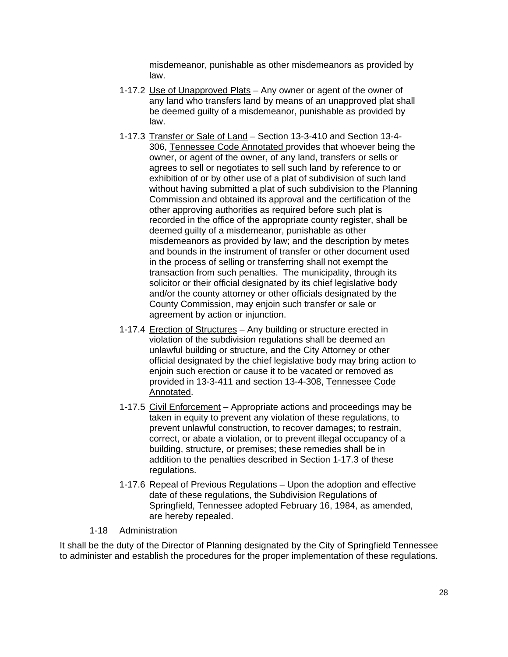misdemeanor, punishable as other misdemeanors as provided by law.

- 1-17.2 Use of Unapproved Plats Any owner or agent of the owner of any land who transfers land by means of an unapproved plat shall be deemed guilty of a misdemeanor, punishable as provided by law.
- 1-17.3 Transfer or Sale of Land Section 13-3-410 and Section 13-4- 306, Tennessee Code Annotated provides that whoever being the owner, or agent of the owner, of any land, transfers or sells or agrees to sell or negotiates to sell such land by reference to or exhibition of or by other use of a plat of subdivision of such land without having submitted a plat of such subdivision to the Planning Commission and obtained its approval and the certification of the other approving authorities as required before such plat is recorded in the office of the appropriate county register, shall be deemed guilty of a misdemeanor, punishable as other misdemeanors as provided by law; and the description by metes and bounds in the instrument of transfer or other document used in the process of selling or transferring shall not exempt the transaction from such penalties. The municipality, through its solicitor or their official designated by its chief legislative body and/or the county attorney or other officials designated by the County Commission, may enjoin such transfer or sale or agreement by action or injunction.
- 1-17.4 Erection of Structures Any building or structure erected in violation of the subdivision regulations shall be deemed an unlawful building or structure, and the City Attorney or other official designated by the chief legislative body may bring action to enjoin such erection or cause it to be vacated or removed as provided in 13-3-411 and section 13-4-308, Tennessee Code Annotated.
- 1-17.5 Civil Enforcement Appropriate actions and proceedings may be taken in equity to prevent any violation of these regulations, to prevent unlawful construction, to recover damages; to restrain, correct, or abate a violation, or to prevent illegal occupancy of a building, structure, or premises; these remedies shall be in addition to the penalties described in Section 1-17.3 of these regulations.
- 1-17.6 Repeal of Previous Regulations Upon the adoption and effective date of these regulations, the Subdivision Regulations of Springfield, Tennessee adopted February 16, 1984, as amended, are hereby repealed.

## 1-18 Administration

It shall be the duty of the Director of Planning designated by the City of Springfield Tennessee to administer and establish the procedures for the proper implementation of these regulations.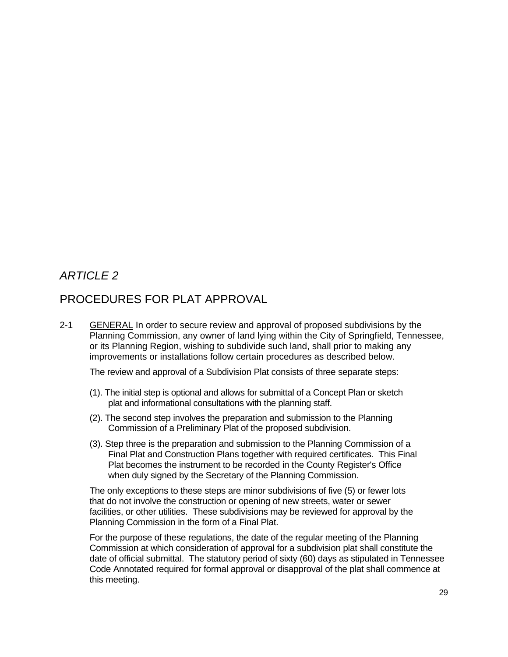# *ARTICLE 2*

# PROCEDURES FOR PLAT APPROVAL

2-1 GENERAL In order to secure review and approval of proposed subdivisions by the Planning Commission, any owner of land lying within the City of Springfield, Tennessee, or its Planning Region, wishing to subdivide such land, shall prior to making any improvements or installations follow certain procedures as described below.

The review and approval of a Subdivision Plat consists of three separate steps:

- (1). The initial step is optional and allows for submittal of a Concept Plan or sketch plat and informational consultations with the planning staff.
- (2). The second step involves the preparation and submission to the Planning Commission of a Preliminary Plat of the proposed subdivision.
- (3). Step three is the preparation and submission to the Planning Commission of a Final Plat and Construction Plans together with required certificates. This Final Plat becomes the instrument to be recorded in the County Register's Office when duly signed by the Secretary of the Planning Commission.

The only exceptions to these steps are minor subdivisions of five (5) or fewer lots that do not involve the construction or opening of new streets, water or sewer facilities, or other utilities. These subdivisions may be reviewed for approval by the Planning Commission in the form of a Final Plat.

For the purpose of these regulations, the date of the regular meeting of the Planning Commission at which consideration of approval for a subdivision plat shall constitute the date of official submittal. The statutory period of sixty (60) days as stipulated in Tennessee Code Annotated required for formal approval or disapproval of the plat shall commence at this meeting.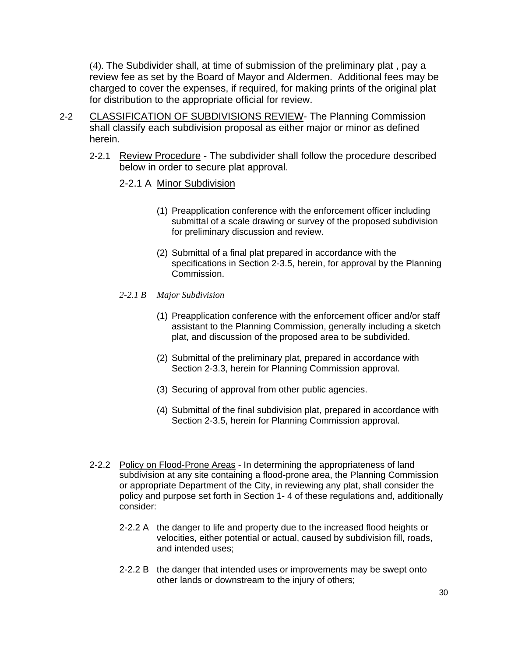(4). The Subdivider shall, at time of submission of the preliminary plat , pay a review fee as set by the Board of Mayor and Aldermen. Additional fees may be charged to cover the expenses, if required, for making prints of the original plat for distribution to the appropriate official for review.

- 2-2 CLASSIFICATION OF SUBDIVISIONS REVIEW- The Planning Commission shall classify each subdivision proposal as either major or minor as defined herein.
	- 2-2.1 Review Procedure The subdivider shall follow the procedure described below in order to secure plat approval.
		- 2-2.1 A Minor Subdivision
			- (1) Preapplication conference with the enforcement officer including submittal of a scale drawing or survey of the proposed subdivision for preliminary discussion and review.
			- (2) Submittal of a final plat prepared in accordance with the specifications in Section 2-3.5, herein, for approval by the Planning Commission.
		- *2-2.1 B Major Subdivision* 
			- (1) Preapplication conference with the enforcement officer and/or staff assistant to the Planning Commission, generally including a sketch plat, and discussion of the proposed area to be subdivided.
			- (2) Submittal of the preliminary plat, prepared in accordance with Section 2-3.3, herein for Planning Commission approval.
			- (3) Securing of approval from other public agencies.
			- (4) Submittal of the final subdivision plat, prepared in accordance with Section 2-3.5, herein for Planning Commission approval.
	- 2-2.2 Policy on Flood-Prone Areas In determining the appropriateness of land subdivision at any site containing a flood-prone area, the Planning Commission or appropriate Department of the City, in reviewing any plat, shall consider the policy and purpose set forth in Section 1- 4 of these regulations and, additionally consider:
		- 2-2.2 A the danger to life and property due to the increased flood heights or velocities, either potential or actual, caused by subdivision fill, roads, and intended uses;
		- 2-2.2 B the danger that intended uses or improvements may be swept onto other lands or downstream to the injury of others;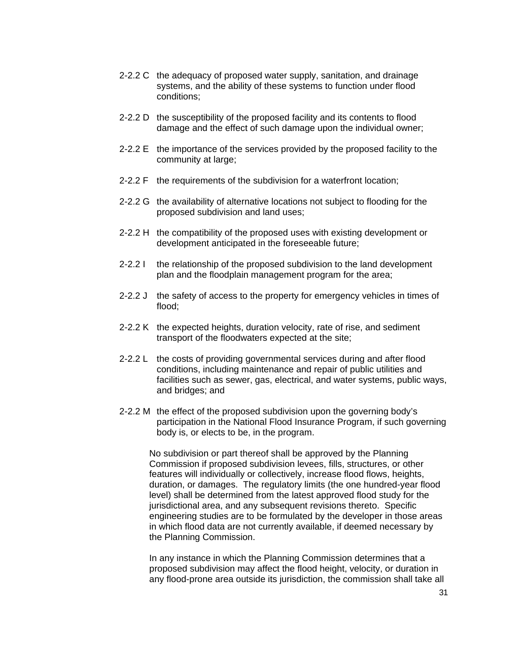- 2-2.2 C the adequacy of proposed water supply, sanitation, and drainage systems, and the ability of these systems to function under flood conditions;
- 2-2.2 D the susceptibility of the proposed facility and its contents to flood damage and the effect of such damage upon the individual owner;
- 2-2.2 E the importance of the services provided by the proposed facility to the community at large;
- 2-2.2 F the requirements of the subdivision for a waterfront location;
- 2-2.2 G the availability of alternative locations not subject to flooding for the proposed subdivision and land uses;
- 2-2.2 H the compatibility of the proposed uses with existing development or development anticipated in the foreseeable future;
- 2-2.2 I the relationship of the proposed subdivision to the land development plan and the floodplain management program for the area;
- 2-2.2 J the safety of access to the property for emergency vehicles in times of flood;
- 2-2.2 K the expected heights, duration velocity, rate of rise, and sediment transport of the floodwaters expected at the site;
- 2-2.2 L the costs of providing governmental services during and after flood conditions, including maintenance and repair of public utilities and facilities such as sewer, gas, electrical, and water systems, public ways, and bridges; and
- 2-2.2 M the effect of the proposed subdivision upon the governing body's participation in the National Flood Insurance Program, if such governing body is, or elects to be, in the program.

No subdivision or part thereof shall be approved by the Planning Commission if proposed subdivision levees, fills, structures, or other features will individually or collectively, increase flood flows, heights, duration, or damages. The regulatory limits (the one hundred-year flood level) shall be determined from the latest approved flood study for the jurisdictional area, and any subsequent revisions thereto. Specific engineering studies are to be formulated by the developer in those areas in which flood data are not currently available, if deemed necessary by the Planning Commission.

In any instance in which the Planning Commission determines that a proposed subdivision may affect the flood height, velocity, or duration in any flood-prone area outside its jurisdiction, the commission shall take all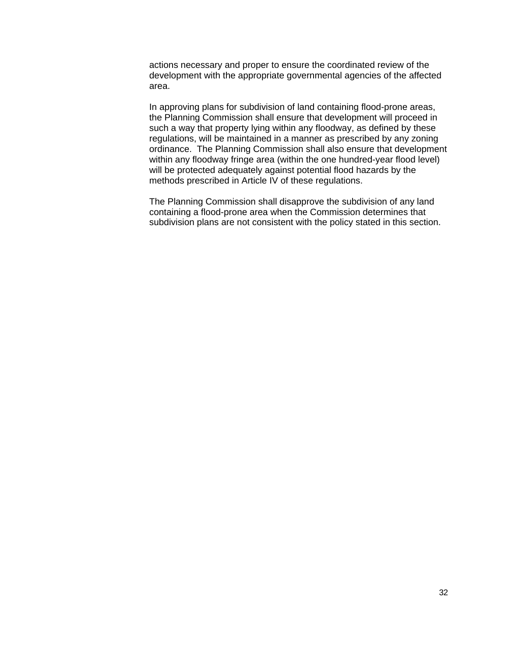actions necessary and proper to ensure the coordinated review of the development with the appropriate governmental agencies of the affected area.

In approving plans for subdivision of land containing flood-prone areas, the Planning Commission shall ensure that development will proceed in such a way that property lying within any floodway, as defined by these regulations, will be maintained in a manner as prescribed by any zoning ordinance. The Planning Commission shall also ensure that development within any floodway fringe area (within the one hundred-year flood level) will be protected adequately against potential flood hazards by the methods prescribed in Article IV of these regulations.

The Planning Commission shall disapprove the subdivision of any land containing a flood-prone area when the Commission determines that subdivision plans are not consistent with the policy stated in this section.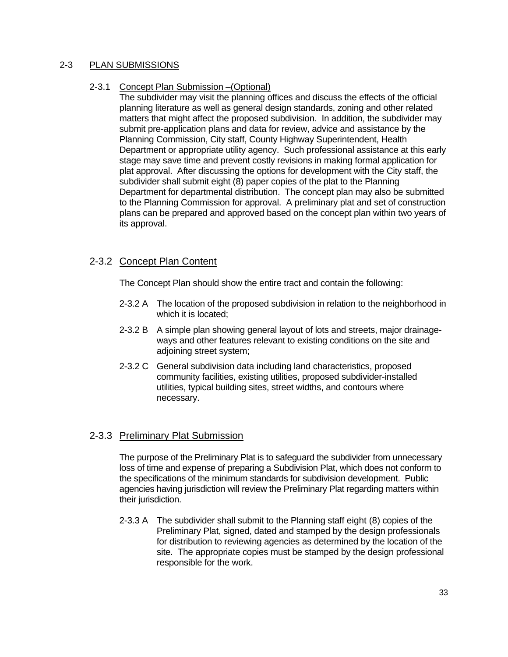## 2-3 PLAN SUBMISSIONS

## 2-3.1 Concept Plan Submission –(Optional)

The subdivider may visit the planning offices and discuss the effects of the official planning literature as well as general design standards, zoning and other related matters that might affect the proposed subdivision. In addition, the subdivider may submit pre-application plans and data for review, advice and assistance by the Planning Commission, City staff, County Highway Superintendent, Health Department or appropriate utility agency. Such professional assistance at this early stage may save time and prevent costly revisions in making formal application for plat approval. After discussing the options for development with the City staff, the subdivider shall submit eight (8) paper copies of the plat to the Planning Department for departmental distribution. The concept plan may also be submitted to the Planning Commission for approval. A preliminary plat and set of construction plans can be prepared and approved based on the concept plan within two years of its approval.

## 2-3.2 Concept Plan Content

The Concept Plan should show the entire tract and contain the following:

- 2-3.2 A The location of the proposed subdivision in relation to the neighborhood in which it is located;
- 2-3.2 B A simple plan showing general layout of lots and streets, major drainageways and other features relevant to existing conditions on the site and adjoining street system;
- 2-3.2 C General subdivision data including land characteristics, proposed community facilities, existing utilities, proposed subdivider-installed utilities, typical building sites, street widths, and contours where necessary.

## 2-3.3 Preliminary Plat Submission

The purpose of the Preliminary Plat is to safeguard the subdivider from unnecessary loss of time and expense of preparing a Subdivision Plat, which does not conform to the specifications of the minimum standards for subdivision development. Public agencies having jurisdiction will review the Preliminary Plat regarding matters within their jurisdiction.

2-3.3 A The subdivider shall submit to the Planning staff eight (8) copies of the Preliminary Plat, signed, dated and stamped by the design professionals for distribution to reviewing agencies as determined by the location of the site. The appropriate copies must be stamped by the design professional responsible for the work.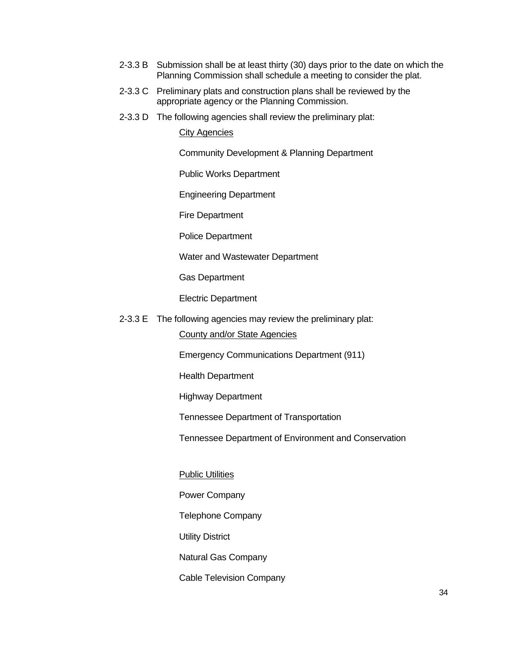- 2-3.3 B Submission shall be at least thirty (30) days prior to the date on which the Planning Commission shall schedule a meeting to consider the plat.
- 2-3.3 C Preliminary plats and construction plans shall be reviewed by the appropriate agency or the Planning Commission.
- 2-3.3 D The following agencies shall review the preliminary plat:

## **City Agencies**

Community Development & Planning Department

Public Works Department

Engineering Department

Fire Department

Police Department

Water and Wastewater Department

Gas Department

Electric Department

2-3.3 E The following agencies may review the preliminary plat:

County and/or State Agencies

Emergency Communications Department (911)

Health Department

Highway Department

Tennessee Department of Transportation

Tennessee Department of Environment and Conservation

#### **Public Utilities**

Power Company

Telephone Company

Utility District

Natural Gas Company

Cable Television Company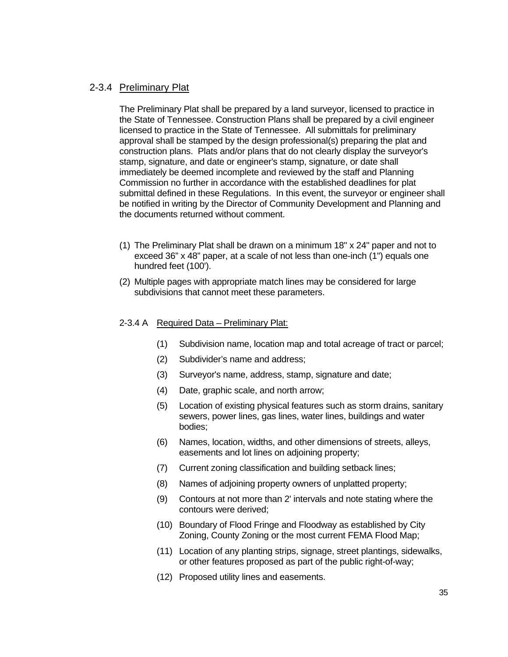## 2-3.4 Preliminary Plat

The Preliminary Plat shall be prepared by a land surveyor, licensed to practice in the State of Tennessee. Construction Plans shall be prepared by a civil engineer licensed to practice in the State of Tennessee. All submittals for preliminary approval shall be stamped by the design professional(s) preparing the plat and construction plans. Plats and/or plans that do not clearly display the surveyor's stamp, signature, and date or engineer's stamp, signature, or date shall immediately be deemed incomplete and reviewed by the staff and Planning Commission no further in accordance with the established deadlines for plat submittal defined in these Regulations. In this event, the surveyor or engineer shall be notified in writing by the Director of Community Development and Planning and the documents returned without comment.

- (1) The Preliminary Plat shall be drawn on a minimum 18" x 24" paper and not to exceed 36" x 48" paper, at a scale of not less than one-inch (1") equals one hundred feet (100').
- (2) Multiple pages with appropriate match lines may be considered for large subdivisions that cannot meet these parameters.

#### 2-3.4 A Required Data – Preliminary Plat:

- (1) Subdivision name, location map and total acreage of tract or parcel;
- (2) Subdivider's name and address;
- (3) Surveyor's name, address, stamp, signature and date;
- (4) Date, graphic scale, and north arrow;
- (5) Location of existing physical features such as storm drains, sanitary sewers, power lines, gas lines, water lines, buildings and water bodies;
- (6) Names, location, widths, and other dimensions of streets, alleys, easements and lot lines on adjoining property;
- (7) Current zoning classification and building setback lines;
- (8) Names of adjoining property owners of unplatted property;
- (9) Contours at not more than 2' intervals and note stating where the contours were derived;
- (10) Boundary of Flood Fringe and Floodway as established by City Zoning, County Zoning or the most current FEMA Flood Map;
- (11) Location of any planting strips, signage, street plantings, sidewalks, or other features proposed as part of the public right-of-way;
- (12) Proposed utility lines and easements.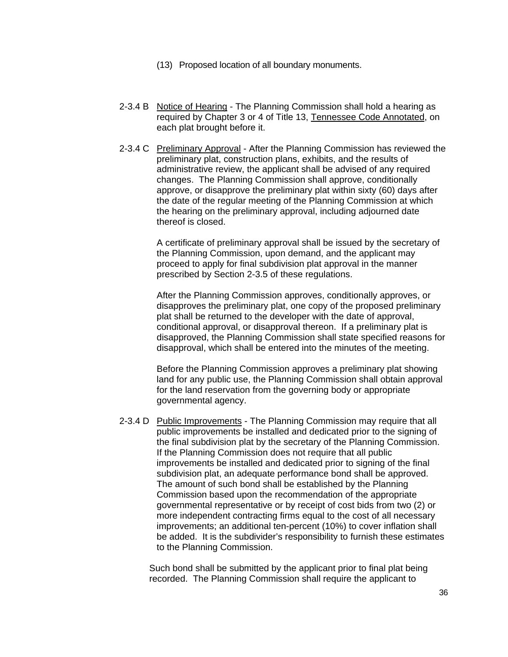- (13) Proposed location of all boundary monuments.
- 2-3.4 B Notice of Hearing The Planning Commission shall hold a hearing as required by Chapter 3 or 4 of Title 13, Tennessee Code Annotated, on each plat brought before it.
- 2-3.4 C Preliminary Approval After the Planning Commission has reviewed the preliminary plat, construction plans, exhibits, and the results of administrative review, the applicant shall be advised of any required changes. The Planning Commission shall approve, conditionally approve, or disapprove the preliminary plat within sixty (60) days after the date of the regular meeting of the Planning Commission at which the hearing on the preliminary approval, including adjourned date thereof is closed.

A certificate of preliminary approval shall be issued by the secretary of the Planning Commission, upon demand, and the applicant may proceed to apply for final subdivision plat approval in the manner prescribed by Section 2-3.5 of these regulations.

After the Planning Commission approves, conditionally approves, or disapproves the preliminary plat, one copy of the proposed preliminary plat shall be returned to the developer with the date of approval, conditional approval, or disapproval thereon. If a preliminary plat is disapproved, the Planning Commission shall state specified reasons for disapproval, which shall be entered into the minutes of the meeting.

Before the Planning Commission approves a preliminary plat showing land for any public use, the Planning Commission shall obtain approval for the land reservation from the governing body or appropriate governmental agency.

2-3.4 D Public Improvements - The Planning Commission may require that all public improvements be installed and dedicated prior to the signing of the final subdivision plat by the secretary of the Planning Commission. If the Planning Commission does not require that all public improvements be installed and dedicated prior to signing of the final subdivision plat, an adequate performance bond shall be approved. The amount of such bond shall be established by the Planning Commission based upon the recommendation of the appropriate governmental representative or by receipt of cost bids from two (2) or more independent contracting firms equal to the cost of all necessary improvements; an additional ten-percent (10%) to cover inflation shall be added. It is the subdivider's responsibility to furnish these estimates to the Planning Commission.

Such bond shall be submitted by the applicant prior to final plat being recorded. The Planning Commission shall require the applicant to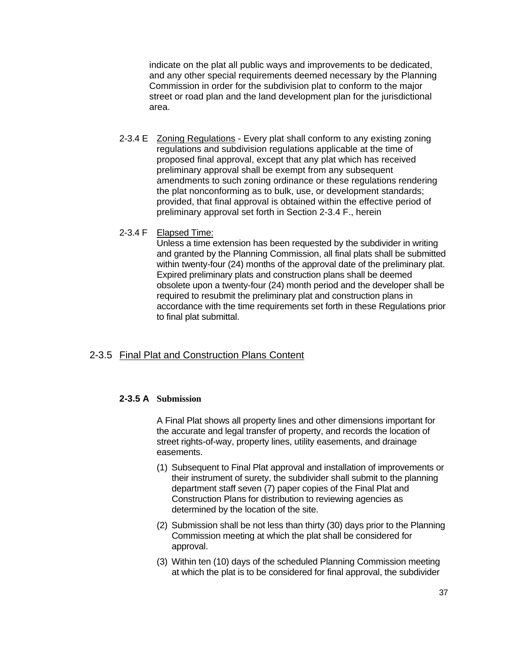indicate on the plat all public ways and improvements to be dedicated, and any other special requirements deemed necessary by the Planning Commission in order for the subdivision plat to conform to the major street or road plan and the land development plan for the jurisdictional area.

- 2-3.4 E Zoning Regulations Every plat shall conform to any existing zoning regulations and subdivision regulations applicable at the time of proposed final approval, except that any plat which has received preliminary approval shall be exempt from any subsequent amendments to such zoning ordinance or these regulations rendering the plat nonconforming as to bulk, use, or development standards; provided, that final approval is obtained within the effective period of preliminary approval set forth in Section 2-3.4 F., herein
- 2-3.4 F Elapsed Time:

Unless a time extension has been requested by the subdivider in writing and granted by the Planning Commission, all final plats shall be submitted within twenty-four (24) months of the approval date of the preliminary plat. Expired preliminary plats and construction plans shall be deemed obsolete upon a twenty-four (24) month period and the developer shall be required to resubmit the preliminary plat and construction plans in accordance with the time requirements set forth in these Regulations prior to final plat submittal.

## 2-3.5 Final Plat and Construction Plans Content

## **2-3.5 A Submission**

A Final Plat shows all property lines and other dimensions important for the accurate and legal transfer of property, and records the location of street rights-of-way, property lines, utility easements, and drainage easements.

- (1) Subsequent to Final Plat approval and installation of improvements or their instrument of surety, the subdivider shall submit to the planning department staff seven (7) paper copies of the Final Plat and Construction Plans for distribution to reviewing agencies as determined by the location of the site.
- (2) Submission shall be not less than thirty (30) days prior to the Planning Commission meeting at which the plat shall be considered for approval.
- (3) Within ten (10) days of the scheduled Planning Commission meeting at which the plat is to be considered for final approval, the subdivider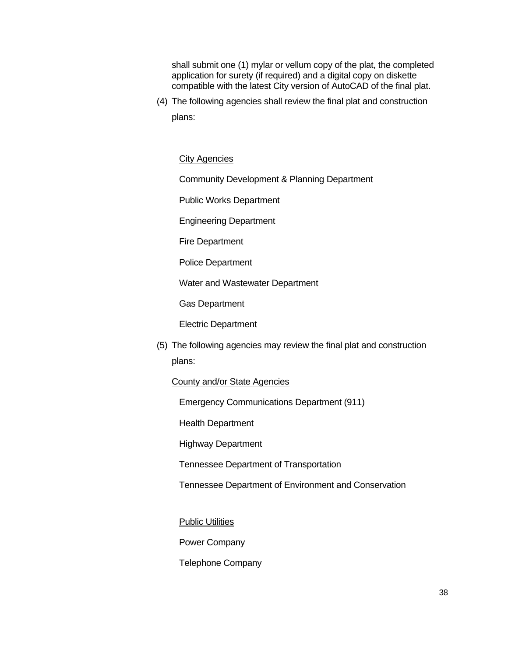shall submit one (1) mylar or vellum copy of the plat, the completed application for surety (if required) and a digital copy on diskette compatible with the latest City version of AutoCAD of the final plat.

(4) The following agencies shall review the final plat and construction plans:

#### City Agencies

Community Development & Planning Department

Public Works Department

Engineering Department

Fire Department

Police Department

Water and Wastewater Department

Gas Department

Electric Department

(5) The following agencies may review the final plat and construction plans:

#### County and/or State Agencies

Emergency Communications Department (911)

Health Department

Highway Department

Tennessee Department of Transportation

Tennessee Department of Environment and Conservation

**Public Utilities** 

Power Company

Telephone Company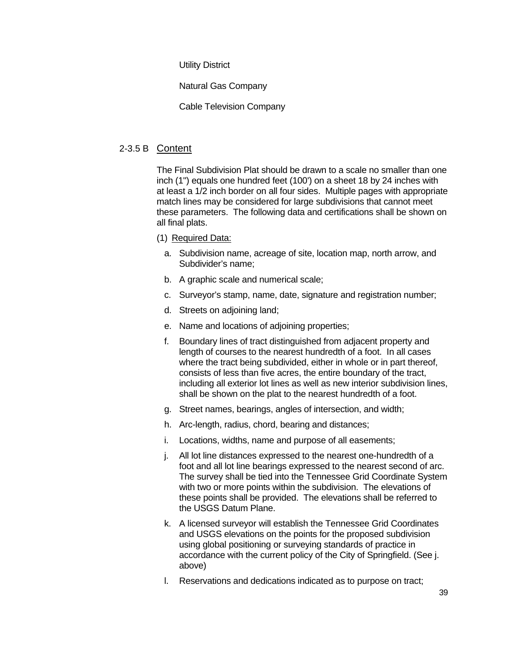Utility District

Natural Gas Company

Cable Television Company

## 2-3.5 B Content

The Final Subdivision Plat should be drawn to a scale no smaller than one inch (1") equals one hundred feet (100') on a sheet 18 by 24 inches with at least a 1/2 inch border on all four sides. Multiple pages with appropriate match lines may be considered for large subdivisions that cannot meet these parameters. The following data and certifications shall be shown on all final plats.

- (1) Required Data:
	- a. Subdivision name, acreage of site, location map, north arrow, and Subdivider's name;
	- b. A graphic scale and numerical scale;
	- c. Surveyor's stamp, name, date, signature and registration number;
	- d. Streets on adjoining land;
	- e. Name and locations of adjoining properties;
	- f. Boundary lines of tract distinguished from adjacent property and length of courses to the nearest hundredth of a foot. In all cases where the tract being subdivided, either in whole or in part thereof, consists of less than five acres, the entire boundary of the tract, including all exterior lot lines as well as new interior subdivision lines, shall be shown on the plat to the nearest hundredth of a foot.
	- g. Street names, bearings, angles of intersection, and width;
	- h. Arc-length, radius, chord, bearing and distances;
	- i. Locations, widths, name and purpose of all easements;
	- j. All lot line distances expressed to the nearest one-hundredth of a foot and all lot line bearings expressed to the nearest second of arc. The survey shall be tied into the Tennessee Grid Coordinate System with two or more points within the subdivision. The elevations of these points shall be provided. The elevations shall be referred to the USGS Datum Plane.
	- k. A licensed surveyor will establish the Tennessee Grid Coordinates and USGS elevations on the points for the proposed subdivision using global positioning or surveying standards of practice in accordance with the current policy of the City of Springfield. (See j. above)
	- l. Reservations and dedications indicated as to purpose on tract;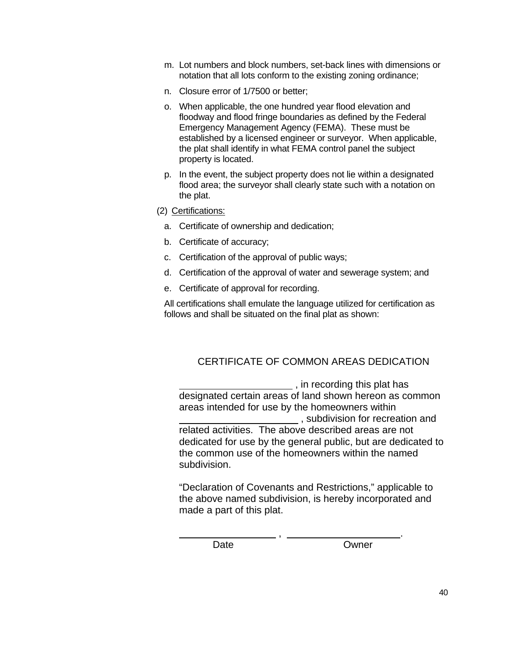- m. Lot numbers and block numbers, set-back lines with dimensions or notation that all lots conform to the existing zoning ordinance;
- n. Closure error of 1/7500 or better;
- o. When applicable, the one hundred year flood elevation and floodway and flood fringe boundaries as defined by the Federal Emergency Management Agency (FEMA). These must be established by a licensed engineer or surveyor. When applicable, the plat shall identify in what FEMA control panel the subject property is located.
- p. In the event, the subject property does not lie within a designated flood area; the surveyor shall clearly state such with a notation on the plat.
- (2) Certifications:
	- a. Certificate of ownership and dedication;
	- b. Certificate of accuracy;
	- c. Certification of the approval of public ways;
	- d. Certification of the approval of water and sewerage system; and
	- e. Certificate of approval for recording.

All certifications shall emulate the language utilized for certification as follows and shall be situated on the final plat as shown:

## CERTIFICATE OF COMMON AREAS DEDICATION

 , in recording this plat has designated certain areas of land shown hereon as common areas intended for use by the homeowners within , subdivision for recreation and related activities. The above described areas are not dedicated for use by the general public, but are dedicated to the common use of the homeowners within the named subdivision.

"Declaration of Covenants and Restrictions," applicable to the above named subdivision, is hereby incorporated and made a part of this plat.

, .

Date Owner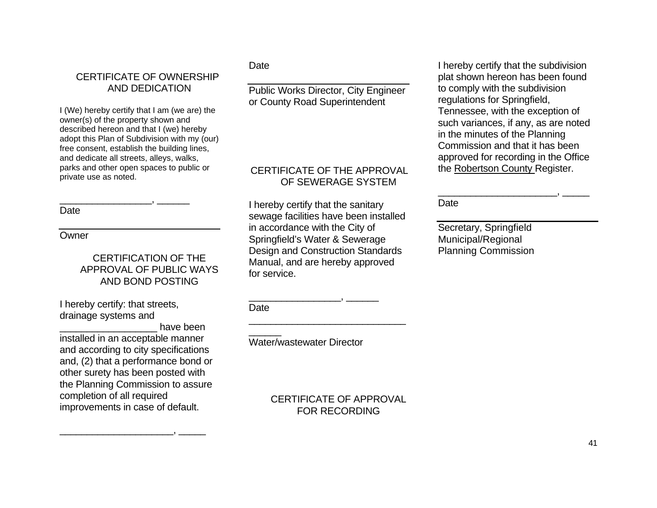# CERTIFICATE OF OWNERSHIP AND DEDICATION

I (We) hereby certify that I am (we are) the owner(s) of the property shown and described hereon and that I (we) hereby adopt this Plan of Subdivision with my (our) free consent, establish the building lines, and dedicate all streets, alleys, walks, parks and other open spaces to public or private use as noted.

\_\_\_\_\_\_\_\_\_\_\_\_\_\_\_\_\_, \_\_\_\_\_\_

**Date** 

### **Owner**

## CERTIFICATION OF THE APPROVAL OF PUBLIC WAYS AND BOND POSTING

I hereby certify: that streets, drainage systems and

have been installed in an acceptable manner and according to city specifications and, (2) that a performance bond or other surety has been posted with the Planning Commission to assure completion of all required improvements in case of default.

\_\_\_\_\_\_\_\_\_\_\_\_\_\_\_\_\_\_\_\_\_, \_\_\_\_\_

## **Date**

Public Works Director, City Engineer or County Road Superintendent

## CERTIFICATE OF THE APPROVAL OF SEWERAGE SYSTEM

I hereby certify that the sanitary sewage facilities have been installed in accordance with the City of Springfield's Water & Sewerage Design and Construction Standards Manual, and are hereby approved for service.

**Date** 

\_\_\_\_\_\_

Water/wastewater Director

\_\_\_\_\_\_\_\_\_\_\_\_\_\_\_\_\_, \_\_\_\_\_\_

 CERTIFICATE OF APPROVAL FOR RECORDING

I hereby certify that the subdivision plat shown hereon has been found to comply with the subdivision regulations for Springfield, Tennessee, with the exception of such variances, if any, as are noted in the minutes of the Planning Commission and that it has been approved for recording in the Office the Robertson County Register.

\_\_\_\_\_\_\_\_\_\_\_\_\_\_\_\_\_\_\_\_\_\_, \_\_\_\_\_

Date

Secretary, Springfield Municipal/Regional Planning Commission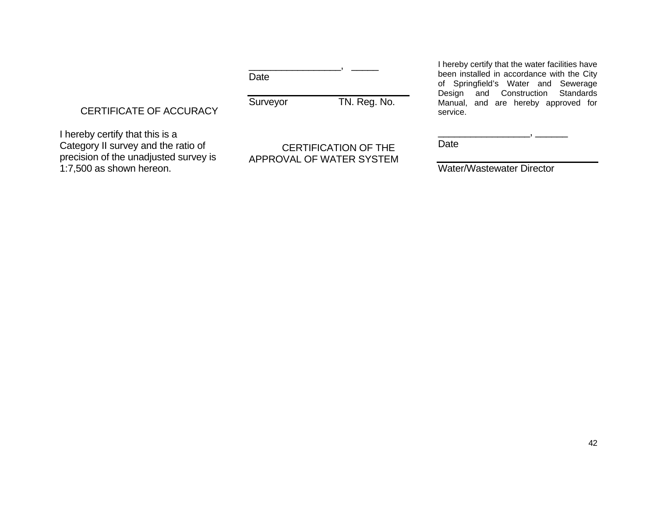Date

Surveyor TN. Reg. No.

\_\_\_\_\_\_\_\_\_\_\_\_\_\_\_\_\_, \_\_\_\_\_

CERTIFICATE OF ACCURACY

I hereby certify that this is a Category II survey and the ratio of precision of the unadjusted survey is 1:7,500 as shown hereon.

 CERTIFICATION OF THE APPROVAL OF WATER SYSTEM I hereby certify that the water facilities have been installed in accordance with the City of Springfield's Water and Sewerage Design and Construction Standards Manual, and are hereby approved for service.

Date

Water/Wastewater Director

\_\_\_\_\_\_\_\_\_\_\_\_\_\_\_\_\_, \_\_\_\_\_\_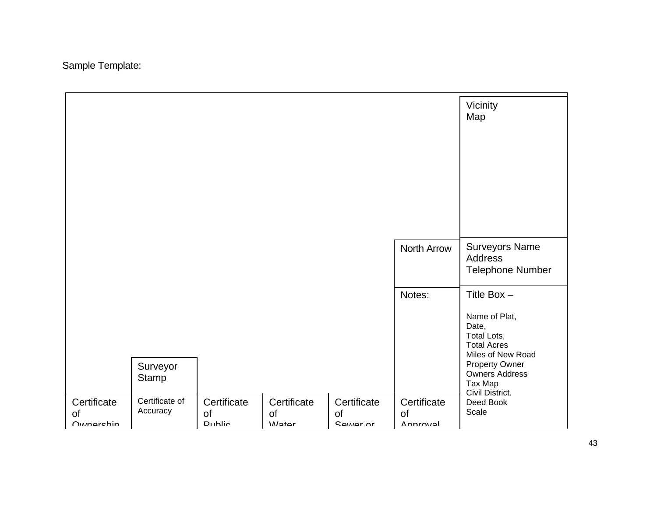Sample Template:

|                                       |                            |                             |                               |                                      |                                      | Vicinity<br>Map                                                                                                                                                |
|---------------------------------------|----------------------------|-----------------------------|-------------------------------|--------------------------------------|--------------------------------------|----------------------------------------------------------------------------------------------------------------------------------------------------------------|
|                                       |                            |                             |                               |                                      | North Arrow                          | <b>Surveyors Name</b><br>Address<br><b>Telephone Number</b>                                                                                                    |
|                                       | Surveyor<br>Stamp          |                             |                               |                                      | Notes:                               | Title Box $-$<br>Name of Plat,<br>Date,<br>Total Lots,<br><b>Total Acres</b><br>Miles of New Road<br><b>Property Owner</b><br><b>Owners Address</b><br>Tax Map |
| Certificate<br>of<br><b>Ownarchin</b> | Certificate of<br>Accuracy | Certificate<br>of<br>Dublic | Certificate<br>of<br>$M$ otor | Certificate<br>of<br><b>CAWAR OF</b> | Certificate<br>of<br><b>Annrougl</b> | Civil District.<br>Deed Book<br>Scale                                                                                                                          |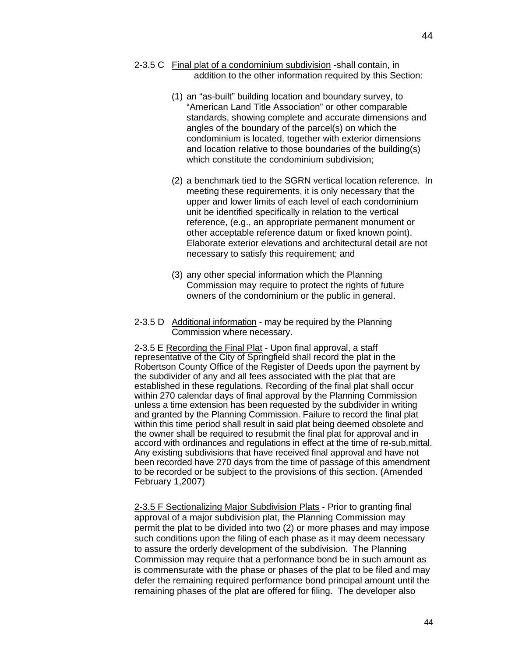- 2-3.5 C Final plat of a condominium subdivision -shall contain, in addition to the other information required by this Section:
	- (1) an "as-built" building location and boundary survey, to "American Land Title Association" or other comparable standards, showing complete and accurate dimensions and angles of the boundary of the parcel(s) on which the condominium is located, together with exterior dimensions and location relative to those boundaries of the building(s) which constitute the condominium subdivision;
	- (2) a benchmark tied to the SGRN vertical location reference. In meeting these requirements, it is only necessary that the upper and lower limits of each level of each condominium unit be identified specifically in relation to the vertical reference, (e.g., an appropriate permanent monument or other acceptable reference datum or fixed known point). Elaborate exterior elevations and architectural detail are not necessary to satisfy this requirement; and
	- (3) any other special information which the Planning Commission may require to protect the rights of future owners of the condominium or the public in general.
- 2-3.5 D Additional information may be required by the Planning Commission where necessary.

2-3.5 E Recording the Final Plat - Upon final approval, a staff representative of the City of Springfield shall record the plat in the Robertson County Office of the Register of Deeds upon the payment by the subdivider of any and all fees associated with the plat that are established in these regulations. Recording of the final plat shall occur within 270 calendar days of final approval by the Planning Commission unless a time extension has been requested by the subdivider in writing and granted by the Planning Commission. Failure to record the final plat within this time period shall result in said plat being deemed obsolete and the owner shall be required to resubmit the final plat for approval and in accord with ordinances and regulations in effect at the time of re-sub,mittal. Any existing subdivisions that have received final approval and have not been recorded have 270 days from the time of passage of this amendment to be recorded or be subject to the provisions of this section. (Amended February 1,2007)

2-3.5 F Sectionalizing Major Subdivision Plats - Prior to granting final approval of a major subdivision plat, the Planning Commission may permit the plat to be divided into two (2) or more phases and may impose such conditions upon the filing of each phase as it may deem necessary to assure the orderly development of the subdivision. The Planning Commission may require that a performance bond be in such amount as is commensurate with the phase or phases of the plat to be filed and may defer the remaining required performance bond principal amount until the remaining phases of the plat are offered for filing. The developer also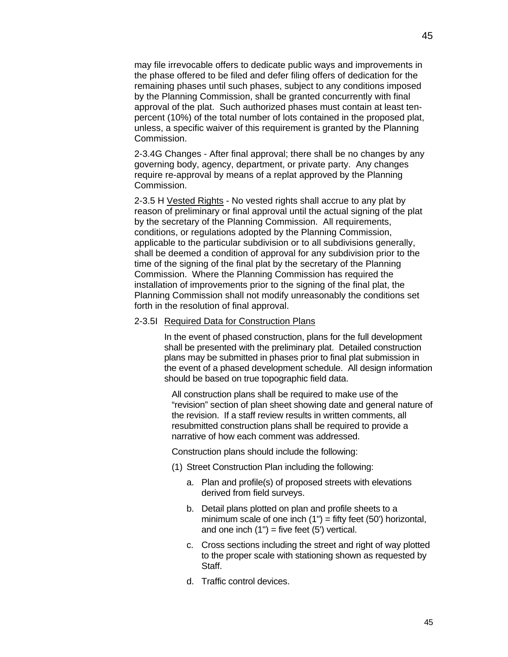45

may file irrevocable offers to dedicate public ways and improvements in the phase offered to be filed and defer filing offers of dedication for the remaining phases until such phases, subject to any conditions imposed by the Planning Commission, shall be granted concurrently with final approval of the plat. Such authorized phases must contain at least tenpercent (10%) of the total number of lots contained in the proposed plat, unless, a specific waiver of this requirement is granted by the Planning Commission.

2-3.4G Changes - After final approval; there shall be no changes by any governing body, agency, department, or private party. Any changes require re-approval by means of a replat approved by the Planning Commission.

2-3.5 H Vested Rights - No vested rights shall accrue to any plat by reason of preliminary or final approval until the actual signing of the plat by the secretary of the Planning Commission. All requirements, conditions, or regulations adopted by the Planning Commission, applicable to the particular subdivision or to all subdivisions generally, shall be deemed a condition of approval for any subdivision prior to the time of the signing of the final plat by the secretary of the Planning Commission. Where the Planning Commission has required the installation of improvements prior to the signing of the final plat, the Planning Commission shall not modify unreasonably the conditions set forth in the resolution of final approval.

#### 2-3.5I Required Data for Construction Plans

In the event of phased construction, plans for the full development shall be presented with the preliminary plat. Detailed construction plans may be submitted in phases prior to final plat submission in the event of a phased development schedule. All design information should be based on true topographic field data.

All construction plans shall be required to make use of the "revision" section of plan sheet showing date and general nature of the revision. If a staff review results in written comments, all resubmitted construction plans shall be required to provide a narrative of how each comment was addressed.

Construction plans should include the following:

- (1) Street Construction Plan including the following:
	- a. Plan and profile(s) of proposed streets with elevations derived from field surveys.
	- b. Detail plans plotted on plan and profile sheets to a minimum scale of one inch  $(1")$  = fifty feet  $(50')$  horizontal, and one inch  $(1")$  = five feet  $(5')$  vertical.
	- c. Cross sections including the street and right of way plotted to the proper scale with stationing shown as requested by Staff.
	- d. Traffic control devices.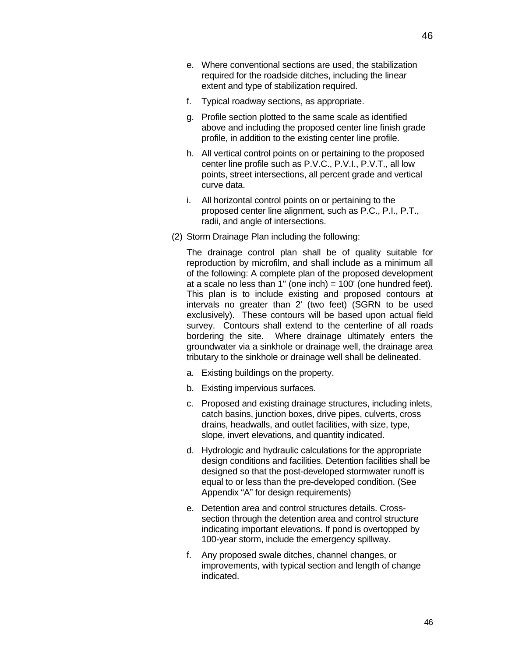- e. Where conventional sections are used, the stabilization required for the roadside ditches, including the linear extent and type of stabilization required.
- f. Typical roadway sections, as appropriate.
- g. Profile section plotted to the same scale as identified above and including the proposed center line finish grade profile, in addition to the existing center line profile.
- h. All vertical control points on or pertaining to the proposed center line profile such as P.V.C., P.V.I., P.V.T., all low points, street intersections, all percent grade and vertical curve data.
- i. All horizontal control points on or pertaining to the proposed center line alignment, such as P.C., P.I., P.T., radii, and angle of intersections.
- (2) Storm Drainage Plan including the following:

The drainage control plan shall be of quality suitable for reproduction by microfilm, and shall include as a minimum all of the following: A complete plan of the proposed development at a scale no less than 1" (one inch) = 100' (one hundred feet). This plan is to include existing and proposed contours at intervals no greater than 2' (two feet) (SGRN to be used exclusively). These contours will be based upon actual field survey. Contours shall extend to the centerline of all roads bordering the site. Where drainage ultimately enters the groundwater via a sinkhole or drainage well, the drainage area tributary to the sinkhole or drainage well shall be delineated.

- a. Existing buildings on the property.
- b. Existing impervious surfaces.
- c. Proposed and existing drainage structures, including inlets, catch basins, junction boxes, drive pipes, culverts, cross drains, headwalls, and outlet facilities, with size, type, slope, invert elevations, and quantity indicated.
- d. Hydrologic and hydraulic calculations for the appropriate design conditions and facilities. Detention facilities shall be designed so that the post-developed stormwater runoff is equal to or less than the pre-developed condition. (See Appendix "A" for design requirements)
- e. Detention area and control structures details. Crosssection through the detention area and control structure indicating important elevations. If pond is overtopped by 100-year storm, include the emergency spillway.
- f. Any proposed swale ditches, channel changes, or improvements, with typical section and length of change indicated.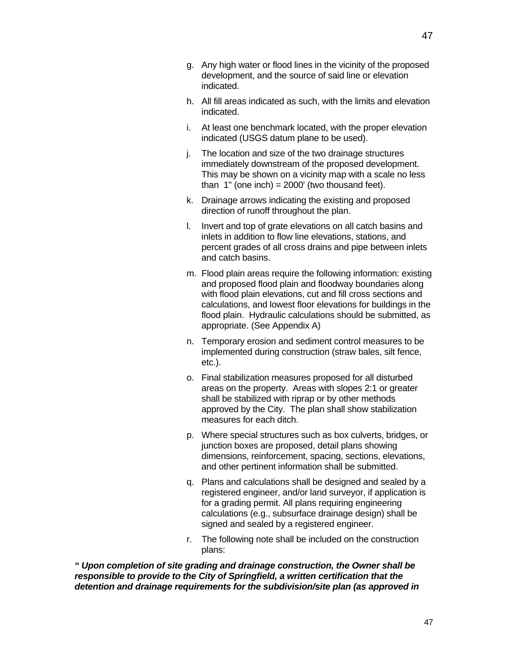- g. Any high water or flood lines in the vicinity of the proposed development, and the source of said line or elevation indicated.
- h. All fill areas indicated as such, with the limits and elevation indicated.
- i. At least one benchmark located, with the proper elevation indicated (USGS datum plane to be used).
- j. The location and size of the two drainage structures immediately downstream of the proposed development. This may be shown on a vicinity map with a scale no less than  $1$ " (one inch) = 2000' (two thousand feet).
- k. Drainage arrows indicating the existing and proposed direction of runoff throughout the plan.
- l. Invert and top of grate elevations on all catch basins and inlets in addition to flow line elevations, stations, and percent grades of all cross drains and pipe between inlets and catch basins.
- m. Flood plain areas require the following information: existing and proposed flood plain and floodway boundaries along with flood plain elevations, cut and fill cross sections and calculations, and lowest floor elevations for buildings in the flood plain. Hydraulic calculations should be submitted, as appropriate. (See Appendix A)
- n. Temporary erosion and sediment control measures to be implemented during construction (straw bales, silt fence, etc.).
- o. Final stabilization measures proposed for all disturbed areas on the property. Areas with slopes 2:1 or greater shall be stabilized with riprap or by other methods approved by the City. The plan shall show stabilization measures for each ditch.
- p. Where special structures such as box culverts, bridges, or junction boxes are proposed, detail plans showing dimensions, reinforcement, spacing, sections, elevations, and other pertinent information shall be submitted.
- q. Plans and calculations shall be designed and sealed by a registered engineer, and/or land surveyor, if application is for a grading permit. All plans requiring engineering calculations (e.g., subsurface drainage design) shall be signed and sealed by a registered engineer.
- r. The following note shall be included on the construction plans:

*" Upon completion of site grading and drainage construction, the Owner shall be responsible to provide to the City of Springfield, a written certification that the detention and drainage requirements for the subdivision/site plan (as approved in*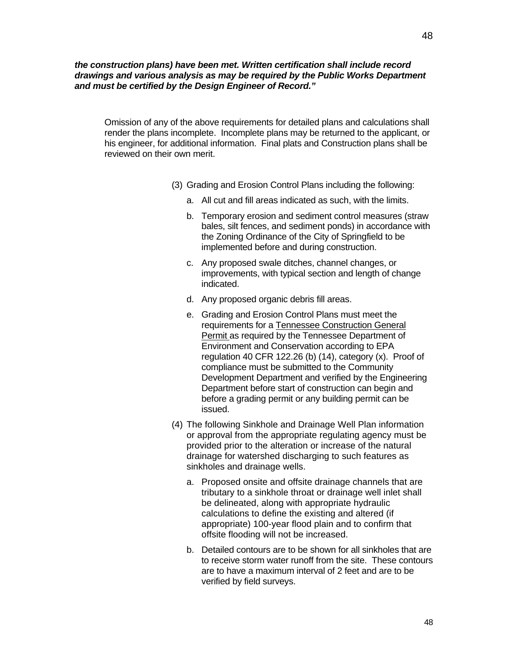#### *the construction plans) have been met. Written certification shall include record drawings and various analysis as may be required by the Public Works Department and must be certified by the Design Engineer of Record."*

Omission of any of the above requirements for detailed plans and calculations shall render the plans incomplete. Incomplete plans may be returned to the applicant, or his engineer, for additional information. Final plats and Construction plans shall be reviewed on their own merit.

- (3) Grading and Erosion Control Plans including the following:
	- a. All cut and fill areas indicated as such, with the limits.
	- b. Temporary erosion and sediment control measures (straw bales, silt fences, and sediment ponds) in accordance with the Zoning Ordinance of the City of Springfield to be implemented before and during construction.
	- c. Any proposed swale ditches, channel changes, or improvements, with typical section and length of change indicated.
	- d. Any proposed organic debris fill areas.
	- e. Grading and Erosion Control Plans must meet the requirements for a Tennessee Construction General Permit as required by the Tennessee Department of Environment and Conservation according to EPA regulation 40 CFR 122.26 (b) (14), category (x). Proof of compliance must be submitted to the Community Development Department and verified by the Engineering Department before start of construction can begin and before a grading permit or any building permit can be issued.
- (4) The following Sinkhole and Drainage Well Plan information or approval from the appropriate regulating agency must be provided prior to the alteration or increase of the natural drainage for watershed discharging to such features as sinkholes and drainage wells.
	- a. Proposed onsite and offsite drainage channels that are tributary to a sinkhole throat or drainage well inlet shall be delineated, along with appropriate hydraulic calculations to define the existing and altered (if appropriate) 100-year flood plain and to confirm that offsite flooding will not be increased.
	- b. Detailed contours are to be shown for all sinkholes that are to receive storm water runoff from the site. These contours are to have a maximum interval of 2 feet and are to be verified by field surveys.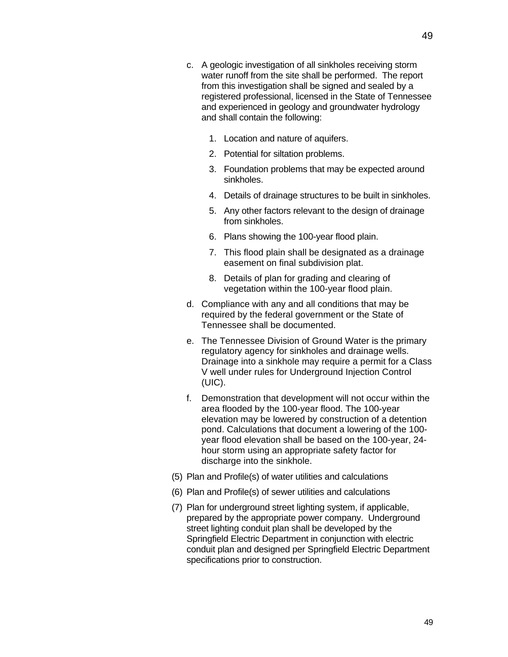- c. A geologic investigation of all sinkholes receiving storm water runoff from the site shall be performed. The report from this investigation shall be signed and sealed by a registered professional, licensed in the State of Tennessee and experienced in geology and groundwater hydrology and shall contain the following:
	- 1. Location and nature of aquifers.
	- 2. Potential for siltation problems.
	- 3. Foundation problems that may be expected around sinkholes.
	- 4. Details of drainage structures to be built in sinkholes.
	- 5. Any other factors relevant to the design of drainage from sinkholes.
	- 6. Plans showing the 100-year flood plain.
	- 7. This flood plain shall be designated as a drainage easement on final subdivision plat.
	- 8. Details of plan for grading and clearing of vegetation within the 100-year flood plain.
- d. Compliance with any and all conditions that may be required by the federal government or the State of Tennessee shall be documented.
- e. The Tennessee Division of Ground Water is the primary regulatory agency for sinkholes and drainage wells. Drainage into a sinkhole may require a permit for a Class V well under rules for Underground Injection Control (UIC).
- f. Demonstration that development will not occur within the area flooded by the 100-year flood. The 100-year elevation may be lowered by construction of a detention pond. Calculations that document a lowering of the 100 year flood elevation shall be based on the 100-year, 24 hour storm using an appropriate safety factor for discharge into the sinkhole.
- (5) Plan and Profile(s) of water utilities and calculations
- (6) Plan and Profile(s) of sewer utilities and calculations
- (7) Plan for underground street lighting system, if applicable, prepared by the appropriate power company. Underground street lighting conduit plan shall be developed by the Springfield Electric Department in conjunction with electric conduit plan and designed per Springfield Electric Department specifications prior to construction.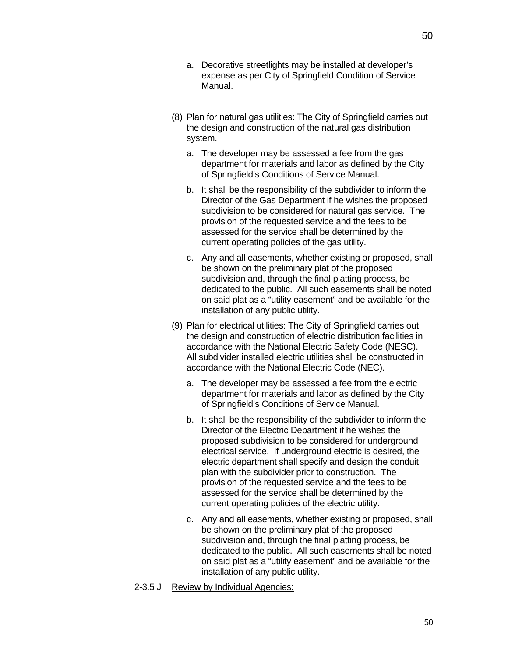- a. Decorative streetlights may be installed at developer's expense as per City of Springfield Condition of Service Manual.
- (8) Plan for natural gas utilities: The City of Springfield carries out the design and construction of the natural gas distribution system.
	- a. The developer may be assessed a fee from the gas department for materials and labor as defined by the City of Springfield's Conditions of Service Manual.
	- b. It shall be the responsibility of the subdivider to inform the Director of the Gas Department if he wishes the proposed subdivision to be considered for natural gas service. The provision of the requested service and the fees to be assessed for the service shall be determined by the current operating policies of the gas utility.
	- c. Any and all easements, whether existing or proposed, shall be shown on the preliminary plat of the proposed subdivision and, through the final platting process, be dedicated to the public. All such easements shall be noted on said plat as a "utility easement" and be available for the installation of any public utility.
- (9) Plan for electrical utilities: The City of Springfield carries out the design and construction of electric distribution facilities in accordance with the National Electric Safety Code (NESC). All subdivider installed electric utilities shall be constructed in accordance with the National Electric Code (NEC).
	- a. The developer may be assessed a fee from the electric department for materials and labor as defined by the City of Springfield's Conditions of Service Manual.
	- b. It shall be the responsibility of the subdivider to inform the Director of the Electric Department if he wishes the proposed subdivision to be considered for underground electrical service. If underground electric is desired, the electric department shall specify and design the conduit plan with the subdivider prior to construction. The provision of the requested service and the fees to be assessed for the service shall be determined by the current operating policies of the electric utility.
	- c. Any and all easements, whether existing or proposed, shall be shown on the preliminary plat of the proposed subdivision and, through the final platting process, be dedicated to the public. All such easements shall be noted on said plat as a "utility easement" and be available for the installation of any public utility.
- 2-3.5 J Review by Individual Agencies: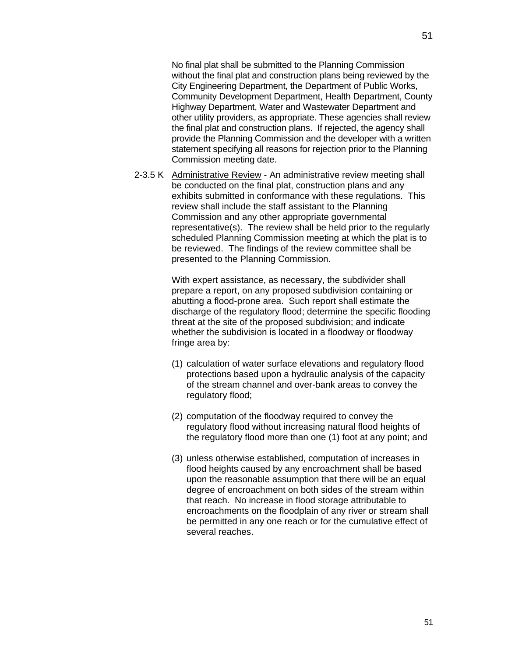No final plat shall be submitted to the Planning Commission without the final plat and construction plans being reviewed by the City Engineering Department, the Department of Public Works, Community Development Department, Health Department, County Highway Department, Water and Wastewater Department and other utility providers, as appropriate. These agencies shall review the final plat and construction plans. If rejected, the agency shall provide the Planning Commission and the developer with a written statement specifying all reasons for rejection prior to the Planning Commission meeting date.

2-3.5 K Administrative Review - An administrative review meeting shall be conducted on the final plat, construction plans and any exhibits submitted in conformance with these regulations. This review shall include the staff assistant to the Planning Commission and any other appropriate governmental representative(s). The review shall be held prior to the regularly scheduled Planning Commission meeting at which the plat is to be reviewed. The findings of the review committee shall be presented to the Planning Commission.

> With expert assistance, as necessary, the subdivider shall prepare a report, on any proposed subdivision containing or abutting a flood-prone area. Such report shall estimate the discharge of the regulatory flood; determine the specific flooding threat at the site of the proposed subdivision; and indicate whether the subdivision is located in a floodway or floodway fringe area by:

- (1) calculation of water surface elevations and regulatory flood protections based upon a hydraulic analysis of the capacity of the stream channel and over-bank areas to convey the regulatory flood;
- (2) computation of the floodway required to convey the regulatory flood without increasing natural flood heights of the regulatory flood more than one (1) foot at any point; and
- (3) unless otherwise established, computation of increases in flood heights caused by any encroachment shall be based upon the reasonable assumption that there will be an equal degree of encroachment on both sides of the stream within that reach. No increase in flood storage attributable to encroachments on the floodplain of any river or stream shall be permitted in any one reach or for the cumulative effect of several reaches.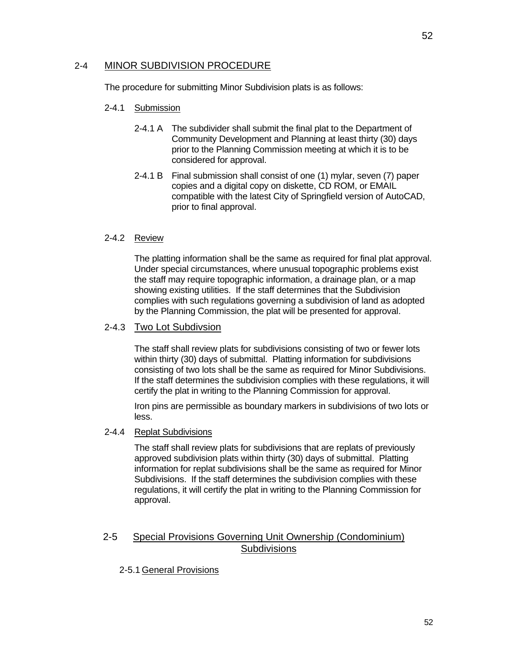## 2-4 MINOR SUBDIVISION PROCEDURE

The procedure for submitting Minor Subdivision plats is as follows:

#### 2-4.1 Submission

- 2-4.1 A The subdivider shall submit the final plat to the Department of Community Development and Planning at least thirty (30) days prior to the Planning Commission meeting at which it is to be considered for approval.
- 2-4.1 B Final submission shall consist of one (1) mylar, seven (7) paper copies and a digital copy on diskette, CD ROM, or EMAIL compatible with the latest City of Springfield version of AutoCAD, prior to final approval.

### 2-4.2 Review

The platting information shall be the same as required for final plat approval. Under special circumstances, where unusual topographic problems exist the staff may require topographic information, a drainage plan, or a map showing existing utilities. If the staff determines that the Subdivision complies with such regulations governing a subdivision of land as adopted by the Planning Commission, the plat will be presented for approval.

### 2-4.3 Two Lot Subdivsion

The staff shall review plats for subdivisions consisting of two or fewer lots within thirty (30) days of submittal. Platting information for subdivisions consisting of two lots shall be the same as required for Minor Subdivisions. If the staff determines the subdivision complies with these regulations, it will certify the plat in writing to the Planning Commission for approval.

Iron pins are permissible as boundary markers in subdivisions of two lots or less.

#### 2-4.4 Replat Subdivisions

The staff shall review plats for subdivisions that are replats of previously approved subdivision plats within thirty (30) days of submittal. Platting information for replat subdivisions shall be the same as required for Minor Subdivisions. If the staff determines the subdivision complies with these regulations, it will certify the plat in writing to the Planning Commission for approval.

## 2-5 Special Provisions Governing Unit Ownership (Condominium) **Subdivisions**

## 2-5.1 General Provisions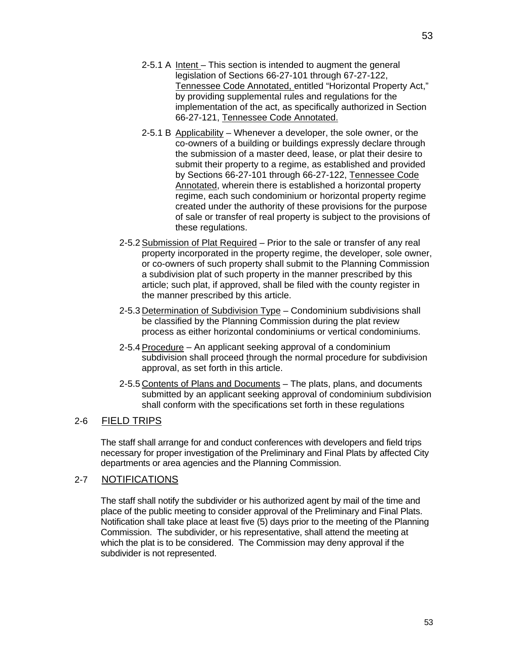- 2-5.1 A Intent This section is intended to augment the general legislation of Sections 66-27-101 through 67-27-122, Tennessee Code Annotated, entitled "Horizontal Property Act," by providing supplemental rules and regulations for the implementation of the act, as specifically authorized in Section 66-27-121, Tennessee Code Annotated.
- 2-5.1 B Applicability Whenever a developer, the sole owner, or the co-owners of a building or buildings expressly declare through the submission of a master deed, lease, or plat their desire to submit their property to a regime, as established and provided by Sections 66-27-101 through 66-27-122, Tennessee Code Annotated, wherein there is established a horizontal property regime, each such condominium or horizontal property regime created under the authority of these provisions for the purpose of sale or transfer of real property is subject to the provisions of these regulations.
- 2-5.2 Submission of Plat Required Prior to the sale or transfer of any real property incorporated in the property regime, the developer, sole owner, or co-owners of such property shall submit to the Planning Commission a subdivision plat of such property in the manner prescribed by this article; such plat, if approved, shall be filed with the county register in the manner prescribed by this article.
- 2-5.3 Determination of Subdivision Type Condominium subdivisions shall be classified by the Planning Commission during the plat review process as either horizontal condominiums or vertical condominiums.
- 2-5.4 Procedure An applicant seeking approval of a condominium subdivision shall proceed through the normal procedure for subdivision approval, as set forth in this article.
- 2-5.5 Contents of Plans and Documents The plats, plans, and documents submitted by an applicant seeking approval of condominium subdivision shall conform with the specifications set forth in these regulations

# 2-6 FIELD TRIPS

The staff shall arrange for and conduct conferences with developers and field trips necessary for proper investigation of the Preliminary and Final Plats by affected City departments or area agencies and the Planning Commission.

## 2-7 NOTIFICATIONS

The staff shall notify the subdivider or his authorized agent by mail of the time and place of the public meeting to consider approval of the Preliminary and Final Plats. Notification shall take place at least five (5) days prior to the meeting of the Planning Commission. The subdivider, or his representative, shall attend the meeting at which the plat is to be considered. The Commission may deny approval if the subdivider is not represented.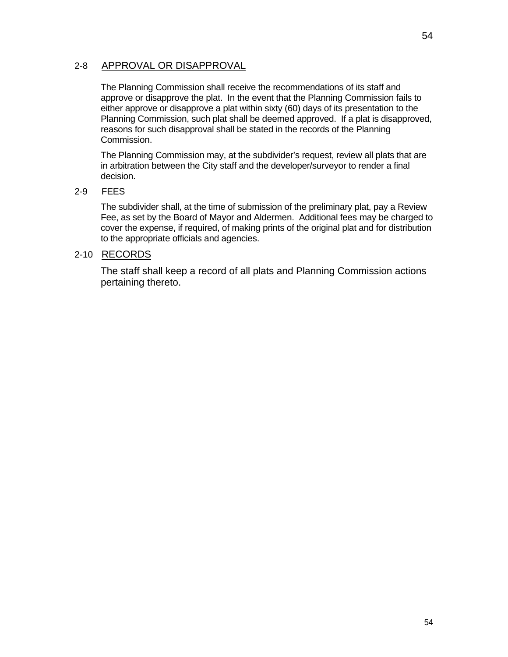# 2-8 APPROVAL OR DISAPPROVAL

The Planning Commission shall receive the recommendations of its staff and approve or disapprove the plat. In the event that the Planning Commission fails to either approve or disapprove a plat within sixty (60) days of its presentation to the Planning Commission, such plat shall be deemed approved. If a plat is disapproved, reasons for such disapproval shall be stated in the records of the Planning Commission.

The Planning Commission may, at the subdivider's request, review all plats that are in arbitration between the City staff and the developer/surveyor to render a final decision.

# 2-9 FEES

The subdivider shall, at the time of submission of the preliminary plat, pay a Review Fee, as set by the Board of Mayor and Aldermen. Additional fees may be charged to cover the expense, if required, of making prints of the original plat and for distribution to the appropriate officials and agencies.

# 2-10 RECORDS

The staff shall keep a record of all plats and Planning Commission actions pertaining thereto.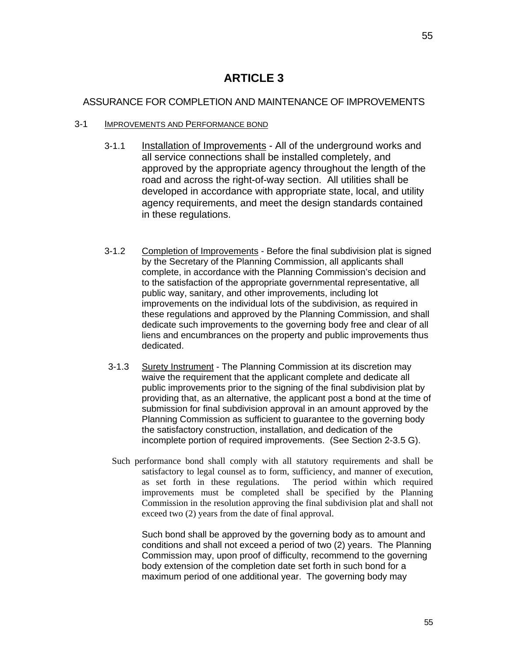# **ARTICLE 3**

# ASSURANCE FOR COMPLETION AND MAINTENANCE OF IMPROVEMENTS

# 3-1 IMPROVEMENTS AND PERFORMANCE BOND

- 3-1.1 Installation of Improvements All of the underground works and all service connections shall be installed completely, and approved by the appropriate agency throughout the length of the road and across the right-of-way section. All utilities shall be developed in accordance with appropriate state, local, and utility agency requirements, and meet the design standards contained in these regulations.
- 3-1.2 Completion of Improvements Before the final subdivision plat is signed by the Secretary of the Planning Commission, all applicants shall complete, in accordance with the Planning Commission's decision and to the satisfaction of the appropriate governmental representative, all public way, sanitary, and other improvements, including lot improvements on the individual lots of the subdivision, as required in these regulations and approved by the Planning Commission, and shall dedicate such improvements to the governing body free and clear of all liens and encumbrances on the property and public improvements thus dedicated.
- 3-1.3 Surety Instrument The Planning Commission at its discretion may waive the requirement that the applicant complete and dedicate all public improvements prior to the signing of the final subdivision plat by providing that, as an alternative, the applicant post a bond at the time of submission for final subdivision approval in an amount approved by the Planning Commission as sufficient to guarantee to the governing body the satisfactory construction, installation, and dedication of the incomplete portion of required improvements. (See Section 2-3.5 G).
- Such performance bond shall comply with all statutory requirements and shall be satisfactory to legal counsel as to form, sufficiency, and manner of execution, as set forth in these regulations. The period within which required improvements must be completed shall be specified by the Planning Commission in the resolution approving the final subdivision plat and shall not exceed two (2) years from the date of final approval.

Such bond shall be approved by the governing body as to amount and conditions and shall not exceed a period of two (2) years. The Planning Commission may, upon proof of difficulty, recommend to the governing body extension of the completion date set forth in such bond for a maximum period of one additional year. The governing body may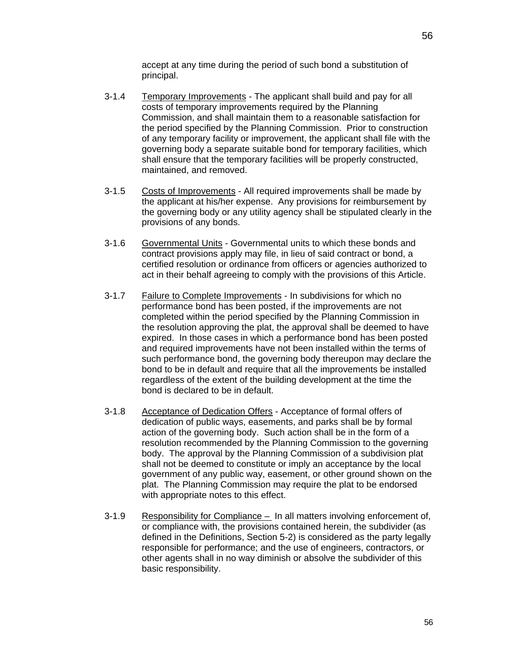accept at any time during the period of such bond a substitution of principal.

- 3-1.4 Temporary Improvements The applicant shall build and pay for all costs of temporary improvements required by the Planning Commission, and shall maintain them to a reasonable satisfaction for the period specified by the Planning Commission. Prior to construction of any temporary facility or improvement, the applicant shall file with the governing body a separate suitable bond for temporary facilities, which shall ensure that the temporary facilities will be properly constructed, maintained, and removed.
- 3-1.5 Costs of Improvements All required improvements shall be made by the applicant at his/her expense. Any provisions for reimbursement by the governing body or any utility agency shall be stipulated clearly in the provisions of any bonds.
- 3-1.6 Governmental Units Governmental units to which these bonds and contract provisions apply may file, in lieu of said contract or bond, a certified resolution or ordinance from officers or agencies authorized to act in their behalf agreeing to comply with the provisions of this Article.
- 3-1.7 Failure to Complete Improvements In subdivisions for which no performance bond has been posted, if the improvements are not completed within the period specified by the Planning Commission in the resolution approving the plat, the approval shall be deemed to have expired. In those cases in which a performance bond has been posted and required improvements have not been installed within the terms of such performance bond, the governing body thereupon may declare the bond to be in default and require that all the improvements be installed regardless of the extent of the building development at the time the bond is declared to be in default.
- 3-1.8 Acceptance of Dedication Offers Acceptance of formal offers of dedication of public ways, easements, and parks shall be by formal action of the governing body. Such action shall be in the form of a resolution recommended by the Planning Commission to the governing body. The approval by the Planning Commission of a subdivision plat shall not be deemed to constitute or imply an acceptance by the local government of any public way, easement, or other ground shown on the plat. The Planning Commission may require the plat to be endorsed with appropriate notes to this effect.
- 3-1.9 Responsibility for Compliance In all matters involving enforcement of, or compliance with, the provisions contained herein, the subdivider (as defined in the Definitions, Section 5-2) is considered as the party legally responsible for performance; and the use of engineers, contractors, or other agents shall in no way diminish or absolve the subdivider of this basic responsibility.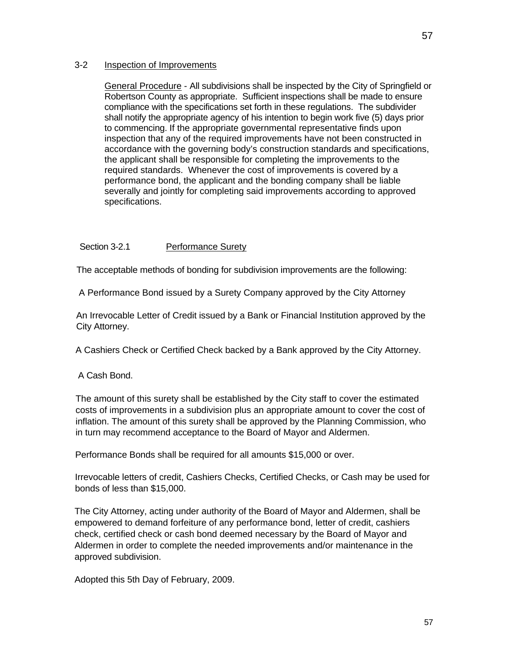## 3-2 Inspection of Improvements

General Procedure - All subdivisions shall be inspected by the City of Springfield or Robertson County as appropriate. Sufficient inspections shall be made to ensure compliance with the specifications set forth in these regulations. The subdivider shall notify the appropriate agency of his intention to begin work five (5) days prior to commencing. If the appropriate governmental representative finds upon inspection that any of the required improvements have not been constructed in accordance with the governing body's construction standards and specifications, the applicant shall be responsible for completing the improvements to the required standards. Whenever the cost of improvements is covered by a performance bond, the applicant and the bonding company shall be liable severally and jointly for completing said improvements according to approved specifications.

#### Section 3-2.1 Performance Surety

The acceptable methods of bonding for subdivision improvements are the following:

A Performance Bond issued by a Surety Company approved by the City Attorney

An Irrevocable Letter of Credit issued by a Bank or Financial Institution approved by the City Attorney.

A Cashiers Check or Certified Check backed by a Bank approved by the City Attorney.

A Cash Bond.

The amount of this surety shall be established by the City staff to cover the estimated costs of improvements in a subdivision plus an appropriate amount to cover the cost of inflation. The amount of this surety shall be approved by the Planning Commission, who in turn may recommend acceptance to the Board of Mayor and Aldermen.

Performance Bonds shall be required for all amounts \$15,000 or over.

Irrevocable letters of credit, Cashiers Checks, Certified Checks, or Cash may be used for bonds of less than \$15,000.

The City Attorney, acting under authority of the Board of Mayor and Aldermen, shall be empowered to demand forfeiture of any performance bond, letter of credit, cashiers check, certified check or cash bond deemed necessary by the Board of Mayor and Aldermen in order to complete the needed improvements and/or maintenance in the approved subdivision.

Adopted this 5th Day of February, 2009.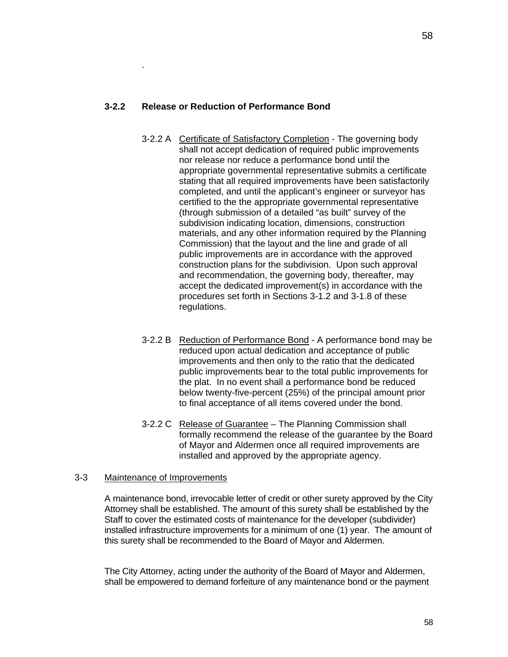# **3-2.2 Release or Reduction of Performance Bond**

.

- 3-2.2 A Certificate of Satisfactory Completion The governing body shall not accept dedication of required public improvements nor release nor reduce a performance bond until the appropriate governmental representative submits a certificate stating that all required improvements have been satisfactorily completed, and until the applicant's engineer or surveyor has certified to the the appropriate governmental representative (through submission of a detailed "as built" survey of the subdivision indicating location, dimensions, construction materials, and any other information required by the Planning Commission) that the layout and the line and grade of all public improvements are in accordance with the approved construction plans for the subdivision. Upon such approval and recommendation, the governing body, thereafter, may accept the dedicated improvement(s) in accordance with the procedures set forth in Sections 3-1.2 and 3-1.8 of these regulations.
- 3-2.2 B Reduction of Performance Bond A performance bond may be reduced upon actual dedication and acceptance of public improvements and then only to the ratio that the dedicated public improvements bear to the total public improvements for the plat. In no event shall a performance bond be reduced below twenty-five-percent (25%) of the principal amount prior to final acceptance of all items covered under the bond.
- 3-2.2 C Release of Guarantee The Planning Commission shall formally recommend the release of the guarantee by the Board of Mayor and Aldermen once all required improvements are installed and approved by the appropriate agency.

#### 3-3 Maintenance of Improvements

A maintenance bond, irrevocable letter of credit or other surety approved by the City Attorney shall be established. The amount of this surety shall be established by the Staff to cover the estimated costs of maintenance for the developer (subdivider) installed infrastructure improvements for a minimum of one (1) year. The amount of this surety shall be recommended to the Board of Mayor and Aldermen.

The City Attorney, acting under the authority of the Board of Mayor and Aldermen, shall be empowered to demand forfeiture of any maintenance bond or the payment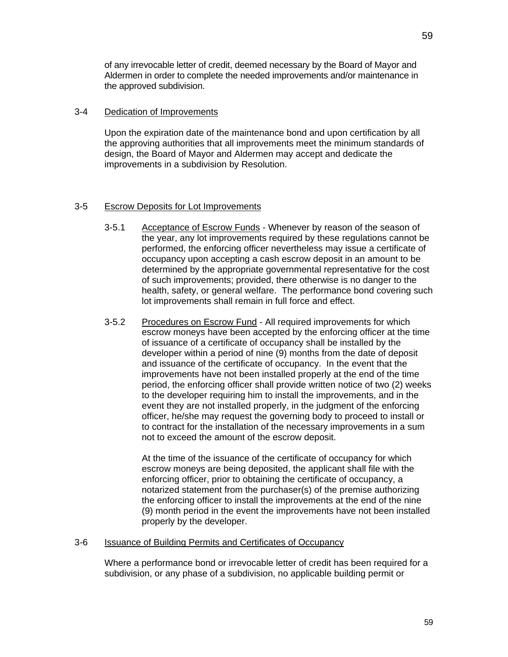of any irrevocable letter of credit, deemed necessary by the Board of Mayor and Aldermen in order to complete the needed improvements and/or maintenance in the approved subdivision.

#### 3-4 Dedication of Improvements

Upon the expiration date of the maintenance bond and upon certification by all the approving authorities that all improvements meet the minimum standards of design, the Board of Mayor and Aldermen may accept and dedicate the improvements in a subdivision by Resolution.

### 3-5 Escrow Deposits for Lot Improvements

- 3-5.1 Acceptance of Escrow Funds Whenever by reason of the season of the year, any lot improvements required by these regulations cannot be performed, the enforcing officer nevertheless may issue a certificate of occupancy upon accepting a cash escrow deposit in an amount to be determined by the appropriate governmental representative for the cost of such improvements; provided, there otherwise is no danger to the health, safety, or general welfare. The performance bond covering such lot improvements shall remain in full force and effect.
- 3-5.2 Procedures on Escrow Fund All required improvements for which escrow moneys have been accepted by the enforcing officer at the time of issuance of a certificate of occupancy shall be installed by the developer within a period of nine (9) months from the date of deposit and issuance of the certificate of occupancy. In the event that the improvements have not been installed properly at the end of the time period, the enforcing officer shall provide written notice of two (2) weeks to the developer requiring him to install the improvements, and in the event they are not installed properly, in the judgment of the enforcing officer, he/she may request the governing body to proceed to install or to contract for the installation of the necessary improvements in a sum not to exceed the amount of the escrow deposit.

At the time of the issuance of the certificate of occupancy for which escrow moneys are being deposited, the applicant shall file with the enforcing officer, prior to obtaining the certificate of occupancy, a notarized statement from the purchaser(s) of the premise authorizing the enforcing officer to install the improvements at the end of the nine (9) month period in the event the improvements have not been installed properly by the developer.

#### 3-6 Issuance of Building Permits and Certificates of Occupancy

Where a performance bond or irrevocable letter of credit has been required for a subdivision, or any phase of a subdivision, no applicable building permit or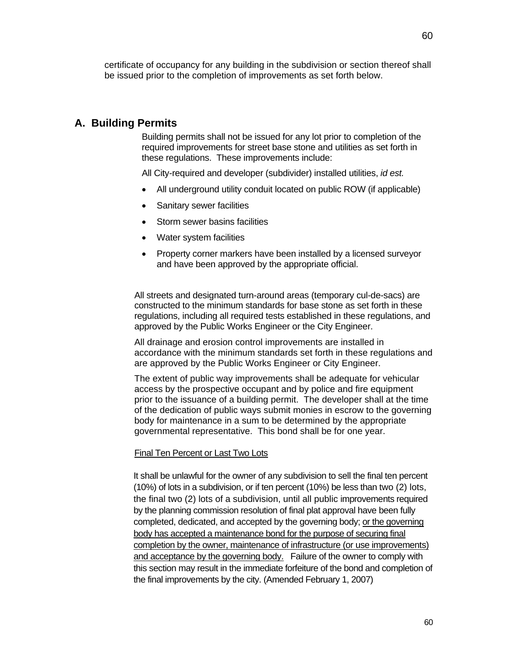certificate of occupancy for any building in the subdivision or section thereof shall be issued prior to the completion of improvements as set forth below.

# **A. Building Permits**

Building permits shall not be issued for any lot prior to completion of the required improvements for street base stone and utilities as set forth in these regulations. These improvements include:

All City-required and developer (subdivider) installed utilities, *id est.*

- All underground utility conduit located on public ROW (if applicable)
- Sanitary sewer facilities
- Storm sewer basins facilities
- Water system facilities
- Property corner markers have been installed by a licensed surveyor and have been approved by the appropriate official.

All streets and designated turn-around areas (temporary cul-de-sacs) are constructed to the minimum standards for base stone as set forth in these regulations, including all required tests established in these regulations, and approved by the Public Works Engineer or the City Engineer.

All drainage and erosion control improvements are installed in accordance with the minimum standards set forth in these regulations and are approved by the Public Works Engineer or City Engineer.

The extent of public way improvements shall be adequate for vehicular access by the prospective occupant and by police and fire equipment prior to the issuance of a building permit. The developer shall at the time of the dedication of public ways submit monies in escrow to the governing body for maintenance in a sum to be determined by the appropriate governmental representative. This bond shall be for one year.

#### Final Ten Percent or Last Two Lots

It shall be unlawful for the owner of any subdivision to sell the final ten percent (10%) of lots in a subdivision, or if ten percent (10%) be less than two (2) lots, the final two (2) lots of a subdivision, until all public improvements required by the planning commission resolution of final plat approval have been fully completed, dedicated, and accepted by the governing body; or the governing body has accepted a maintenance bond for the purpose of securing final completion by the owner, maintenance of infrastructure (or use improvements) and acceptance by the governing body. Failure of the owner to comply with this section may result in the immediate forfeiture of the bond and completion of the final improvements by the city. (Amended February 1, 2007)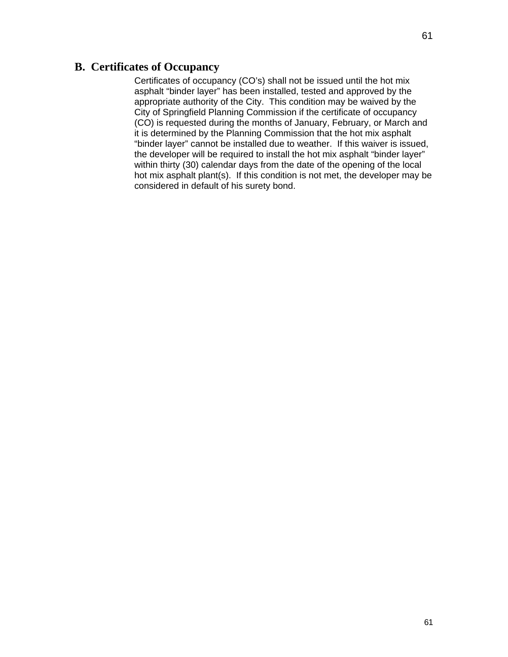# **B. Certificates of Occupancy**

Certificates of occupancy (CO's) shall not be issued until the hot mix asphalt "binder layer" has been installed, tested and approved by the appropriate authority of the City. This condition may be waived by the City of Springfield Planning Commission if the certificate of occupancy (CO) is requested during the months of January, February, or March and it is determined by the Planning Commission that the hot mix asphalt "binder layer" cannot be installed due to weather. If this waiver is issued, the developer will be required to install the hot mix asphalt "binder layer" within thirty (30) calendar days from the date of the opening of the local hot mix asphalt plant(s). If this condition is not met, the developer may be considered in default of his surety bond.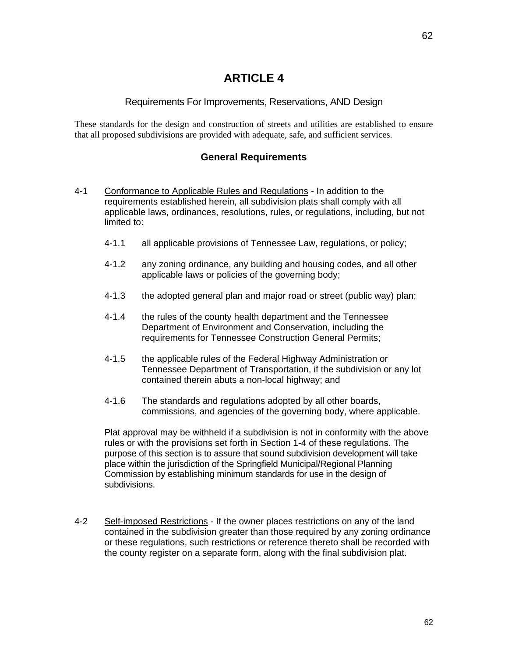# **ARTICLE 4**

## Requirements For Improvements, Reservations, AND Design

These standards for the design and construction of streets and utilities are established to ensure that all proposed subdivisions are provided with adequate, safe, and sufficient services.

## **General Requirements**

- 4-1 Conformance to Applicable Rules and Regulations In addition to the requirements established herein, all subdivision plats shall comply with all applicable laws, ordinances, resolutions, rules, or regulations, including, but not limited to:
	- 4-1.1 all applicable provisions of Tennessee Law, regulations, or policy;
	- 4-1.2 any zoning ordinance, any building and housing codes, and all other applicable laws or policies of the governing body;
	- 4-1.3 the adopted general plan and major road or street (public way) plan;
	- 4-1.4 the rules of the county health department and the Tennessee Department of Environment and Conservation, including the requirements for Tennessee Construction General Permits;
	- 4-1.5 the applicable rules of the Federal Highway Administration or Tennessee Department of Transportation, if the subdivision or any lot contained therein abuts a non-local highway; and
	- 4-1.6 The standards and regulations adopted by all other boards, commissions, and agencies of the governing body, where applicable.

Plat approval may be withheld if a subdivision is not in conformity with the above rules or with the provisions set forth in Section 1-4 of these regulations. The purpose of this section is to assure that sound subdivision development will take place within the jurisdiction of the Springfield Municipal/Regional Planning Commission by establishing minimum standards for use in the design of subdivisions.

4-2 Self-imposed Restrictions - If the owner places restrictions on any of the land contained in the subdivision greater than those required by any zoning ordinance or these regulations, such restrictions or reference thereto shall be recorded with the county register on a separate form, along with the final subdivision plat.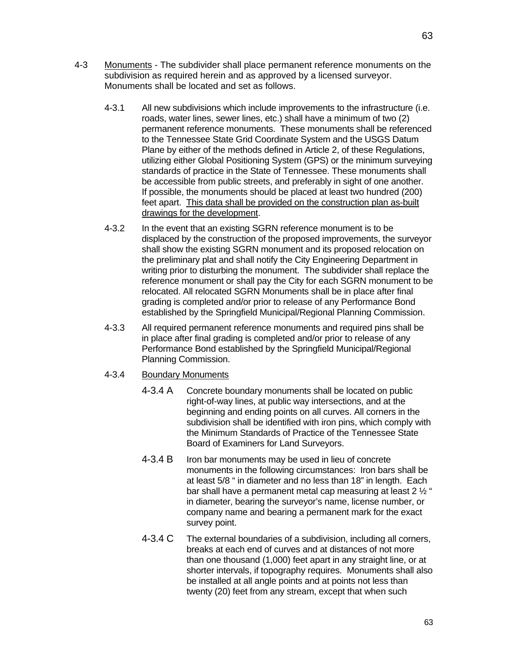- 4-3 Monuments The subdivider shall place permanent reference monuments on the subdivision as required herein and as approved by a licensed surveyor. Monuments shall be located and set as follows.
	- 4-3.1 All new subdivisions which include improvements to the infrastructure (i.e. roads, water lines, sewer lines, etc.) shall have a minimum of two (2) permanent reference monuments. These monuments shall be referenced to the Tennessee State Grid Coordinate System and the USGS Datum Plane by either of the methods defined in Article 2, of these Regulations, utilizing either Global Positioning System (GPS) or the minimum surveying standards of practice in the State of Tennessee. These monuments shall be accessible from public streets, and preferably in sight of one another. If possible, the monuments should be placed at least two hundred (200) feet apart. This data shall be provided on the construction plan as-built drawings for the development.
	- 4-3.2 In the event that an existing SGRN reference monument is to be displaced by the construction of the proposed improvements, the surveyor shall show the existing SGRN monument and its proposed relocation on the preliminary plat and shall notify the City Engineering Department in writing prior to disturbing the monument. The subdivider shall replace the reference monument or shall pay the City for each SGRN monument to be relocated. All relocated SGRN Monuments shall be in place after final grading is completed and/or prior to release of any Performance Bond established by the Springfield Municipal/Regional Planning Commission.
	- 4-3.3 All required permanent reference monuments and required pins shall be in place after final grading is completed and/or prior to release of any Performance Bond established by the Springfield Municipal/Regional Planning Commission.
	- 4-3.4 Boundary Monuments
		- 4-3.4 A Concrete boundary monuments shall be located on public right-of-way lines, at public way intersections, and at the beginning and ending points on all curves. All corners in the subdivision shall be identified with iron pins, which comply with the Minimum Standards of Practice of the Tennessee State Board of Examiners for Land Surveyors.
		- 4-3.4 B Iron bar monuments may be used in lieu of concrete monuments in the following circumstances: Iron bars shall be at least 5/8 " in diameter and no less than 18" in length. Each bar shall have a permanent metal cap measuring at least 2 ½ " in diameter, bearing the surveyor's name, license number, or company name and bearing a permanent mark for the exact survey point.
		- 4-3.4 C The external boundaries of a subdivision, including all corners, breaks at each end of curves and at distances of not more than one thousand (1,000) feet apart in any straight line, or at shorter intervals, if topography requires. Monuments shall also be installed at all angle points and at points not less than twenty (20) feet from any stream, except that when such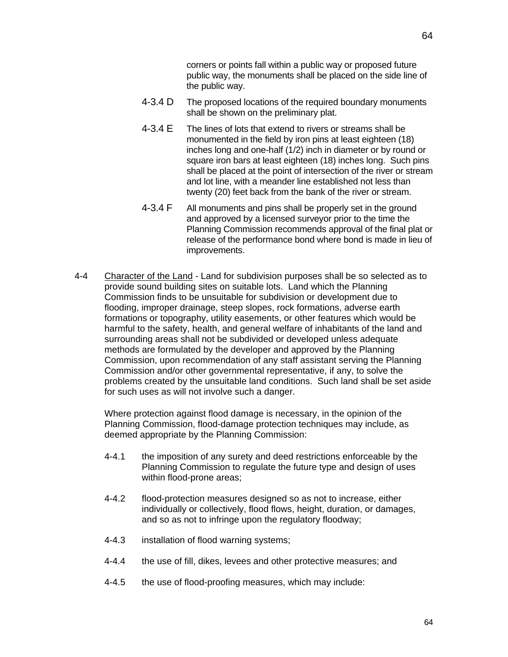corners or points fall within a public way or proposed future public way, the monuments shall be placed on the side line of the public way.

- 4-3.4 D The proposed locations of the required boundary monuments shall be shown on the preliminary plat.
- 4-3.4 E The lines of lots that extend to rivers or streams shall be monumented in the field by iron pins at least eighteen (18) inches long and one-half (1/2) inch in diameter or by round or square iron bars at least eighteen (18) inches long. Such pins shall be placed at the point of intersection of the river or stream and lot line, with a meander line established not less than twenty (20) feet back from the bank of the river or stream.
- 4-3.4 F All monuments and pins shall be properly set in the ground and approved by a licensed surveyor prior to the time the Planning Commission recommends approval of the final plat or release of the performance bond where bond is made in lieu of improvements.
- 4-4 Character of the Land Land for subdivision purposes shall be so selected as to provide sound building sites on suitable lots. Land which the Planning Commission finds to be unsuitable for subdivision or development due to flooding, improper drainage, steep slopes, rock formations, adverse earth formations or topography, utility easements, or other features which would be harmful to the safety, health, and general welfare of inhabitants of the land and surrounding areas shall not be subdivided or developed unless adequate methods are formulated by the developer and approved by the Planning Commission, upon recommendation of any staff assistant serving the Planning Commission and/or other governmental representative, if any, to solve the problems created by the unsuitable land conditions. Such land shall be set aside for such uses as will not involve such a danger.

Where protection against flood damage is necessary, in the opinion of the Planning Commission, flood-damage protection techniques may include, as deemed appropriate by the Planning Commission:

- 4-4.1 the imposition of any surety and deed restrictions enforceable by the Planning Commission to regulate the future type and design of uses within flood-prone areas;
- 4-4.2 flood-protection measures designed so as not to increase, either individually or collectively, flood flows, height, duration, or damages, and so as not to infringe upon the regulatory floodway;
- 4-4.3 installation of flood warning systems;
- 4-4.4 the use of fill, dikes, levees and other protective measures; and
- 4-4.5 the use of flood-proofing measures, which may include: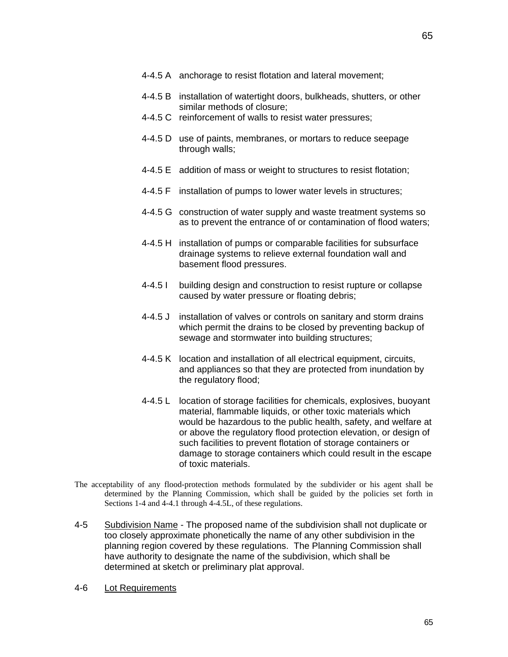- 4-4.5 A anchorage to resist flotation and lateral movement;
- 4-4.5 B installation of watertight doors, bulkheads, shutters, or other similar methods of closure;
- 4-4.5 C reinforcement of walls to resist water pressures;
- 4-4.5 D use of paints, membranes, or mortars to reduce seepage through walls;
- 4-4.5 E addition of mass or weight to structures to resist flotation;
- 4-4.5 F installation of pumps to lower water levels in structures;
- 4-4.5 G construction of water supply and waste treatment systems so as to prevent the entrance of or contamination of flood waters;
- 4-4.5 H installation of pumps or comparable facilities for subsurface drainage systems to relieve external foundation wall and basement flood pressures.
- 4-4.5 I building design and construction to resist rupture or collapse caused by water pressure or floating debris;
- 4-4.5 J installation of valves or controls on sanitary and storm drains which permit the drains to be closed by preventing backup of sewage and stormwater into building structures;
- 4-4.5 K location and installation of all electrical equipment, circuits, and appliances so that they are protected from inundation by the regulatory flood;
- 4-4.5 L location of storage facilities for chemicals, explosives, buoyant material, flammable liquids, or other toxic materials which would be hazardous to the public health, safety, and welfare at or above the regulatory flood protection elevation, or design of such facilities to prevent flotation of storage containers or damage to storage containers which could result in the escape of toxic materials.
- The acceptability of any flood-protection methods formulated by the subdivider or his agent shall be determined by the Planning Commission, which shall be guided by the policies set forth in Sections 1-4 and 4-4.1 through 4-4.5L, of these regulations.
- 4-5 Subdivision Name The proposed name of the subdivision shall not duplicate or too closely approximate phonetically the name of any other subdivision in the planning region covered by these regulations. The Planning Commission shall have authority to designate the name of the subdivision, which shall be determined at sketch or preliminary plat approval.
- 4-6 Lot Requirements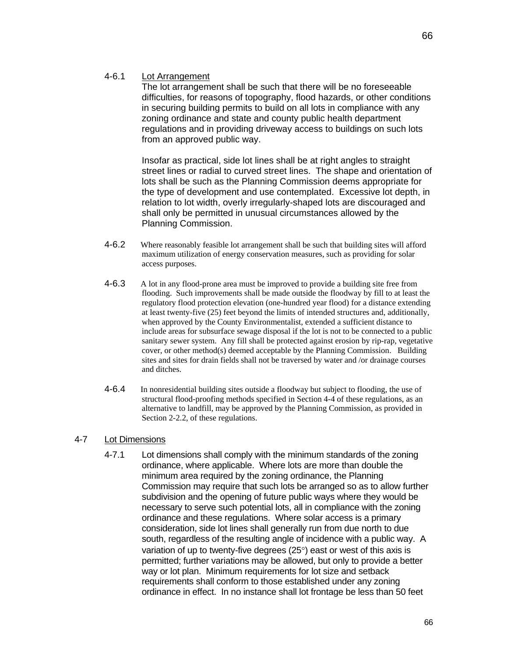#### 4-6.1 Lot Arrangement

The lot arrangement shall be such that there will be no foreseeable difficulties, for reasons of topography, flood hazards, or other conditions in securing building permits to build on all lots in compliance with any zoning ordinance and state and county public health department regulations and in providing driveway access to buildings on such lots from an approved public way.

Insofar as practical, side lot lines shall be at right angles to straight street lines or radial to curved street lines. The shape and orientation of lots shall be such as the Planning Commission deems appropriate for the type of development and use contemplated. Excessive lot depth, in relation to lot width, overly irregularly-shaped lots are discouraged and shall only be permitted in unusual circumstances allowed by the Planning Commission.

- 4-6.2 Where reasonably feasible lot arrangement shall be such that building sites will afford maximum utilization of energy conservation measures, such as providing for solar access purposes.
- 4-6.3 A lot in any flood-prone area must be improved to provide a building site free from flooding. Such improvements shall be made outside the floodway by fill to at least the regulatory flood protection elevation (one-hundred year flood) for a distance extending at least twenty-five (25) feet beyond the limits of intended structures and, additionally, when approved by the County Environmentalist, extended a sufficient distance to include areas for subsurface sewage disposal if the lot is not to be connected to a public sanitary sewer system. Any fill shall be protected against erosion by rip-rap, vegetative cover, or other method(s) deemed acceptable by the Planning Commission. Building sites and sites for drain fields shall not be traversed by water and /or drainage courses and ditches.
- 4-6.4 In nonresidential building sites outside a floodway but subject to flooding, the use of structural flood-proofing methods specified in Section 4-4 of these regulations, as an alternative to landfill, may be approved by the Planning Commission, as provided in Section 2-2.2, of these regulations.

#### 4-7 Lot Dimensions

4-7.1 Lot dimensions shall comply with the minimum standards of the zoning ordinance, where applicable. Where lots are more than double the minimum area required by the zoning ordinance, the Planning Commission may require that such lots be arranged so as to allow further subdivision and the opening of future public ways where they would be necessary to serve such potential lots, all in compliance with the zoning ordinance and these regulations. Where solar access is a primary consideration, side lot lines shall generally run from due north to due south, regardless of the resulting angle of incidence with a public way. A variation of up to twenty-five degrees  $(25^{\circ})$  east or west of this axis is permitted; further variations may be allowed, but only to provide a better way or lot plan. Minimum requirements for lot size and setback requirements shall conform to those established under any zoning ordinance in effect. In no instance shall lot frontage be less than 50 feet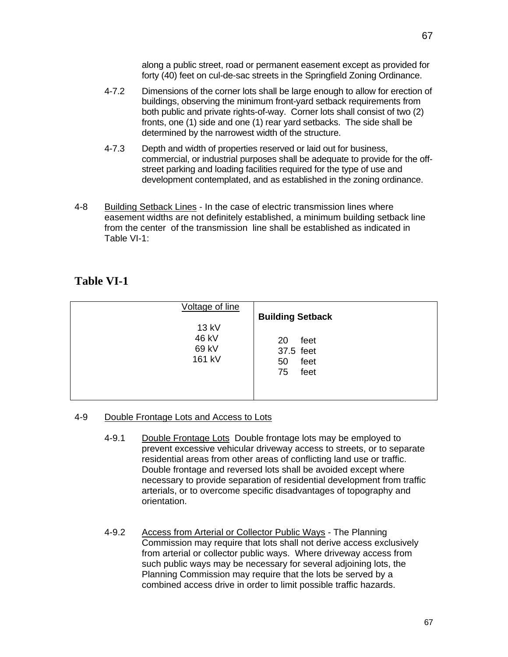along a public street, road or permanent easement except as provided for forty (40) feet on cul-de-sac streets in the Springfield Zoning Ordinance.

- 4-7.2 Dimensions of the corner lots shall be large enough to allow for erection of buildings, observing the minimum front-yard setback requirements from both public and private rights-of-way. Corner lots shall consist of two (2) fronts, one (1) side and one (1) rear yard setbacks. The side shall be determined by the narrowest width of the structure.
- 4-7.3 Depth and width of properties reserved or laid out for business, commercial, or industrial purposes shall be adequate to provide for the offstreet parking and loading facilities required for the type of use and development contemplated, and as established in the zoning ordinance.
- 4-8 Building Setback Lines In the case of electric transmission lines where easement widths are not definitely established, a minimum building setback line from the center of the transmission line shall be established as indicated in Table VI-1:

# **Table VI-1**

| Voltage of line                   | <b>Building Setback</b>                             |
|-----------------------------------|-----------------------------------------------------|
| 13 kV<br>46 kV<br>69 kV<br>161 kV | feet<br>20<br>37.5 feet<br>feet<br>50<br>feet<br>75 |

## 4-9 Double Frontage Lots and Access to Lots

- 4-9.1 Double Frontage Lots Double frontage lots may be employed to prevent excessive vehicular driveway access to streets, or to separate residential areas from other areas of conflicting land use or traffic. Double frontage and reversed lots shall be avoided except where necessary to provide separation of residential development from traffic arterials, or to overcome specific disadvantages of topography and orientation.
- 4-9.2 Access from Arterial or Collector Public Ways The Planning Commission may require that lots shall not derive access exclusively from arterial or collector public ways. Where driveway access from such public ways may be necessary for several adjoining lots, the Planning Commission may require that the lots be served by a combined access drive in order to limit possible traffic hazards.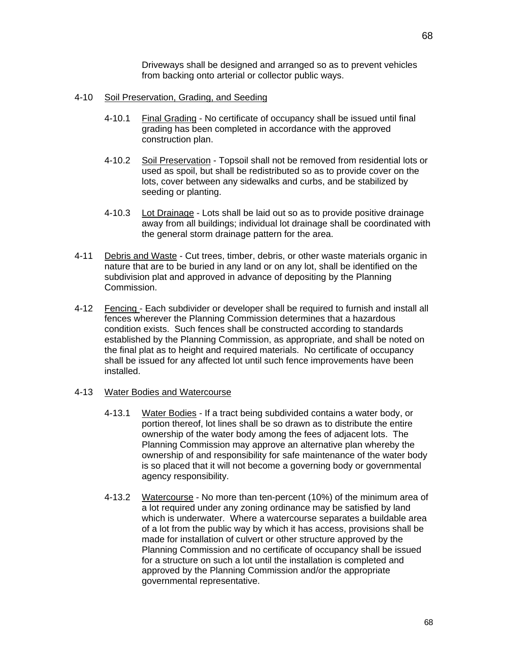Driveways shall be designed and arranged so as to prevent vehicles from backing onto arterial or collector public ways.

#### 4-10 Soil Preservation, Grading, and Seeding

- 4-10.1 Final Grading No certificate of occupancy shall be issued until final grading has been completed in accordance with the approved construction plan.
- 4-10.2 Soil Preservation Topsoil shall not be removed from residential lots or used as spoil, but shall be redistributed so as to provide cover on the lots, cover between any sidewalks and curbs, and be stabilized by seeding or planting.
- 4-10.3 Lot Drainage Lots shall be laid out so as to provide positive drainage away from all buildings; individual lot drainage shall be coordinated with the general storm drainage pattern for the area.
- 4-11 Debris and Waste Cut trees, timber, debris, or other waste materials organic in nature that are to be buried in any land or on any lot, shall be identified on the subdivision plat and approved in advance of depositing by the Planning Commission.
- 4-12 Fencing Each subdivider or developer shall be required to furnish and install all fences wherever the Planning Commission determines that a hazardous condition exists. Such fences shall be constructed according to standards established by the Planning Commission, as appropriate, and shall be noted on the final plat as to height and required materials. No certificate of occupancy shall be issued for any affected lot until such fence improvements have been installed.

#### 4-13 Water Bodies and Watercourse

- 4-13.1 Water Bodies If a tract being subdivided contains a water body, or portion thereof, lot lines shall be so drawn as to distribute the entire ownership of the water body among the fees of adjacent lots. The Planning Commission may approve an alternative plan whereby the ownership of and responsibility for safe maintenance of the water body is so placed that it will not become a governing body or governmental agency responsibility.
- 4-13.2 Watercourse No more than ten-percent (10%) of the minimum area of a lot required under any zoning ordinance may be satisfied by land which is underwater. Where a watercourse separates a buildable area of a lot from the public way by which it has access, provisions shall be made for installation of culvert or other structure approved by the Planning Commission and no certificate of occupancy shall be issued for a structure on such a lot until the installation is completed and approved by the Planning Commission and/or the appropriate governmental representative.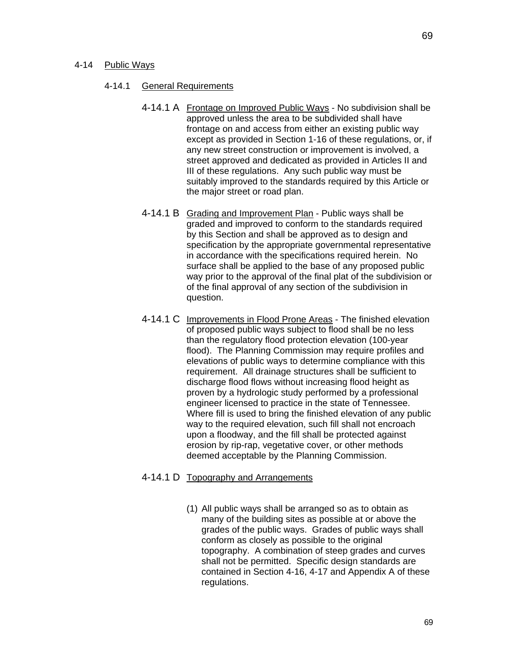#### 4-14.1 General Requirements

- 4-14.1 A Frontage on Improved Public Ways No subdivision shall be approved unless the area to be subdivided shall have frontage on and access from either an existing public way except as provided in Section 1-16 of these regulations, or, if any new street construction or improvement is involved, a street approved and dedicated as provided in Articles II and III of these regulations. Any such public way must be suitably improved to the standards required by this Article or the major street or road plan.
- 4-14.1 B Grading and Improvement Plan Public ways shall be graded and improved to conform to the standards required by this Section and shall be approved as to design and specification by the appropriate governmental representative in accordance with the specifications required herein. No surface shall be applied to the base of any proposed public way prior to the approval of the final plat of the subdivision or of the final approval of any section of the subdivision in question.
- 4-14.1 C Improvements in Flood Prone Areas The finished elevation of proposed public ways subject to flood shall be no less than the regulatory flood protection elevation (100-year flood). The Planning Commission may require profiles and elevations of public ways to determine compliance with this requirement. All drainage structures shall be sufficient to discharge flood flows without increasing flood height as proven by a hydrologic study performed by a professional engineer licensed to practice in the state of Tennessee. Where fill is used to bring the finished elevation of any public way to the required elevation, such fill shall not encroach upon a floodway, and the fill shall be protected against erosion by rip-rap, vegetative cover, or other methods deemed acceptable by the Planning Commission.

## 4-14.1 D Topography and Arrangements

(1) All public ways shall be arranged so as to obtain as many of the building sites as possible at or above the grades of the public ways. Grades of public ways shall conform as closely as possible to the original topography. A combination of steep grades and curves shall not be permitted. Specific design standards are contained in Section 4-16, 4-17 and Appendix A of these regulations.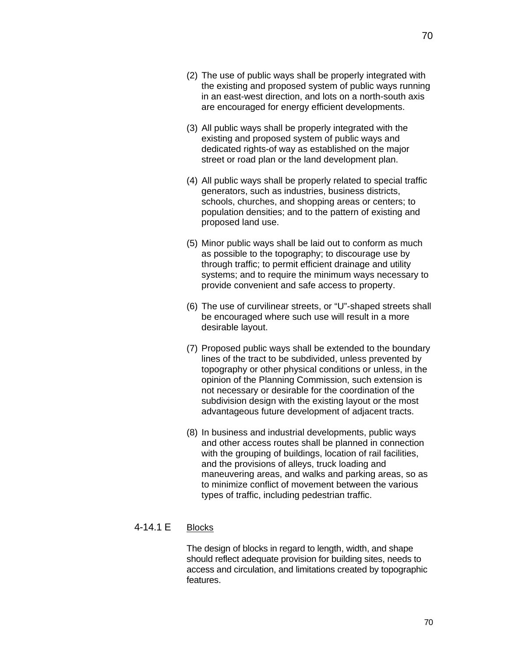- (2) The use of public ways shall be properly integrated with the existing and proposed system of public ways running in an east-west direction, and lots on a north-south axis are encouraged for energy efficient developments.
- (3) All public ways shall be properly integrated with the existing and proposed system of public ways and dedicated rights-of way as established on the major street or road plan or the land development plan.
- (4) All public ways shall be properly related to special traffic generators, such as industries, business districts, schools, churches, and shopping areas or centers; to population densities; and to the pattern of existing and proposed land use.
- (5) Minor public ways shall be laid out to conform as much as possible to the topography; to discourage use by through traffic; to permit efficient drainage and utility systems; and to require the minimum ways necessary to provide convenient and safe access to property.
- (6) The use of curvilinear streets, or "U"-shaped streets shall be encouraged where such use will result in a more desirable layout.
- (7) Proposed public ways shall be extended to the boundary lines of the tract to be subdivided, unless prevented by topography or other physical conditions or unless, in the opinion of the Planning Commission, such extension is not necessary or desirable for the coordination of the subdivision design with the existing layout or the most advantageous future development of adjacent tracts.
- (8) In business and industrial developments, public ways and other access routes shall be planned in connection with the grouping of buildings, location of rail facilities, and the provisions of alleys, truck loading and maneuvering areas, and walks and parking areas, so as to minimize conflict of movement between the various types of traffic, including pedestrian traffic.

## 4-14.1 E Blocks

The design of blocks in regard to length, width, and shape should reflect adequate provision for building sites, needs to access and circulation, and limitations created by topographic features.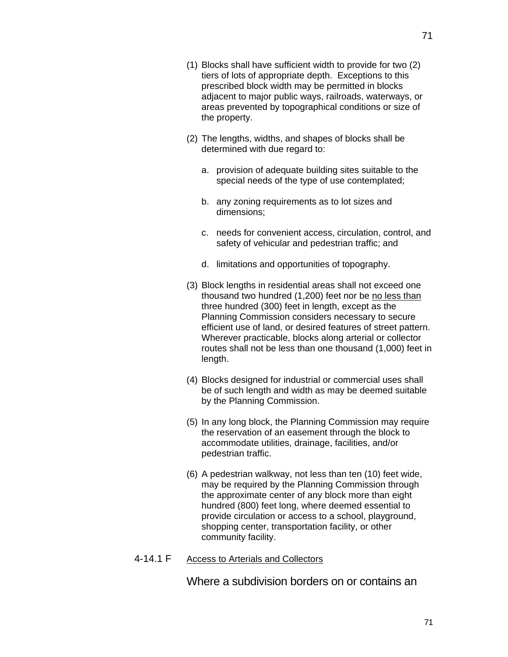- (1) Blocks shall have sufficient width to provide for two (2) tiers of lots of appropriate depth. Exceptions to this prescribed block width may be permitted in blocks adjacent to major public ways, railroads, waterways, or areas prevented by topographical conditions or size of the property.
- (2) The lengths, widths, and shapes of blocks shall be determined with due regard to:
	- a. provision of adequate building sites suitable to the special needs of the type of use contemplated;
	- b. any zoning requirements as to lot sizes and dimensions;
	- c. needs for convenient access, circulation, control, and safety of vehicular and pedestrian traffic; and
	- d. limitations and opportunities of topography.
- (3) Block lengths in residential areas shall not exceed one thousand two hundred (1,200) feet nor be no less than three hundred (300) feet in length, except as the Planning Commission considers necessary to secure efficient use of land, or desired features of street pattern. Wherever practicable, blocks along arterial or collector routes shall not be less than one thousand (1,000) feet in length.
- (4) Blocks designed for industrial or commercial uses shall be of such length and width as may be deemed suitable by the Planning Commission.
- (5) In any long block, the Planning Commission may require the reservation of an easement through the block to accommodate utilities, drainage, facilities, and/or pedestrian traffic.
- (6) A pedestrian walkway, not less than ten (10) feet wide, may be required by the Planning Commission through the approximate center of any block more than eight hundred (800) feet long, where deemed essential to provide circulation or access to a school, playground, shopping center, transportation facility, or other community facility.
- 4-14.1 F Access to Arterials and Collectors

Where a subdivision borders on or contains an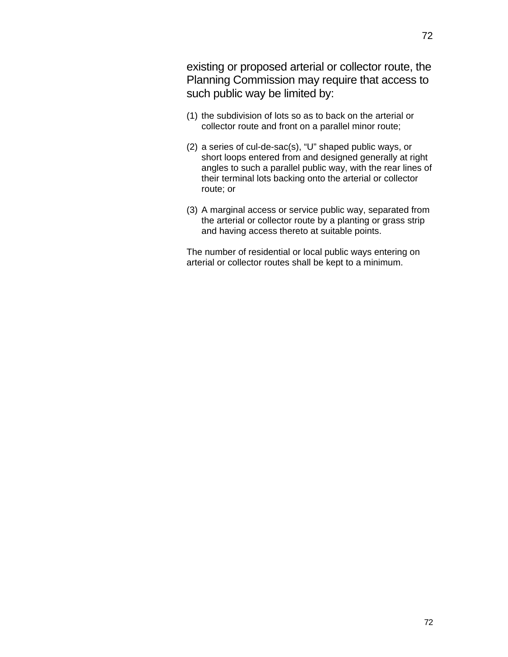72

existing or proposed arterial or collector route, the Planning Commission may require that access to such public way be limited by:

- (1) the subdivision of lots so as to back on the arterial or collector route and front on a parallel minor route;
- (2) a series of cul-de-sac(s), "U" shaped public ways, or short loops entered from and designed generally at right angles to such a parallel public way, with the rear lines of their terminal lots backing onto the arterial or collector route; or
- (3) A marginal access or service public way, separated from the arterial or collector route by a planting or grass strip and having access thereto at suitable points.

The number of residential or local public ways entering on arterial or collector routes shall be kept to a minimum.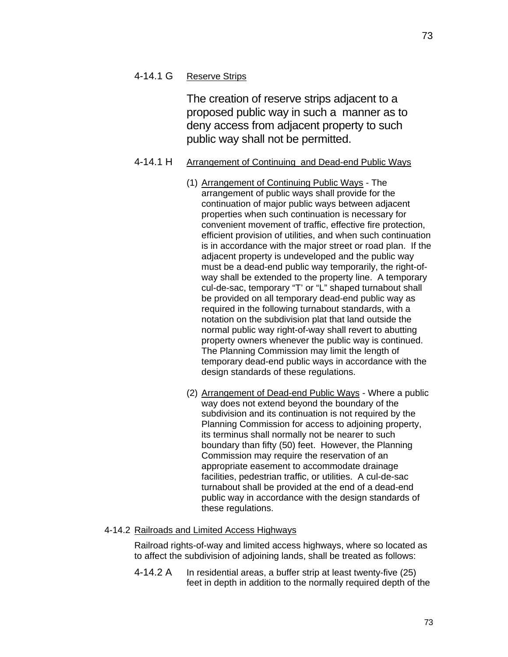# 4-14.1 G Reserve Strips

The creation of reserve strips adjacent to a proposed public way in such a manner as to deny access from adjacent property to such public way shall not be permitted.

# 4-14.1 H Arrangement of Continuing and Dead-end Public Ways

- (1) Arrangement of Continuing Public Ways The arrangement of public ways shall provide for the continuation of major public ways between adjacent properties when such continuation is necessary for convenient movement of traffic, effective fire protection, efficient provision of utilities, and when such continuation is in accordance with the major street or road plan. If the adjacent property is undeveloped and the public way must be a dead-end public way temporarily, the right-ofway shall be extended to the property line. A temporary cul-de-sac, temporary "T' or "L" shaped turnabout shall be provided on all temporary dead-end public way as required in the following turnabout standards, with a notation on the subdivision plat that land outside the normal public way right-of-way shall revert to abutting property owners whenever the public way is continued. The Planning Commission may limit the length of temporary dead-end public ways in accordance with the design standards of these regulations.
- (2) Arrangement of Dead-end Public Ways Where a public way does not extend beyond the boundary of the subdivision and its continuation is not required by the Planning Commission for access to adjoining property, its terminus shall normally not be nearer to such boundary than fifty (50) feet. However, the Planning Commission may require the reservation of an appropriate easement to accommodate drainage facilities, pedestrian traffic, or utilities. A cul-de-sac turnabout shall be provided at the end of a dead-end public way in accordance with the design standards of these regulations.

## 4-14.2 Railroads and Limited Access Highways

Railroad rights-of-way and limited access highways, where so located as to affect the subdivision of adjoining lands, shall be treated as follows:

4-14.2 A In residential areas, a buffer strip at least twenty-five (25) feet in depth in addition to the normally required depth of the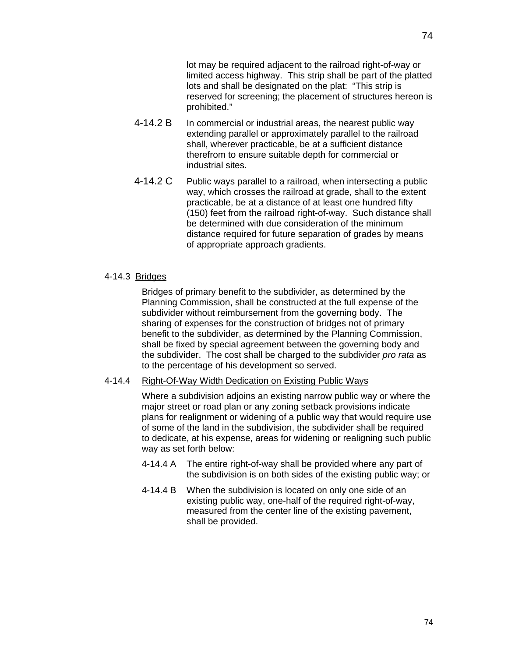lot may be required adjacent to the railroad right-of-way or limited access highway. This strip shall be part of the platted lots and shall be designated on the plat: "This strip is reserved for screening; the placement of structures hereon is prohibited."

- 4-14.2 B In commercial or industrial areas, the nearest public way extending parallel or approximately parallel to the railroad shall, wherever practicable, be at a sufficient distance therefrom to ensure suitable depth for commercial or industrial sites.
- 4-14.2 C Public ways parallel to a railroad, when intersecting a public way, which crosses the railroad at grade, shall to the extent practicable, be at a distance of at least one hundred fifty (150) feet from the railroad right-of-way. Such distance shall be determined with due consideration of the minimum distance required for future separation of grades by means of appropriate approach gradients.

### 4-14.3 Bridges

Bridges of primary benefit to the subdivider, as determined by the Planning Commission, shall be constructed at the full expense of the subdivider without reimbursement from the governing body. The sharing of expenses for the construction of bridges not of primary benefit to the subdivider, as determined by the Planning Commission, shall be fixed by special agreement between the governing body and the subdivider. The cost shall be charged to the subdivider *pro rata* as to the percentage of his development so served.

#### 4-14.4 Right-Of-Way Width Dedication on Existing Public Ways

Where a subdivision adjoins an existing narrow public way or where the major street or road plan or any zoning setback provisions indicate plans for realignment or widening of a public way that would require use of some of the land in the subdivision, the subdivider shall be required to dedicate, at his expense, areas for widening or realigning such public way as set forth below:

- 4-14.4 A The entire right-of-way shall be provided where any part of the subdivision is on both sides of the existing public way; or
- 4-14.4 B When the subdivision is located on only one side of an existing public way, one-half of the required right-of-way, measured from the center line of the existing pavement, shall be provided.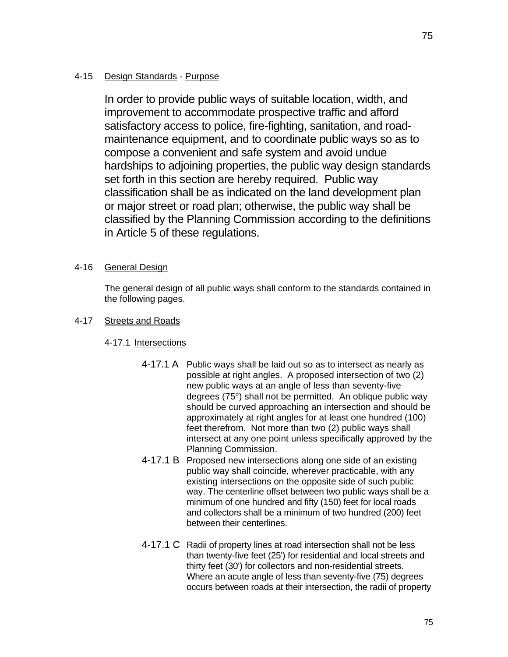# 4-15 Design Standards - Purpose

In order to provide public ways of suitable location, width, and improvement to accommodate prospective traffic and afford satisfactory access to police, fire-fighting, sanitation, and roadmaintenance equipment, and to coordinate public ways so as to compose a convenient and safe system and avoid undue hardships to adjoining properties, the public way design standards set forth in this section are hereby required. Public way classification shall be as indicated on the land development plan or major street or road plan; otherwise, the public way shall be classified by the Planning Commission according to the definitions in Article 5 of these regulations.

## 4-16 General Design

The general design of all public ways shall conform to the standards contained in the following pages.

# 4-17 Streets and Roads

# 4-17.1 Intersections

- 4-17.1 A Public ways shall be laid out so as to intersect as nearly as possible at right angles. A proposed intersection of two (2) new public ways at an angle of less than seventy-five degrees  $(75^{\circ})$  shall not be permitted. An oblique public way should be curved approaching an intersection and should be approximately at right angles for at least one hundred (100) feet therefrom. Not more than two (2) public ways shall intersect at any one point unless specifically approved by the Planning Commission.
- 4-17.1 B Proposed new intersections along one side of an existing public way shall coincide, wherever practicable, with any existing intersections on the opposite side of such public way. The centerline offset between two public ways shall be a minimum of one hundred and fifty (150) feet for local roads and collectors shall be a minimum of two hundred (200) feet between their centerlines.
- 4-17.1 C Radii of property lines at road intersection shall not be less than twenty-five feet (25') for residential and local streets and thirty feet (30') for collectors and non-residential streets. Where an acute angle of less than seventy-five (75) degrees occurs between roads at their intersection, the radii of property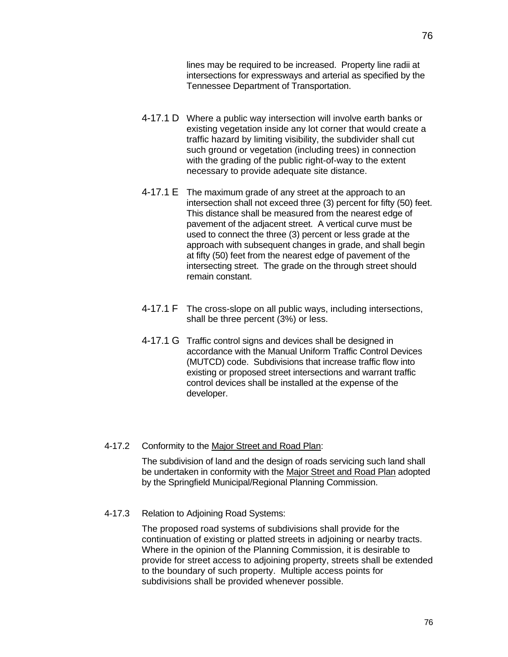lines may be required to be increased. Property line radii at intersections for expressways and arterial as specified by the Tennessee Department of Transportation.

- 4-17.1 D Where a public way intersection will involve earth banks or existing vegetation inside any lot corner that would create a traffic hazard by limiting visibility, the subdivider shall cut such ground or vegetation (including trees) in connection with the grading of the public right-of-way to the extent necessary to provide adequate site distance.
- 4-17.1 E The maximum grade of any street at the approach to an intersection shall not exceed three (3) percent for fifty (50) feet. This distance shall be measured from the nearest edge of pavement of the adjacent street. A vertical curve must be used to connect the three (3) percent or less grade at the approach with subsequent changes in grade, and shall begin at fifty (50) feet from the nearest edge of pavement of the intersecting street. The grade on the through street should remain constant.
- 4-17.1 F The cross-slope on all public ways, including intersections, shall be three percent (3%) or less.
- 4-17.1 G Traffic control signs and devices shall be designed in accordance with the Manual Uniform Traffic Control Devices (MUTCD) code. Subdivisions that increase traffic flow into existing or proposed street intersections and warrant traffic control devices shall be installed at the expense of the developer.

#### 4-17.2 Conformity to the Major Street and Road Plan:

The subdivision of land and the design of roads servicing such land shall be undertaken in conformity with the Major Street and Road Plan adopted by the Springfield Municipal/Regional Planning Commission.

4-17.3 Relation to Adjoining Road Systems:

The proposed road systems of subdivisions shall provide for the continuation of existing or platted streets in adjoining or nearby tracts. Where in the opinion of the Planning Commission, it is desirable to provide for street access to adjoining property, streets shall be extended to the boundary of such property. Multiple access points for subdivisions shall be provided whenever possible.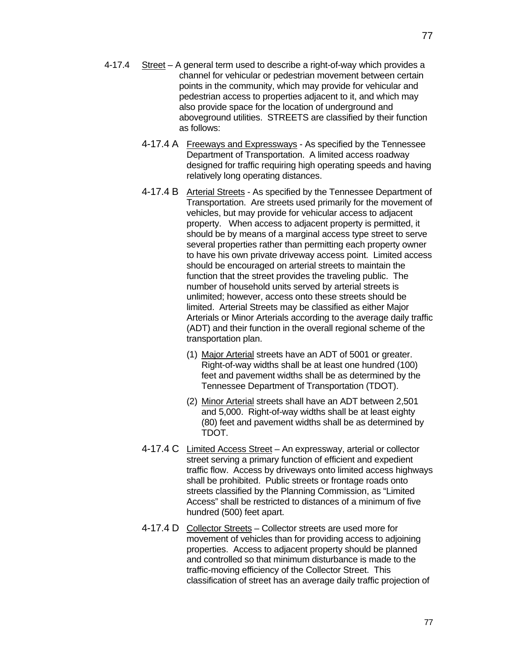- 4-17.4 Street A general term used to describe a right-of-way which provides a channel for vehicular or pedestrian movement between certain points in the community, which may provide for vehicular and pedestrian access to properties adjacent to it, and which may also provide space for the location of underground and aboveground utilities. STREETS are classified by their function as follows:
	- 4-17.4 A Freeways and Expressways As specified by the Tennessee Department of Transportation. A limited access roadway designed for traffic requiring high operating speeds and having relatively long operating distances.
	- 4-17.4 B Arterial Streets As specified by the Tennessee Department of Transportation. Are streets used primarily for the movement of vehicles, but may provide for vehicular access to adjacent property. When access to adjacent property is permitted, it should be by means of a marginal access type street to serve several properties rather than permitting each property owner to have his own private driveway access point. Limited access should be encouraged on arterial streets to maintain the function that the street provides the traveling public. The number of household units served by arterial streets is unlimited; however, access onto these streets should be limited. Arterial Streets may be classified as either Major Arterials or Minor Arterials according to the average daily traffic (ADT) and their function in the overall regional scheme of the transportation plan.
		- (1) Major Arterial streets have an ADT of 5001 or greater. Right-of-way widths shall be at least one hundred (100) feet and pavement widths shall be as determined by the Tennessee Department of Transportation (TDOT).
		- (2) Minor Arterial streets shall have an ADT between 2,501 and 5,000. Right-of-way widths shall be at least eighty (80) feet and pavement widths shall be as determined by TDOT.
	- 4-17.4 C Limited Access Street An expressway, arterial or collector street serving a primary function of efficient and expedient traffic flow. Access by driveways onto limited access highways shall be prohibited. Public streets or frontage roads onto streets classified by the Planning Commission, as "Limited Access" shall be restricted to distances of a minimum of five hundred (500) feet apart.
	- 4-17.4 D Collector Streets Collector streets are used more for movement of vehicles than for providing access to adjoining properties. Access to adjacent property should be planned and controlled so that minimum disturbance is made to the traffic-moving efficiency of the Collector Street. This classification of street has an average daily traffic projection of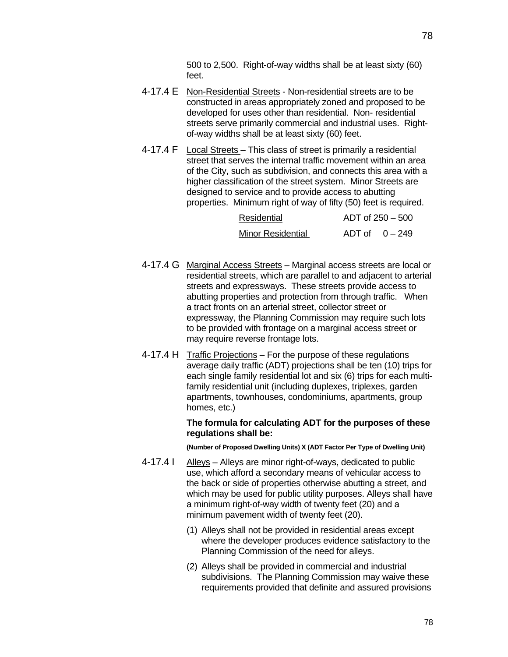500 to 2,500. Right-of-way widths shall be at least sixty (60) feet.

- 4-17.4 E Non-Residential Streets Non-residential streets are to be constructed in areas appropriately zoned and proposed to be developed for uses other than residential. Non- residential streets serve primarily commercial and industrial uses. Rightof-way widths shall be at least sixty (60) feet.
- 4-17.4 F Local Streets This class of street is primarily a residential street that serves the internal traffic movement within an area of the City, such as subdivision, and connects this area with a higher classification of the street system. Minor Streets are designed to service and to provide access to abutting properties. Minimum right of way of fifty (50) feet is required.

| Residential              | $ADT$ of 250 $-500$ |
|--------------------------|---------------------|
| <b>Minor Residential</b> | ADT of $0-249$      |

- 4-17.4 G Marginal Access Streets Marginal access streets are local or residential streets, which are parallel to and adjacent to arterial streets and expressways. These streets provide access to abutting properties and protection from through traffic. When a tract fronts on an arterial street, collector street or expressway, the Planning Commission may require such lots to be provided with frontage on a marginal access street or may require reverse frontage lots.
- 4-17.4 H Traffic Projections For the purpose of these regulations average daily traffic (ADT) projections shall be ten (10) trips for each single family residential lot and six (6) trips for each multifamily residential unit (including duplexes, triplexes, garden apartments, townhouses, condominiums, apartments, group homes, etc.)

#### **The formula for calculating ADT for the purposes of these regulations shall be:**

**(Number of Proposed Dwelling Units) X (ADT Factor Per Type of Dwelling Unit)** 

- 4-17.4 | Alleys Alleys are minor right-of-ways, dedicated to public use, which afford a secondary means of vehicular access to the back or side of properties otherwise abutting a street, and which may be used for public utility purposes. Alleys shall have a minimum right-of-way width of twenty feet (20) and a minimum pavement width of twenty feet (20).
	- (1) Alleys shall not be provided in residential areas except where the developer produces evidence satisfactory to the Planning Commission of the need for alleys.
	- (2) Alleys shall be provided in commercial and industrial subdivisions. The Planning Commission may waive these requirements provided that definite and assured provisions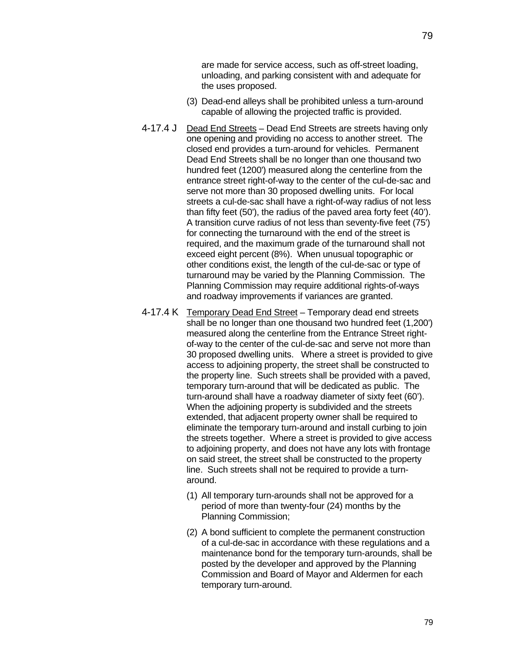79

are made for service access, such as off-street loading, unloading, and parking consistent with and adequate for the uses proposed.

- (3) Dead-end alleys shall be prohibited unless a turn-around capable of allowing the projected traffic is provided.
- 4-17.4 J Dead End Streets Dead End Streets are streets having only one opening and providing no access to another street. The closed end provides a turn-around for vehicles. Permanent Dead End Streets shall be no longer than one thousand two hundred feet (1200') measured along the centerline from the entrance street right-of-way to the center of the cul-de-sac and serve not more than 30 proposed dwelling units. For local streets a cul-de-sac shall have a right-of-way radius of not less than fifty feet (50'), the radius of the paved area forty feet (40'). A transition curve radius of not less than seventy-five feet (75') for connecting the turnaround with the end of the street is required, and the maximum grade of the turnaround shall not exceed eight percent (8%). When unusual topographic or other conditions exist, the length of the cul-de-sac or type of turnaround may be varied by the Planning Commission. The Planning Commission may require additional rights-of-ways and roadway improvements if variances are granted.
- 4-17.4 K Temporary Dead End Street Temporary dead end streets shall be no longer than one thousand two hundred feet (1,200') measured along the centerline from the Entrance Street rightof-way to the center of the cul-de-sac and serve not more than 30 proposed dwelling units. Where a street is provided to give access to adjoining property, the street shall be constructed to the property line. Such streets shall be provided with a paved, temporary turn-around that will be dedicated as public. The turn-around shall have a roadway diameter of sixty feet (60'). When the adjoining property is subdivided and the streets extended, that adjacent property owner shall be required to eliminate the temporary turn-around and install curbing to join the streets together. Where a street is provided to give access to adjoining property, and does not have any lots with frontage on said street, the street shall be constructed to the property line. Such streets shall not be required to provide a turnaround.
	- (1) All temporary turn-arounds shall not be approved for a period of more than twenty-four (24) months by the Planning Commission;
	- (2) A bond sufficient to complete the permanent construction of a cul-de-sac in accordance with these regulations and a maintenance bond for the temporary turn-arounds, shall be posted by the developer and approved by the Planning Commission and Board of Mayor and Aldermen for each temporary turn-around.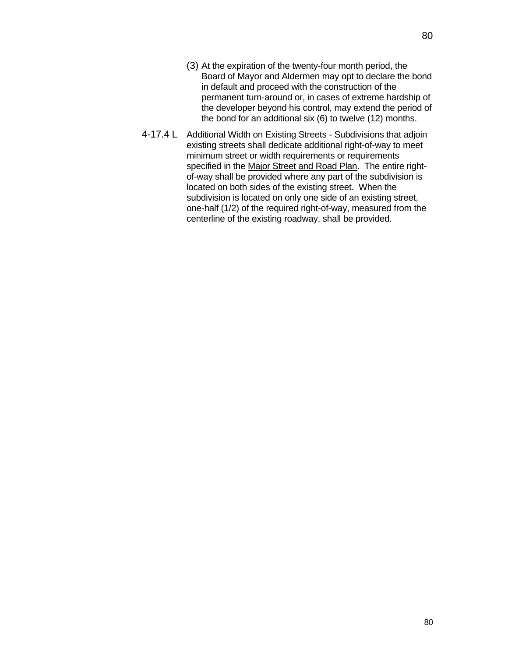- (3) At the expiration of the twenty-four month period, the Board of Mayor and Aldermen may opt to declare the bond in default and proceed with the construction of the permanent turn-around or, in cases of extreme hardship of the developer beyond his control, may extend the period of the bond for an additional six (6) to twelve (12) months.
- 4-17.4 L Additional Width on Existing Streets Subdivisions that adjoin existing streets shall dedicate additional right-of-way to meet minimum street or width requirements or requirements specified in the Major Street and Road Plan. The entire rightof-way shall be provided where any part of the subdivision is located on both sides of the existing street. When the subdivision is located on only one side of an existing street, one-half (1/2) of the required right-of-way, measured from the centerline of the existing roadway, shall be provided.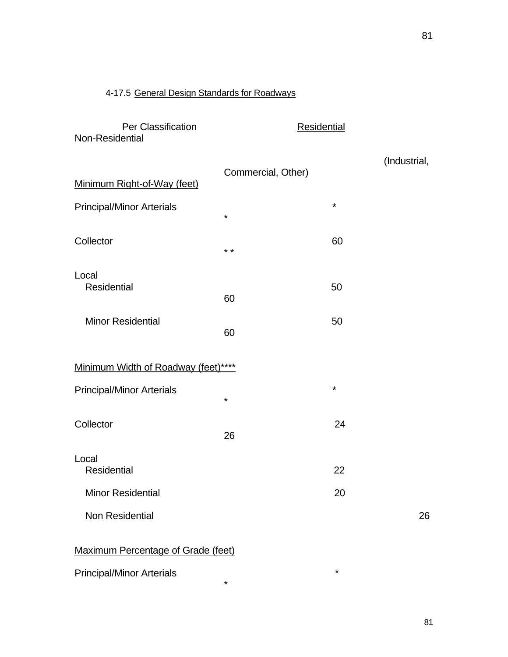# 4-17.5 General Design Standards for Roadways

| Per Classification<br>Non-Residential | <b>Residential</b> |         |              |
|---------------------------------------|--------------------|---------|--------------|
| Minimum Right-of-Way (feet)           | Commercial, Other) |         | (Industrial, |
| <b>Principal/Minor Arterials</b>      | $\star$            | $\star$ |              |
| Collector                             | $\star$ $\star$    | 60      |              |
| Local<br>Residential                  | 60                 | 50      |              |
| <b>Minor Residential</b>              | 60                 | 50      |              |
| Minimum Width of Roadway (feet)****   |                    |         |              |
| <b>Principal/Minor Arterials</b>      | $\star$            | $\star$ |              |
| Collector                             | 26                 | 24      |              |
| Local<br><b>Residential</b>           |                    | 22      |              |
| <b>Minor Residential</b>              |                    | 20      |              |
| <b>Non Residential</b>                |                    |         | 26           |

Maximum Percentage of Grade (feet)

\*

Principal/Minor Arterials  $*$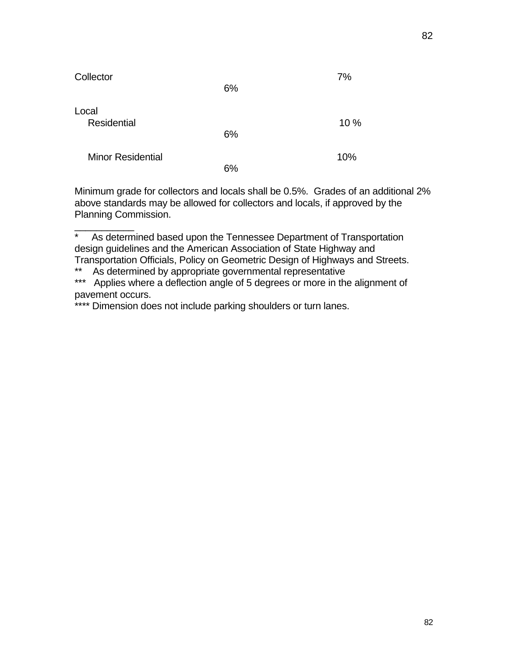| Collector                   | 6% | 7%  |
|-----------------------------|----|-----|
| Local<br><b>Residential</b> |    | 10% |
| <b>Minor Residential</b>    | 6% | 10% |
|                             | 6% |     |

Minimum grade for collectors and locals shall be 0.5%. Grades of an additional 2% above standards may be allowed for collectors and locals, if approved by the Planning Commission.

 $\overline{\phantom{a}}$  . The set of the set of the set of the set of the set of the set of the set of the set of the set of the set of the set of the set of the set of the set of the set of the set of the set of the set of the set o

<sup>\*</sup> As determined based upon the Tennessee Department of Transportation design guidelines and the American Association of State Highway and Transportation Officials, Policy on Geometric Design of Highways and Streets.

<sup>\*\*</sup> As determined by appropriate governmental representative

<sup>\*\*\*</sup> Applies where a deflection angle of 5 degrees or more in the alignment of pavement occurs.

<sup>\*\*\*\*</sup> Dimension does not include parking shoulders or turn lanes.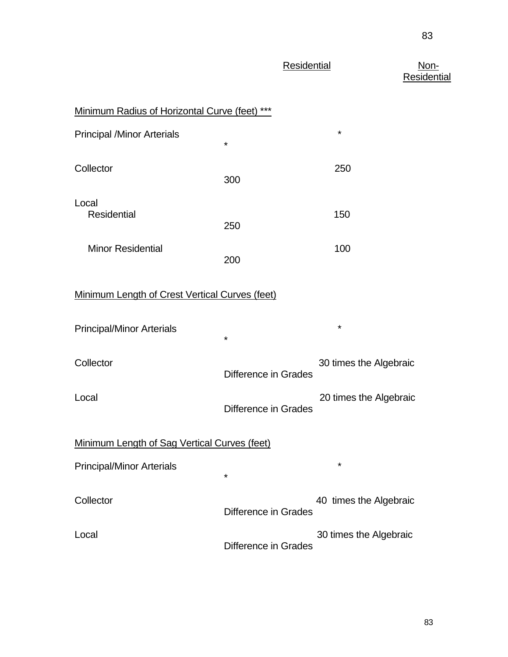| <b>Residential</b> | Non- |
|--------------------|------|
|--------------------|------|

Residential

| Minimum Radius of Horizontal Curve (feet) ***  |                      |                        |
|------------------------------------------------|----------------------|------------------------|
| <b>Principal /Minor Arterials</b>              | $^\star$             | *                      |
| Collector                                      | 300                  | 250                    |
| Local<br><b>Residential</b>                    | 250                  | 150                    |
| <b>Minor Residential</b>                       | 200                  | 100                    |
| Minimum Length of Crest Vertical Curves (feet) |                      |                        |
| <b>Principal/Minor Arterials</b>               | *                    | *                      |
| Collector                                      | Difference in Grades | 30 times the Algebraic |
| Local                                          | Difference in Grades | 20 times the Algebraic |
| Minimum Length of Sag Vertical Curves (feet)   |                      |                        |
| <b>Principal/Minor Arterials</b>               | *                    | $^\star$               |
| Collector                                      | Difference in Grades | 40 times the Algebraic |
| Local                                          | Difference in Grades | 30 times the Algebraic |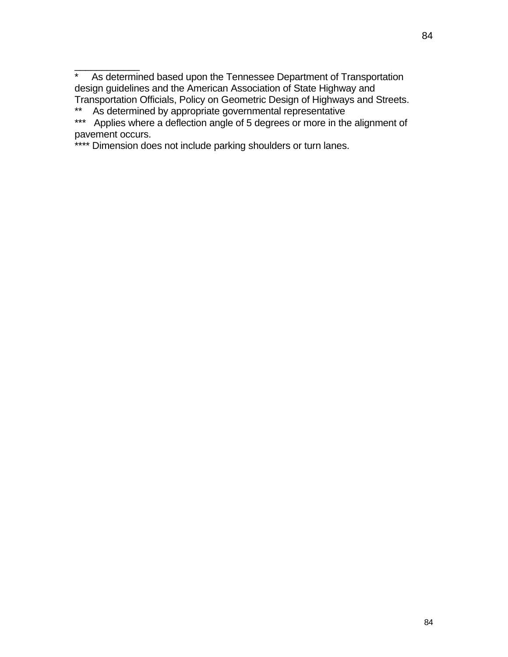$\overline{\phantom{a}}$  ,  $\overline{\phantom{a}}$  ,  $\overline{\phantom{a}}$  ,  $\overline{\phantom{a}}$  ,  $\overline{\phantom{a}}$  ,  $\overline{\phantom{a}}$  ,  $\overline{\phantom{a}}$  ,  $\overline{\phantom{a}}$  ,  $\overline{\phantom{a}}$  ,  $\overline{\phantom{a}}$  ,  $\overline{\phantom{a}}$  ,  $\overline{\phantom{a}}$  ,  $\overline{\phantom{a}}$  ,  $\overline{\phantom{a}}$  ,  $\overline{\phantom{a}}$  ,  $\overline{\phantom{a}}$ \* As determined based upon the Tennessee Department of Transportation design guidelines and the American Association of State Highway and Transportation Officials, Policy on Geometric Design of Highways and Streets.

\*\* As determined by appropriate governmental representative

\*\*\* Applies where a deflection angle of 5 degrees or more in the alignment of pavement occurs.

\*\*\*\* Dimension does not include parking shoulders or turn lanes.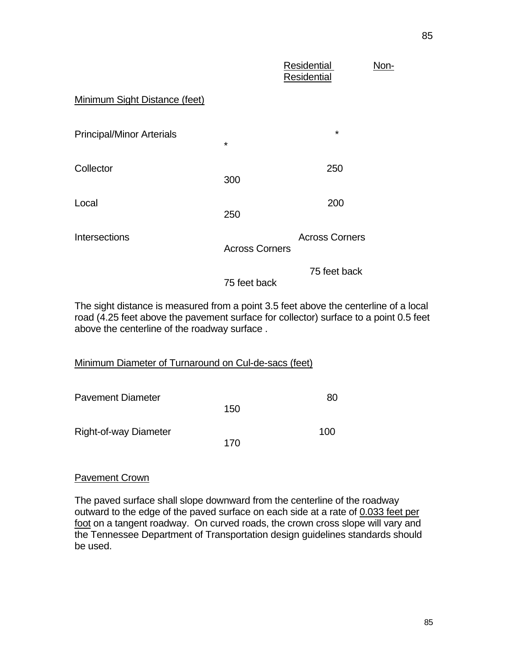|                                  |                       | Residential<br><b>Residential</b> | Non- |
|----------------------------------|-----------------------|-----------------------------------|------|
| Minimum Sight Distance (feet)    |                       |                                   |      |
| <b>Principal/Minor Arterials</b> | $\star$               | $\star$                           |      |
| Collector                        | 300                   | 250                               |      |
| Local                            | 250                   | 200                               |      |
| <b>Intersections</b>             | <b>Across Corners</b> | <b>Across Corners</b>             |      |
|                                  | 75 feet back          | 75 feet back                      |      |

The sight distance is measured from a point 3.5 feet above the centerline of a local road (4.25 feet above the pavement surface for collector) surface to a point 0.5 feet above the centerline of the roadway surface .

| Minimum Diameter of Turnaround on Cul-de-sacs (feet) |
|------------------------------------------------------|
|------------------------------------------------------|

| <b>Pavement Diameter</b>     |     | 80  |
|------------------------------|-----|-----|
|                              | 150 |     |
| <b>Right-of-way Diameter</b> |     | 100 |
|                              | 170 |     |

## Pavement Crown

The paved surface shall slope downward from the centerline of the roadway outward to the edge of the paved surface on each side at a rate of 0.033 feet per foot on a tangent roadway. On curved roads, the crown cross slope will vary and the Tennessee Department of Transportation design guidelines standards should be used.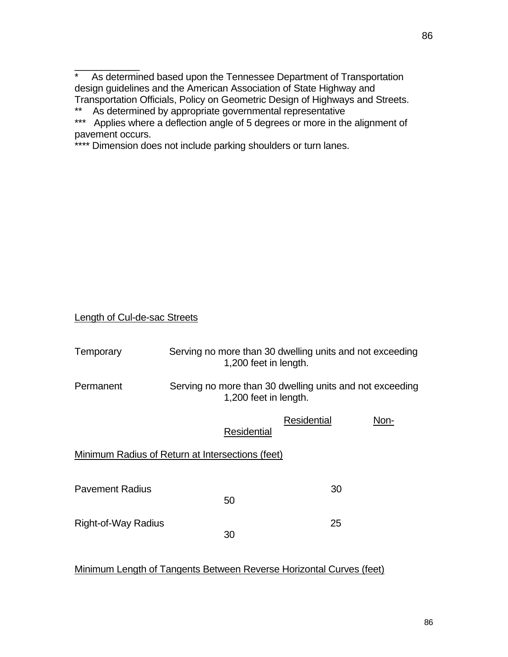$\frac{1}{2}$ \* As determined based upon the Tennessee Department of Transportation design guidelines and the American Association of State Highway and Transportation Officials, Policy on Geometric Design of Highways and Streets.

\*\* As determined by appropriate governmental representative

\*\*\* Applies where a deflection angle of 5 degrees or more in the alignment of pavement occurs.

\*\*\*\* Dimension does not include parking shoulders or turn lanes.

Length of Cul-de-sac Streets

| Temporary                                        | Serving no more than 30 dwelling units and not exceeding<br>1,200 feet in length. |             |      |
|--------------------------------------------------|-----------------------------------------------------------------------------------|-------------|------|
| Permanent                                        | Serving no more than 30 dwelling units and not exceeding<br>1,200 feet in length. |             |      |
|                                                  | Residential                                                                       | Residential | Non- |
| Minimum Radius of Return at Intersections (feet) |                                                                                   |             |      |
| <b>Pavement Radius</b>                           | 50                                                                                | 30          |      |
| Right-of-Way Radius                              | 30                                                                                | 25          |      |

Minimum Length of Tangents Between Reverse Horizontal Curves (feet)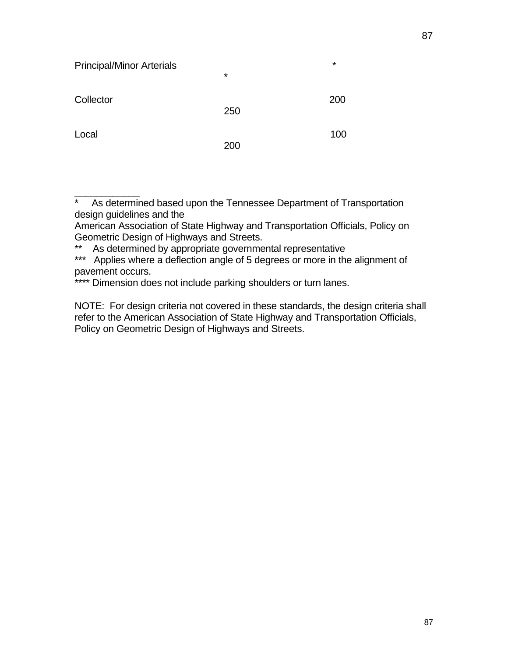| <b>Principal/Minor Arterials</b> | $\star$ | $\star$ |
|----------------------------------|---------|---------|
| Collector                        | 250     | 200     |
| Local                            | 200     | 100     |

\* As determined based upon the Tennessee Department of Transportation design guidelines and the

American Association of State Highway and Transportation Officials, Policy on Geometric Design of Highways and Streets.

\*\* As determined by appropriate governmental representative

\_\_\_\_\_\_\_\_\_\_\_\_

\*\*\* Applies where a deflection angle of 5 degrees or more in the alignment of pavement occurs.

\*\*\*\* Dimension does not include parking shoulders or turn lanes.

NOTE: For design criteria not covered in these standards, the design criteria shall refer to the American Association of State Highway and Transportation Officials, Policy on Geometric Design of Highways and Streets.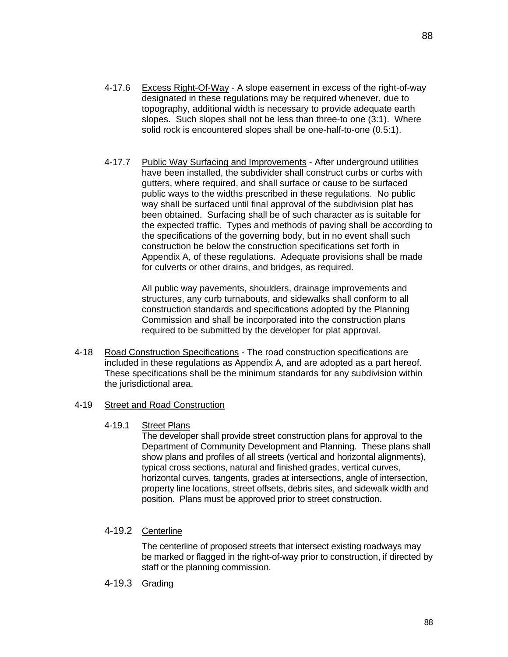- 4-17.6 Excess Right-Of-Way A slope easement in excess of the right-of-way designated in these regulations may be required whenever, due to topography, additional width is necessary to provide adequate earth slopes. Such slopes shall not be less than three-to one (3:1). Where solid rock is encountered slopes shall be one-half-to-one (0.5:1).
- 4-17.7 Public Way Surfacing and Improvements After underground utilities have been installed, the subdivider shall construct curbs or curbs with gutters, where required, and shall surface or cause to be surfaced public ways to the widths prescribed in these regulations. No public way shall be surfaced until final approval of the subdivision plat has been obtained. Surfacing shall be of such character as is suitable for the expected traffic. Types and methods of paving shall be according to the specifications of the governing body, but in no event shall such construction be below the construction specifications set forth in Appendix A, of these regulations. Adequate provisions shall be made for culverts or other drains, and bridges, as required.

All public way pavements, shoulders, drainage improvements and structures, any curb turnabouts, and sidewalks shall conform to all construction standards and specifications adopted by the Planning Commission and shall be incorporated into the construction plans required to be submitted by the developer for plat approval.

4-18 Road Construction Specifications - The road construction specifications are included in these regulations as Appendix A, and are adopted as a part hereof. These specifications shall be the minimum standards for any subdivision within the jurisdictional area.

## 4-19 Street and Road Construction

4-19.1 Street Plans

The developer shall provide street construction plans for approval to the Department of Community Development and Planning. These plans shall show plans and profiles of all streets (vertical and horizontal alignments), typical cross sections, natural and finished grades, vertical curves, horizontal curves, tangents, grades at intersections, angle of intersection, property line locations, street offsets, debris sites, and sidewalk width and position. Plans must be approved prior to street construction.

## 4-19.2 Centerline

The centerline of proposed streets that intersect existing roadways may be marked or flagged in the right-of-way prior to construction, if directed by staff or the planning commission.

4-19.3 Grading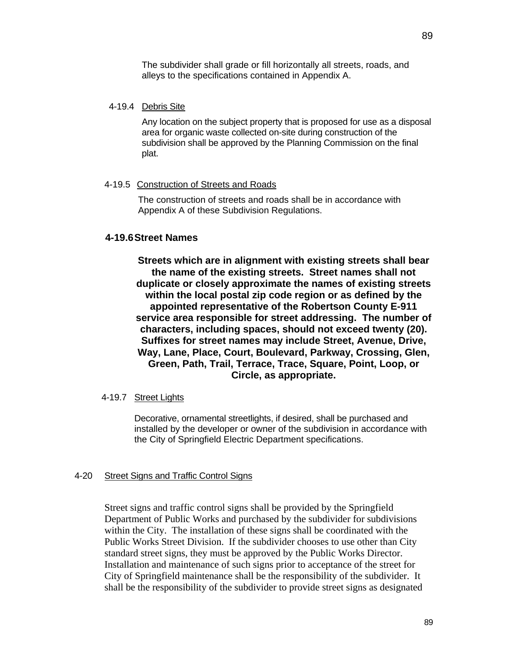The subdivider shall grade or fill horizontally all streets, roads, and alleys to the specifications contained in Appendix A.

#### 4-19.4 Debris Site

Any location on the subject property that is proposed for use as a disposal area for organic waste collected on-site during construction of the subdivision shall be approved by the Planning Commission on the final plat.

#### 4-19.5 Construction of Streets and Roads

The construction of streets and roads shall be in accordance with Appendix A of these Subdivision Regulations.

## **4-19.6 Street Names**

**Streets which are in alignment with existing streets shall bear the name of the existing streets. Street names shall not duplicate or closely approximate the names of existing streets within the local postal zip code region or as defined by the appointed representative of the Robertson County E-911 service area responsible for street addressing. The number of characters, including spaces, should not exceed twenty (20). Suffixes for street names may include Street, Avenue, Drive, Way, Lane, Place, Court, Boulevard, Parkway, Crossing, Glen, Green, Path, Trail, Terrace, Trace, Square, Point, Loop, or Circle, as appropriate.** 

### 4-19.7 Street Lights

Decorative, ornamental streetlights, if desired, shall be purchased and installed by the developer or owner of the subdivision in accordance with the City of Springfield Electric Department specifications.

#### 4-20 Street Signs and Traffic Control Signs

Street signs and traffic control signs shall be provided by the Springfield Department of Public Works and purchased by the subdivider for subdivisions within the City. The installation of these signs shall be coordinated with the Public Works Street Division. If the subdivider chooses to use other than City standard street signs, they must be approved by the Public Works Director. Installation and maintenance of such signs prior to acceptance of the street for City of Springfield maintenance shall be the responsibility of the subdivider. It shall be the responsibility of the subdivider to provide street signs as designated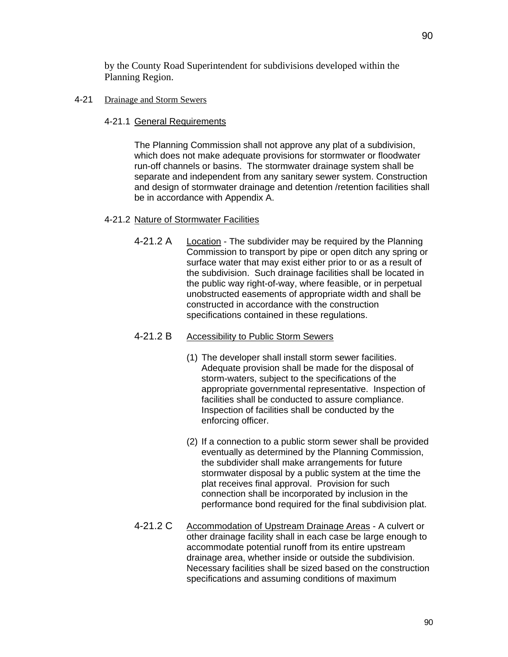by the County Road Superintendent for subdivisions developed within the Planning Region.

## 4-21 Drainage and Storm Sewers

4-21.1 General Requirements

The Planning Commission shall not approve any plat of a subdivision, which does not make adequate provisions for stormwater or floodwater run-off channels or basins. The stormwater drainage system shall be separate and independent from any sanitary sewer system. Construction and design of stormwater drainage and detention /retention facilities shall be in accordance with Appendix A.

## 4-21.2 Nature of Stormwater Facilities

4-21.2 A Location - The subdivider may be required by the Planning Commission to transport by pipe or open ditch any spring or surface water that may exist either prior to or as a result of the subdivision. Such drainage facilities shall be located in the public way right-of-way, where feasible, or in perpetual unobstructed easements of appropriate width and shall be constructed in accordance with the construction specifications contained in these regulations.

## 4-21.2 B Accessibility to Public Storm Sewers

- (1) The developer shall install storm sewer facilities. Adequate provision shall be made for the disposal of storm-waters, subject to the specifications of the appropriate governmental representative. Inspection of facilities shall be conducted to assure compliance. Inspection of facilities shall be conducted by the enforcing officer.
- (2) If a connection to a public storm sewer shall be provided eventually as determined by the Planning Commission, the subdivider shall make arrangements for future stormwater disposal by a public system at the time the plat receives final approval. Provision for such connection shall be incorporated by inclusion in the performance bond required for the final subdivision plat.
- 4-21.2 C Accommodation of Upstream Drainage Areas A culvert or other drainage facility shall in each case be large enough to accommodate potential runoff from its entire upstream drainage area, whether inside or outside the subdivision. Necessary facilities shall be sized based on the construction specifications and assuming conditions of maximum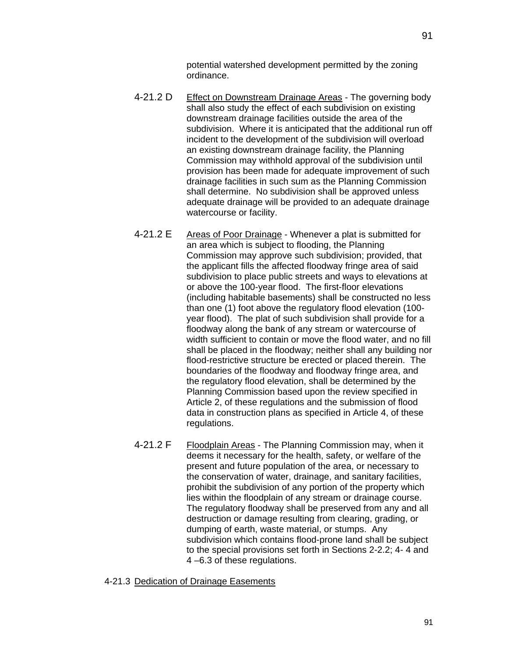potential watershed development permitted by the zoning ordinance.

- 4-21.2 D Effect on Downstream Drainage Areas The governing body shall also study the effect of each subdivision on existing downstream drainage facilities outside the area of the subdivision. Where it is anticipated that the additional run off incident to the development of the subdivision will overload an existing downstream drainage facility, the Planning Commission may withhold approval of the subdivision until provision has been made for adequate improvement of such drainage facilities in such sum as the Planning Commission shall determine. No subdivision shall be approved unless adequate drainage will be provided to an adequate drainage watercourse or facility.
- 4-21.2 E Areas of Poor Drainage Whenever a plat is submitted for an area which is subject to flooding, the Planning Commission may approve such subdivision; provided, that the applicant fills the affected floodway fringe area of said subdivision to place public streets and ways to elevations at or above the 100-year flood. The first-floor elevations (including habitable basements) shall be constructed no less than one (1) foot above the regulatory flood elevation (100 year flood). The plat of such subdivision shall provide for a floodway along the bank of any stream or watercourse of width sufficient to contain or move the flood water, and no fill shall be placed in the floodway; neither shall any building nor flood-restrictive structure be erected or placed therein. The boundaries of the floodway and floodway fringe area, and the regulatory flood elevation, shall be determined by the Planning Commission based upon the review specified in Article 2, of these regulations and the submission of flood data in construction plans as specified in Article 4, of these regulations.
- 4-21.2 F Floodplain Areas The Planning Commission may, when it deems it necessary for the health, safety, or welfare of the present and future population of the area, or necessary to the conservation of water, drainage, and sanitary facilities, prohibit the subdivision of any portion of the property which lies within the floodplain of any stream or drainage course. The regulatory floodway shall be preserved from any and all destruction or damage resulting from clearing, grading, or dumping of earth, waste material, or stumps. Any subdivision which contains flood-prone land shall be subject to the special provisions set forth in Sections 2-2.2; 4- 4 and 4 –6.3 of these regulations.

4-21.3 Dedication of Drainage Easements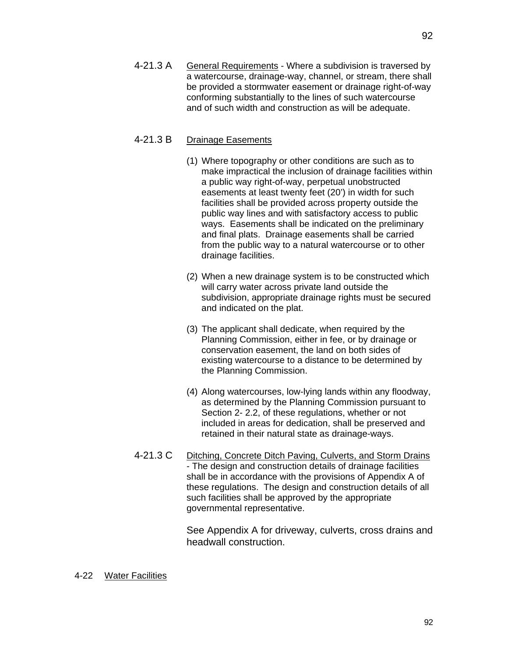4-21.3 A General Requirements - Where a subdivision is traversed by a watercourse, drainage-way, channel, or stream, there shall be provided a stormwater easement or drainage right-of-way conforming substantially to the lines of such watercourse and of such width and construction as will be adequate.

## 4-21.3 B Drainage Easements

- (1) Where topography or other conditions are such as to make impractical the inclusion of drainage facilities within a public way right-of-way, perpetual unobstructed easements at least twenty feet (20') in width for such facilities shall be provided across property outside the public way lines and with satisfactory access to public ways. Easements shall be indicated on the preliminary and final plats. Drainage easements shall be carried from the public way to a natural watercourse or to other drainage facilities.
- (2) When a new drainage system is to be constructed which will carry water across private land outside the subdivision, appropriate drainage rights must be secured and indicated on the plat.
- (3) The applicant shall dedicate, when required by the Planning Commission, either in fee, or by drainage or conservation easement, the land on both sides of existing watercourse to a distance to be determined by the Planning Commission.
- (4) Along watercourses, low-lying lands within any floodway, as determined by the Planning Commission pursuant to Section 2- 2.2, of these regulations, whether or not included in areas for dedication, shall be preserved and retained in their natural state as drainage-ways.
- 4-21.3 C Ditching, Concrete Ditch Paving, Culverts, and Storm Drains - The design and construction details of drainage facilities shall be in accordance with the provisions of Appendix A of these regulations. The design and construction details of all such facilities shall be approved by the appropriate governmental representative.

See Appendix A for driveway, culverts, cross drains and headwall construction.

#### 4-22 Water Facilities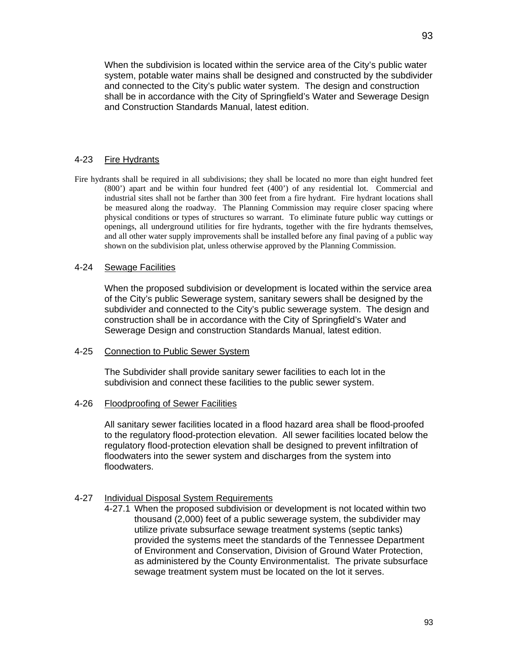When the subdivision is located within the service area of the City's public water system, potable water mains shall be designed and constructed by the subdivider and connected to the City's public water system. The design and construction shall be in accordance with the City of Springfield's Water and Sewerage Design and Construction Standards Manual, latest edition.

## 4-23 Fire Hydrants

Fire hydrants shall be required in all subdivisions; they shall be located no more than eight hundred feet (800') apart and be within four hundred feet (400') of any residential lot. Commercial and industrial sites shall not be farther than 300 feet from a fire hydrant. Fire hydrant locations shall be measured along the roadway. The Planning Commission may require closer spacing where physical conditions or types of structures so warrant. To eliminate future public way cuttings or openings, all underground utilities for fire hydrants, together with the fire hydrants themselves, and all other water supply improvements shall be installed before any final paving of a public way shown on the subdivision plat, unless otherwise approved by the Planning Commission.

#### 4-24 Sewage Facilities

When the proposed subdivision or development is located within the service area of the City's public Sewerage system, sanitary sewers shall be designed by the subdivider and connected to the City's public sewerage system. The design and construction shall be in accordance with the City of Springfield's Water and Sewerage Design and construction Standards Manual, latest edition.

#### 4-25 Connection to Public Sewer System

The Subdivider shall provide sanitary sewer facilities to each lot in the subdivision and connect these facilities to the public sewer system.

#### 4-26 Floodproofing of Sewer Facilities

All sanitary sewer facilities located in a flood hazard area shall be flood-proofed to the regulatory flood-protection elevation. All sewer facilities located below the regulatory flood-protection elevation shall be designed to prevent infiltration of floodwaters into the sewer system and discharges from the system into floodwaters.

#### 4-27 Individual Disposal System Requirements

4-27.1 When the proposed subdivision or development is not located within two thousand (2,000) feet of a public sewerage system, the subdivider may utilize private subsurface sewage treatment systems (septic tanks) provided the systems meet the standards of the Tennessee Department of Environment and Conservation, Division of Ground Water Protection, as administered by the County Environmentalist. The private subsurface sewage treatment system must be located on the lot it serves.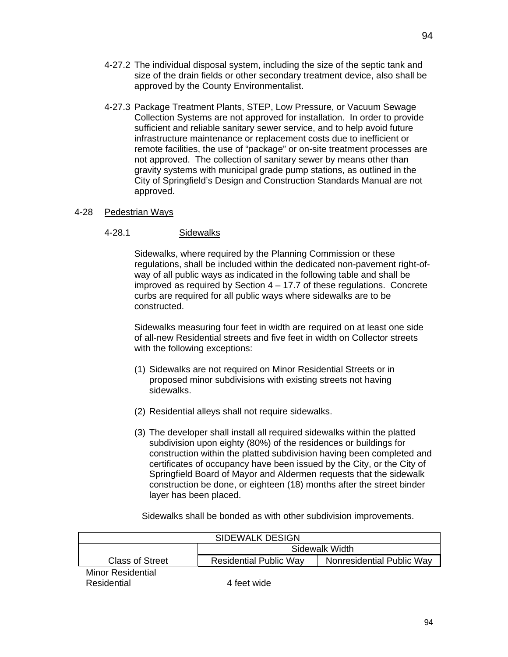- 4-27.2 The individual disposal system, including the size of the septic tank and size of the drain fields or other secondary treatment device, also shall be approved by the County Environmentalist.
- 4-27.3 Package Treatment Plants, STEP, Low Pressure, or Vacuum Sewage Collection Systems are not approved for installation. In order to provide sufficient and reliable sanitary sewer service, and to help avoid future infrastructure maintenance or replacement costs due to inefficient or remote facilities, the use of "package" or on-site treatment processes are not approved. The collection of sanitary sewer by means other than gravity systems with municipal grade pump stations, as outlined in the City of Springfield's Design and Construction Standards Manual are not approved.

## 4-28 Pedestrian Ways

## 4-28.1 Sidewalks

Sidewalks, where required by the Planning Commission or these regulations, shall be included within the dedicated non-pavement right-ofway of all public ways as indicated in the following table and shall be improved as required by Section 4 – 17.7 of these regulations. Concrete curbs are required for all public ways where sidewalks are to be constructed.

Sidewalks measuring four feet in width are required on at least one side of all-new Residential streets and five feet in width on Collector streets with the following exceptions:

- (1) Sidewalks are not required on Minor Residential Streets or in proposed minor subdivisions with existing streets not having sidewalks.
- (2) Residential alleys shall not require sidewalks.
- (3) The developer shall install all required sidewalks within the platted subdivision upon eighty (80%) of the residences or buildings for construction within the platted subdivision having been completed and certificates of occupancy have been issued by the City, or the City of Springfield Board of Mayor and Aldermen requests that the sidewalk construction be done, or eighteen (18) months after the street binder layer has been placed.

 SIDEWALK DESIGN Sidewalk Width Class of Street | Residential Public Way | Nonresidential Public Way Minor Residential Residential 4 feet wide

Sidewalks shall be bonded as with other subdivision improvements.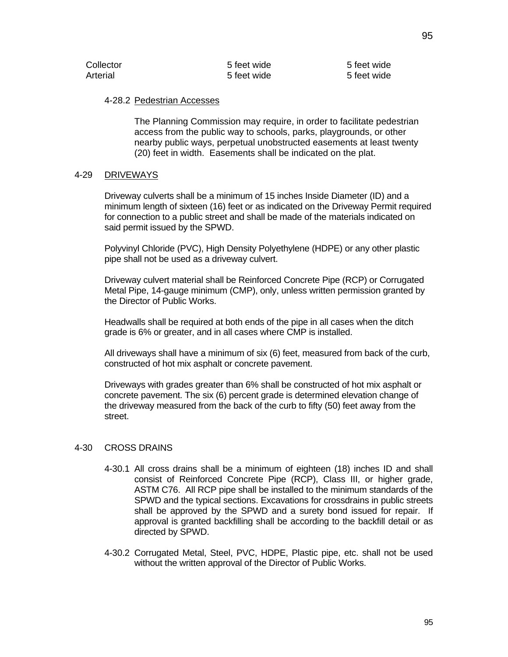| Collector | 5 feet wide | 5 feet wide |
|-----------|-------------|-------------|
| Arterial  | 5 feet wide | 5 feet wide |

#### 4-28.2 Pedestrian Accesses

The Planning Commission may require, in order to facilitate pedestrian access from the public way to schools, parks, playgrounds, or other nearby public ways, perpetual unobstructed easements at least twenty (20) feet in width. Easements shall be indicated on the plat.

#### 4-29 DRIVEWAYS

Driveway culverts shall be a minimum of 15 inches Inside Diameter (ID) and a minimum length of sixteen (16) feet or as indicated on the Driveway Permit required for connection to a public street and shall be made of the materials indicated on said permit issued by the SPWD.

Polyvinyl Chloride (PVC), High Density Polyethylene (HDPE) or any other plastic pipe shall not be used as a driveway culvert.

Driveway culvert material shall be Reinforced Concrete Pipe (RCP) or Corrugated Metal Pipe, 14-gauge minimum (CMP), only, unless written permission granted by the Director of Public Works.

Headwalls shall be required at both ends of the pipe in all cases when the ditch grade is 6% or greater, and in all cases where CMP is installed.

All driveways shall have a minimum of six (6) feet, measured from back of the curb, constructed of hot mix asphalt or concrete pavement.

Driveways with grades greater than 6% shall be constructed of hot mix asphalt or concrete pavement. The six (6) percent grade is determined elevation change of the driveway measured from the back of the curb to fifty (50) feet away from the street.

#### 4-30 CROSS DRAINS

- 4-30.1 All cross drains shall be a minimum of eighteen (18) inches ID and shall consist of Reinforced Concrete Pipe (RCP), Class III, or higher grade, ASTM C76. All RCP pipe shall be installed to the minimum standards of the SPWD and the typical sections. Excavations for crossdrains in public streets shall be approved by the SPWD and a surety bond issued for repair. If approval is granted backfilling shall be according to the backfill detail or as directed by SPWD.
- 4-30.2 Corrugated Metal, Steel, PVC, HDPE, Plastic pipe, etc. shall not be used without the written approval of the Director of Public Works.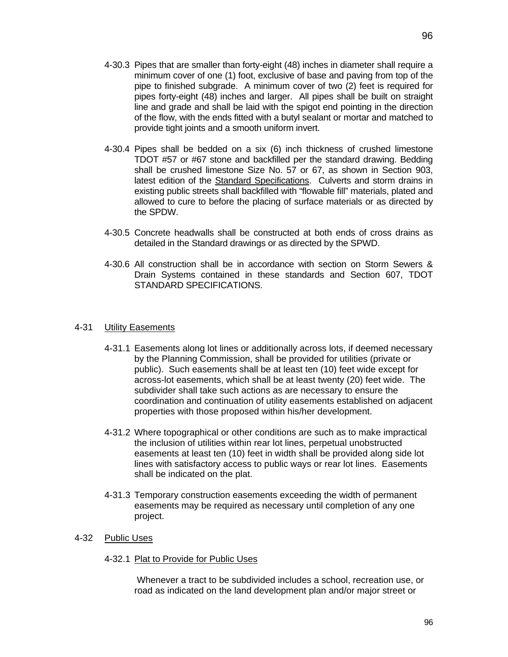- 4-30.3 Pipes that are smaller than forty-eight (48) inches in diameter shall require a minimum cover of one (1) foot, exclusive of base and paving from top of the pipe to finished subgrade. A minimum cover of two (2) feet is required for pipes forty-eight (48) inches and larger. All pipes shall be built on straight line and grade and shall be laid with the spigot end pointing in the direction of the flow, with the ends fitted with a butyl sealant or mortar and matched to provide tight joints and a smooth uniform invert.
- 4-30.4 Pipes shall be bedded on a six (6) inch thickness of crushed limestone TDOT #57 or #67 stone and backfilled per the standard drawing. Bedding shall be crushed limestone Size No. 57 or 67, as shown in Section 903, latest edition of the Standard Specifications. Culverts and storm drains in existing public streets shall backfilled with "flowable fill" materials, plated and allowed to cure to before the placing of surface materials or as directed by the SPDW.
- 4-30.5 Concrete headwalls shall be constructed at both ends of cross drains as detailed in the Standard drawings or as directed by the SPWD.
- 4-30.6 All construction shall be in accordance with section on Storm Sewers & Drain Systems contained in these standards and Section 607, TDOT STANDARD SPECIFICATIONS.

### 4-31 Utility Easements

- 4-31.1 Easements along lot lines or additionally across lots, if deemed necessary by the Planning Commission, shall be provided for utilities (private or public). Such easements shall be at least ten (10) feet wide except for across-lot easements, which shall be at least twenty (20) feet wide. The subdivider shall take such actions as are necessary to ensure the coordination and continuation of utility easements established on adjacent properties with those proposed within his/her development.
- 4-31.2 Where topographical or other conditions are such as to make impractical the inclusion of utilities within rear lot lines, perpetual unobstructed easements at least ten (10) feet in width shall be provided along side lot lines with satisfactory access to public ways or rear lot lines. Easements shall be indicated on the plat.
- 4-31.3 Temporary construction easements exceeding the width of permanent easements may be required as necessary until completion of any one project.

## 4-32 Public Uses

4-32.1 Plat to Provide for Public Uses

 Whenever a tract to be subdivided includes a school, recreation use, or road as indicated on the land development plan and/or major street or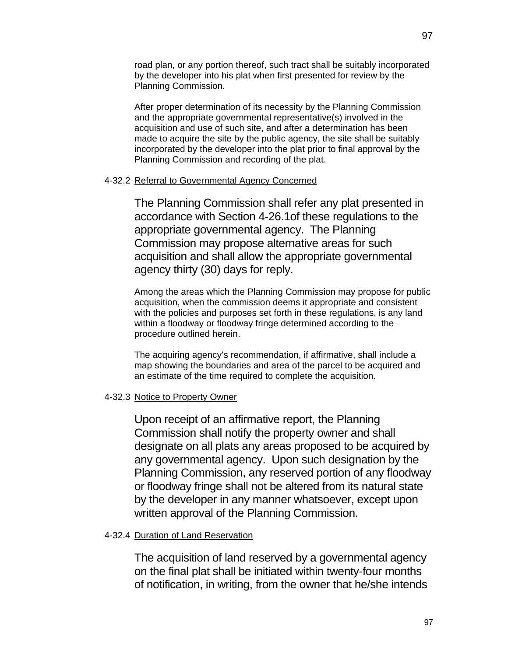road plan, or any portion thereof, such tract shall be suitably incorporated by the developer into his plat when first presented for review by the Planning Commission.

After proper determination of its necessity by the Planning Commission and the appropriate governmental representative(s) involved in the acquisition and use of such site, and after a determination has been made to acquire the site by the public agency, the site shall be suitably incorporated by the developer into the plat prior to final approval by the Planning Commission and recording of the plat.

## 4-32.2 Referral to Governmental Agency Concerned

The Planning Commission shall refer any plat presented in accordance with Section 4-26.1of these regulations to the appropriate governmental agency. The Planning Commission may propose alternative areas for such acquisition and shall allow the appropriate governmental agency thirty (30) days for reply.

Among the areas which the Planning Commission may propose for public acquisition, when the commission deems it appropriate and consistent with the policies and purposes set forth in these regulations, is any land within a floodway or floodway fringe determined according to the procedure outlined herein.

The acquiring agency's recommendation, if affirmative, shall include a map showing the boundaries and area of the parcel to be acquired and an estimate of the time required to complete the acquisition.

## 4-32.3 Notice to Property Owner

Upon receipt of an affirmative report, the Planning Commission shall notify the property owner and shall designate on all plats any areas proposed to be acquired by any governmental agency. Upon such designation by the Planning Commission, any reserved portion of any floodway or floodway fringe shall not be altered from its natural state by the developer in any manner whatsoever, except upon written approval of the Planning Commission.

## 4-32.4 Duration of Land Reservation

The acquisition of land reserved by a governmental agency on the final plat shall be initiated within twenty-four months of notification, in writing, from the owner that he/she intends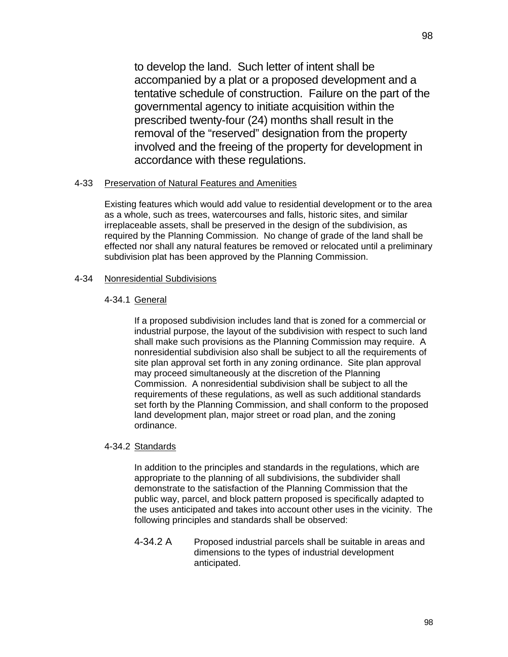to develop the land. Such letter of intent shall be accompanied by a plat or a proposed development and a tentative schedule of construction. Failure on the part of the governmental agency to initiate acquisition within the prescribed twenty-four (24) months shall result in the removal of the "reserved" designation from the property involved and the freeing of the property for development in accordance with these regulations.

## 4-33 Preservation of Natural Features and Amenities

Existing features which would add value to residential development or to the area as a whole, such as trees, watercourses and falls, historic sites, and similar irreplaceable assets, shall be preserved in the design of the subdivision, as required by the Planning Commission. No change of grade of the land shall be effected nor shall any natural features be removed or relocated until a preliminary subdivision plat has been approved by the Planning Commission.

## 4-34 Nonresidential Subdivisions

## 4-34.1 General

If a proposed subdivision includes land that is zoned for a commercial or industrial purpose, the layout of the subdivision with respect to such land shall make such provisions as the Planning Commission may require. A nonresidential subdivision also shall be subject to all the requirements of site plan approval set forth in any zoning ordinance. Site plan approval may proceed simultaneously at the discretion of the Planning Commission. A nonresidential subdivision shall be subject to all the requirements of these regulations, as well as such additional standards set forth by the Planning Commission, and shall conform to the proposed land development plan, major street or road plan, and the zoning ordinance.

#### 4-34.2 Standards

In addition to the principles and standards in the regulations, which are appropriate to the planning of all subdivisions, the subdivider shall demonstrate to the satisfaction of the Planning Commission that the public way, parcel, and block pattern proposed is specifically adapted to the uses anticipated and takes into account other uses in the vicinity. The following principles and standards shall be observed:

4-34.2 A Proposed industrial parcels shall be suitable in areas and dimensions to the types of industrial development anticipated.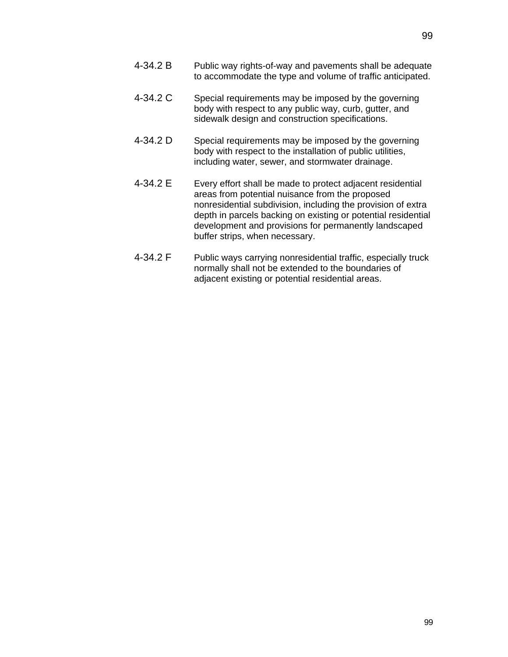- 4-34.2 B Public way rights-of-way and pavements shall be adequate to accommodate the type and volume of traffic anticipated.
- 4-34.2 C Special requirements may be imposed by the governing body with respect to any public way, curb, gutter, and sidewalk design and construction specifications.
- 4-34.2 D Special requirements may be imposed by the governing body with respect to the installation of public utilities, including water, sewer, and stormwater drainage.
- 4-34.2 E Every effort shall be made to protect adjacent residential areas from potential nuisance from the proposed nonresidential subdivision, including the provision of extra depth in parcels backing on existing or potential residential development and provisions for permanently landscaped buffer strips, when necessary.
- 4-34.2 F Public ways carrying nonresidential traffic, especially truck normally shall not be extended to the boundaries of adjacent existing or potential residential areas.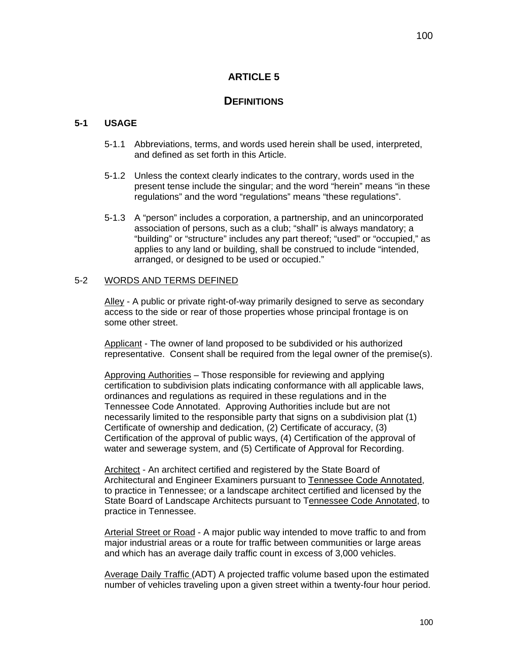# **ARTICLE 5**

# **DEFINITIONS**

## **5-1 USAGE**

- 5-1.1 Abbreviations, terms, and words used herein shall be used, interpreted, and defined as set forth in this Article.
- 5-1.2 Unless the context clearly indicates to the contrary, words used in the present tense include the singular; and the word "herein" means "in these regulations" and the word "regulations" means "these regulations".
- 5-1.3 A "person" includes a corporation, a partnership, and an unincorporated association of persons, such as a club; "shall" is always mandatory; a "building" or "structure" includes any part thereof; "used" or "occupied," as applies to any land or building, shall be construed to include "intended, arranged, or designed to be used or occupied."

## 5-2 WORDS AND TERMS DEFINED

Alley - A public or private right-of-way primarily designed to serve as secondary access to the side or rear of those properties whose principal frontage is on some other street.

Applicant - The owner of land proposed to be subdivided or his authorized representative. Consent shall be required from the legal owner of the premise(s).

Approving Authorities – Those responsible for reviewing and applying certification to subdivision plats indicating conformance with all applicable laws, ordinances and regulations as required in these regulations and in the Tennessee Code Annotated. Approving Authorities include but are not necessarily limited to the responsible party that signs on a subdivision plat (1) Certificate of ownership and dedication, (2) Certificate of accuracy, (3) Certification of the approval of public ways, (4) Certification of the approval of water and sewerage system, and (5) Certificate of Approval for Recording.

Architect - An architect certified and registered by the State Board of Architectural and Engineer Examiners pursuant to Tennessee Code Annotated, to practice in Tennessee; or a landscape architect certified and licensed by the State Board of Landscape Architects pursuant to Tennessee Code Annotated, to practice in Tennessee.

Arterial Street or Road - A major public way intended to move traffic to and from major industrial areas or a route for traffic between communities or large areas and which has an average daily traffic count in excess of 3,000 vehicles.

Average Daily Traffic (ADT) A projected traffic volume based upon the estimated number of vehicles traveling upon a given street within a twenty-four hour period.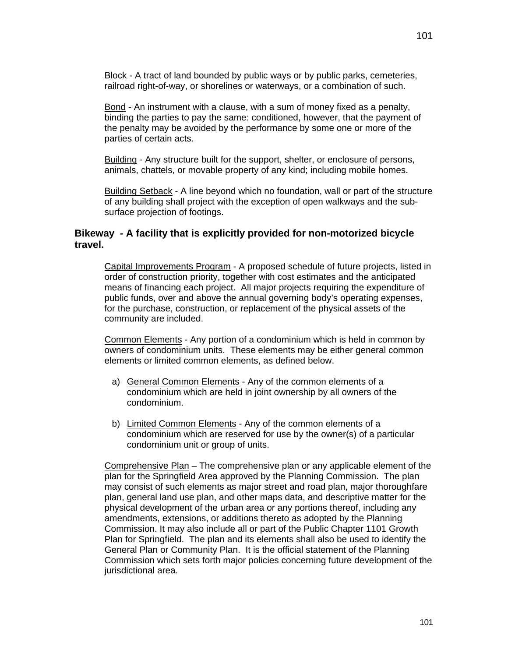Bond - An instrument with a clause, with a sum of money fixed as a penalty, binding the parties to pay the same: conditioned, however, that the payment of the penalty may be avoided by the performance by some one or more of the parties of certain acts.

Building - Any structure built for the support, shelter, or enclosure of persons, animals, chattels, or movable property of any kind; including mobile homes.

Building Setback - A line beyond which no foundation, wall or part of the structure of any building shall project with the exception of open walkways and the subsurface projection of footings.

## **Bikeway - A facility that is explicitly provided for non-motorized bicycle travel.**

Capital Improvements Program - A proposed schedule of future projects, listed in order of construction priority, together with cost estimates and the anticipated means of financing each project. All major projects requiring the expenditure of public funds, over and above the annual governing body's operating expenses, for the purchase, construction, or replacement of the physical assets of the community are included.

Common Elements - Any portion of a condominium which is held in common by owners of condominium units. These elements may be either general common elements or limited common elements, as defined below.

- a) General Common Elements Any of the common elements of a condominium which are held in joint ownership by all owners of the condominium.
- b) Limited Common Elements Any of the common elements of a condominium which are reserved for use by the owner(s) of a particular condominium unit or group of units.

Comprehensive Plan – The comprehensive plan or any applicable element of the plan for the Springfield Area approved by the Planning Commission. The plan may consist of such elements as major street and road plan, major thoroughfare plan, general land use plan, and other maps data, and descriptive matter for the physical development of the urban area or any portions thereof, including any amendments, extensions, or additions thereto as adopted by the Planning Commission. It may also include all or part of the Public Chapter 1101 Growth Plan for Springfield. The plan and its elements shall also be used to identify the General Plan or Community Plan. It is the official statement of the Planning Commission which sets forth major policies concerning future development of the jurisdictional area.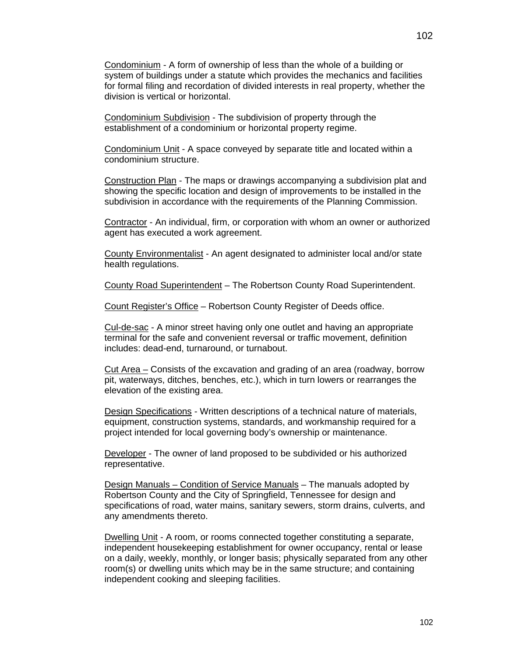Condominium - A form of ownership of less than the whole of a building or system of buildings under a statute which provides the mechanics and facilities for formal filing and recordation of divided interests in real property, whether the division is vertical or horizontal.

Condominium Subdivision - The subdivision of property through the establishment of a condominium or horizontal property regime.

Condominium Unit - A space conveyed by separate title and located within a condominium structure.

Construction Plan - The maps or drawings accompanying a subdivision plat and showing the specific location and design of improvements to be installed in the subdivision in accordance with the requirements of the Planning Commission.

Contractor - An individual, firm, or corporation with whom an owner or authorized agent has executed a work agreement.

County Environmentalist - An agent designated to administer local and/or state health regulations.

County Road Superintendent – The Robertson County Road Superintendent.

Count Register's Office – Robertson County Register of Deeds office.

Cul-de-sac - A minor street having only one outlet and having an appropriate terminal for the safe and convenient reversal or traffic movement, definition includes: dead-end, turnaround, or turnabout.

Cut Area – Consists of the excavation and grading of an area (roadway, borrow pit, waterways, ditches, benches, etc.), which in turn lowers or rearranges the elevation of the existing area.

Design Specifications - Written descriptions of a technical nature of materials, equipment, construction systems, standards, and workmanship required for a project intended for local governing body's ownership or maintenance.

Developer - The owner of land proposed to be subdivided or his authorized representative.

Design Manuals – Condition of Service Manuals – The manuals adopted by Robertson County and the City of Springfield, Tennessee for design and specifications of road, water mains, sanitary sewers, storm drains, culverts, and any amendments thereto.

Dwelling Unit - A room, or rooms connected together constituting a separate, independent housekeeping establishment for owner occupancy, rental or lease on a daily, weekly, monthly, or longer basis; physically separated from any other room(s) or dwelling units which may be in the same structure; and containing independent cooking and sleeping facilities.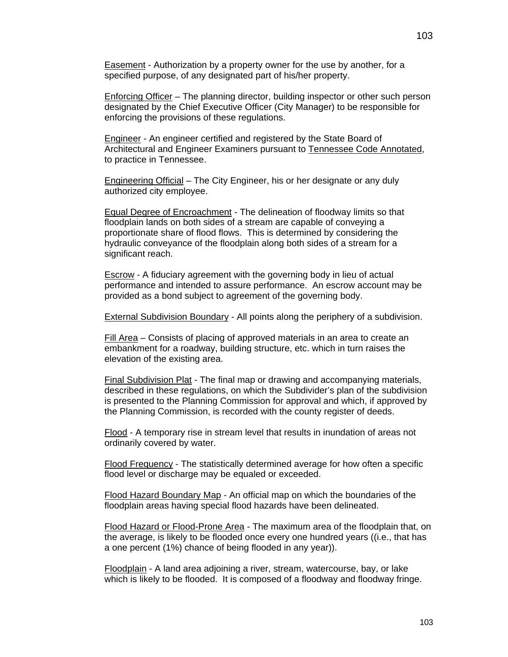Easement - Authorization by a property owner for the use by another, for a specified purpose, of any designated part of his/her property.

Enforcing Officer – The planning director, building inspector or other such person designated by the Chief Executive Officer (City Manager) to be responsible for enforcing the provisions of these regulations.

Engineer - An engineer certified and registered by the State Board of Architectural and Engineer Examiners pursuant to Tennessee Code Annotated, to practice in Tennessee.

Engineering Official – The City Engineer, his or her designate or any duly authorized city employee.

Equal Degree of Encroachment - The delineation of floodway limits so that floodplain lands on both sides of a stream are capable of conveying a proportionate share of flood flows. This is determined by considering the hydraulic conveyance of the floodplain along both sides of a stream for a significant reach.

Escrow - A fiduciary agreement with the governing body in lieu of actual performance and intended to assure performance. An escrow account may be provided as a bond subject to agreement of the governing body.

External Subdivision Boundary - All points along the periphery of a subdivision.

Fill Area – Consists of placing of approved materials in an area to create an embankment for a roadway, building structure, etc. which in turn raises the elevation of the existing area.

Final Subdivision Plat - The final map or drawing and accompanying materials, described in these regulations, on which the Subdivider's plan of the subdivision is presented to the Planning Commission for approval and which, if approved by the Planning Commission, is recorded with the county register of deeds.

Flood - A temporary rise in stream level that results in inundation of areas not ordinarily covered by water.

Flood Frequency - The statistically determined average for how often a specific flood level or discharge may be equaled or exceeded.

Flood Hazard Boundary Map - An official map on which the boundaries of the floodplain areas having special flood hazards have been delineated.

Flood Hazard or Flood-Prone Area - The maximum area of the floodplain that, on the average, is likely to be flooded once every one hundred years ((i.e., that has a one percent (1%) chance of being flooded in any year)).

Floodplain - A land area adjoining a river, stream, watercourse, bay, or lake which is likely to be flooded. It is composed of a floodway and floodway fringe.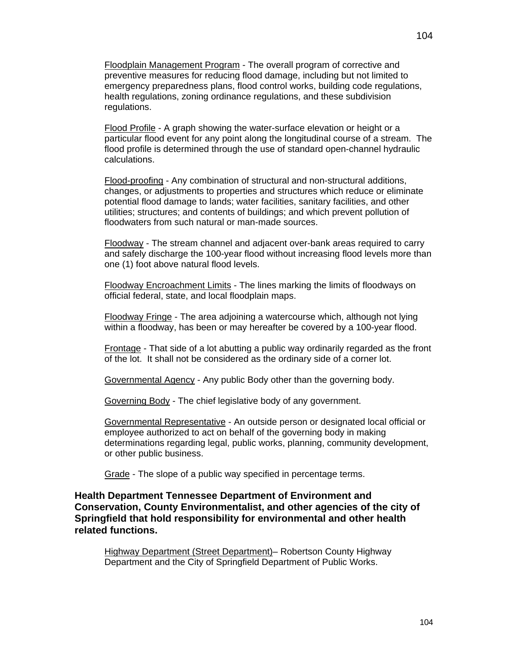Floodplain Management Program - The overall program of corrective and preventive measures for reducing flood damage, including but not limited to emergency preparedness plans, flood control works, building code regulations, health regulations, zoning ordinance regulations, and these subdivision regulations.

Flood Profile - A graph showing the water-surface elevation or height or a particular flood event for any point along the longitudinal course of a stream. The flood profile is determined through the use of standard open-channel hydraulic calculations.

Flood-proofing - Any combination of structural and non-structural additions, changes, or adjustments to properties and structures which reduce or eliminate potential flood damage to lands; water facilities, sanitary facilities, and other utilities; structures; and contents of buildings; and which prevent pollution of floodwaters from such natural or man-made sources.

Floodway - The stream channel and adjacent over-bank areas required to carry and safely discharge the 100-year flood without increasing flood levels more than one (1) foot above natural flood levels.

Floodway Encroachment Limits - The lines marking the limits of floodways on official federal, state, and local floodplain maps.

Floodway Fringe - The area adjoining a watercourse which, although not lying within a floodway, has been or may hereafter be covered by a 100-year flood.

Frontage - That side of a lot abutting a public way ordinarily regarded as the front of the lot. It shall not be considered as the ordinary side of a corner lot.

Governmental Agency - Any public Body other than the governing body.

Governing Body - The chief legislative body of any government.

Governmental Representative - An outside person or designated local official or employee authorized to act on behalf of the governing body in making determinations regarding legal, public works, planning, community development, or other public business.

Grade - The slope of a public way specified in percentage terms.

**Health Department Tennessee Department of Environment and Conservation, County Environmentalist, and other agencies of the city of Springfield that hold responsibility for environmental and other health related functions.** 

Highway Department (Street Department)– Robertson County Highway Department and the City of Springfield Department of Public Works.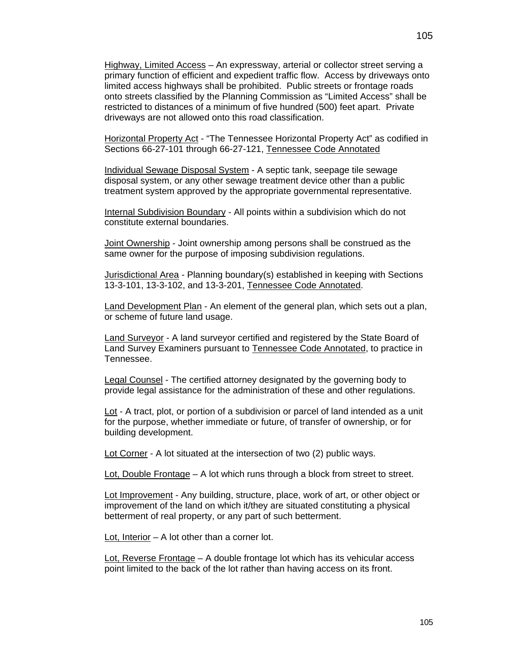Highway, Limited Access – An expressway, arterial or collector street serving a primary function of efficient and expedient traffic flow. Access by driveways onto limited access highways shall be prohibited. Public streets or frontage roads onto streets classified by the Planning Commission as "Limited Access" shall be restricted to distances of a minimum of five hundred (500) feet apart. Private driveways are not allowed onto this road classification.

Horizontal Property Act - "The Tennessee Horizontal Property Act" as codified in Sections 66-27-101 through 66-27-121, Tennessee Code Annotated

Individual Sewage Disposal System - A septic tank, seepage tile sewage disposal system, or any other sewage treatment device other than a public treatment system approved by the appropriate governmental representative.

Internal Subdivision Boundary - All points within a subdivision which do not constitute external boundaries.

Joint Ownership - Joint ownership among persons shall be construed as the same owner for the purpose of imposing subdivision regulations.

Jurisdictional Area - Planning boundary(s) established in keeping with Sections 13-3-101, 13-3-102, and 13-3-201, Tennessee Code Annotated.

Land Development Plan - An element of the general plan, which sets out a plan, or scheme of future land usage.

Land Surveyor - A land surveyor certified and registered by the State Board of Land Survey Examiners pursuant to Tennessee Code Annotated, to practice in Tennessee.

Legal Counsel - The certified attorney designated by the governing body to provide legal assistance for the administration of these and other regulations.

Lot - A tract, plot, or portion of a subdivision or parcel of land intended as a unit for the purpose, whether immediate or future, of transfer of ownership, or for building development.

Lot Corner - A lot situated at the intersection of two (2) public ways.

Lot, Double Frontage – A lot which runs through a block from street to street.

Lot Improvement - Any building, structure, place, work of art, or other object or improvement of the land on which it/they are situated constituting a physical betterment of real property, or any part of such betterment.

Lot, Interior – A lot other than a corner lot.

Lot, Reverse Frontage – A double frontage lot which has its vehicular access point limited to the back of the lot rather than having access on its front.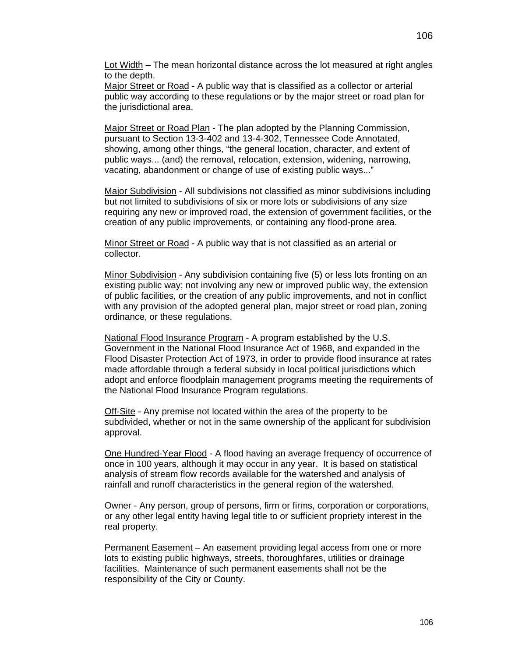Lot Width – The mean horizontal distance across the lot measured at right angles to the depth.

Major Street or Road - A public way that is classified as a collector or arterial public way according to these regulations or by the major street or road plan for the jurisdictional area.

Major Street or Road Plan - The plan adopted by the Planning Commission, pursuant to Section 13-3-402 and 13-4-302, Tennessee Code Annotated, showing, among other things, "the general location, character, and extent of public ways... (and) the removal, relocation, extension, widening, narrowing, vacating, abandonment or change of use of existing public ways..."

Major Subdivision - All subdivisions not classified as minor subdivisions including but not limited to subdivisions of six or more lots or subdivisions of any size requiring any new or improved road, the extension of government facilities, or the creation of any public improvements, or containing any flood-prone area.

Minor Street or Road - A public way that is not classified as an arterial or collector.

Minor Subdivision - Any subdivision containing five (5) or less lots fronting on an existing public way; not involving any new or improved public way, the extension of public facilities, or the creation of any public improvements, and not in conflict with any provision of the adopted general plan, major street or road plan, zoning ordinance, or these regulations.

National Flood Insurance Program - A program established by the U.S. Government in the National Flood Insurance Act of 1968, and expanded in the Flood Disaster Protection Act of 1973, in order to provide flood insurance at rates made affordable through a federal subsidy in local political jurisdictions which adopt and enforce floodplain management programs meeting the requirements of the National Flood Insurance Program regulations.

Off-Site - Any premise not located within the area of the property to be subdivided, whether or not in the same ownership of the applicant for subdivision approval.

One Hundred-Year Flood - A flood having an average frequency of occurrence of once in 100 years, although it may occur in any year. It is based on statistical analysis of stream flow records available for the watershed and analysis of rainfall and runoff characteristics in the general region of the watershed.

Owner - Any person, group of persons, firm or firms, corporation or corporations, or any other legal entity having legal title to or sufficient propriety interest in the real property.

Permanent Easement – An easement providing legal access from one or more lots to existing public highways, streets, thoroughfares, utilities or drainage facilities. Maintenance of such permanent easements shall not be the responsibility of the City or County.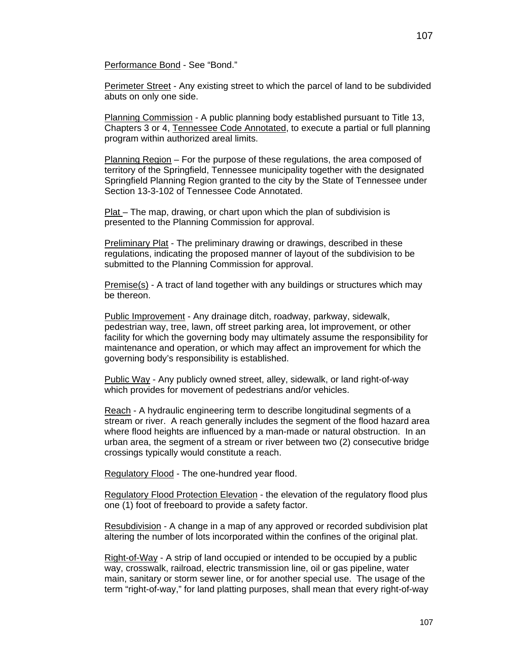Performance Bond - See "Bond."

Perimeter Street - Any existing street to which the parcel of land to be subdivided abuts on only one side.

Planning Commission - A public planning body established pursuant to Title 13, Chapters 3 or 4, Tennessee Code Annotated, to execute a partial or full planning program within authorized areal limits.

Planning Region – For the purpose of these regulations, the area composed of territory of the Springfield, Tennessee municipality together with the designated Springfield Planning Region granted to the city by the State of Tennessee under Section 13-3-102 of Tennessee Code Annotated.

Plat – The map, drawing, or chart upon which the plan of subdivision is presented to the Planning Commission for approval.

Preliminary Plat - The preliminary drawing or drawings, described in these regulations, indicating the proposed manner of layout of the subdivision to be submitted to the Planning Commission for approval.

Premise(s) - A tract of land together with any buildings or structures which may be thereon.

Public Improvement - Any drainage ditch, roadway, parkway, sidewalk, pedestrian way, tree, lawn, off street parking area, lot improvement, or other facility for which the governing body may ultimately assume the responsibility for maintenance and operation, or which may affect an improvement for which the governing body's responsibility is established.

Public Way - Any publicly owned street, alley, sidewalk, or land right-of-way which provides for movement of pedestrians and/or vehicles.

Reach - A hydraulic engineering term to describe longitudinal segments of a stream or river. A reach generally includes the segment of the flood hazard area where flood heights are influenced by a man-made or natural obstruction. In an urban area, the segment of a stream or river between two (2) consecutive bridge crossings typically would constitute a reach.

Regulatory Flood - The one-hundred year flood.

Regulatory Flood Protection Elevation - the elevation of the regulatory flood plus one (1) foot of freeboard to provide a safety factor.

Resubdivision - A change in a map of any approved or recorded subdivision plat altering the number of lots incorporated within the confines of the original plat.

Right-of-Way - A strip of land occupied or intended to be occupied by a public way, crosswalk, railroad, electric transmission line, oil or gas pipeline, water main, sanitary or storm sewer line, or for another special use. The usage of the term "right-of-way," for land platting purposes, shall mean that every right-of-way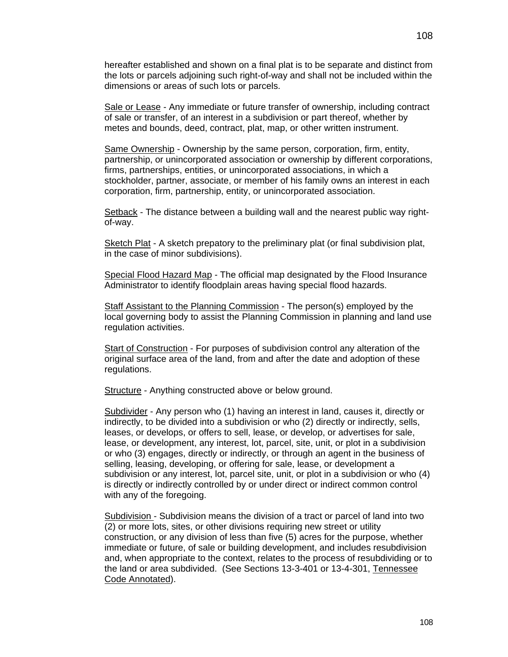hereafter established and shown on a final plat is to be separate and distinct from the lots or parcels adjoining such right-of-way and shall not be included within the dimensions or areas of such lots or parcels.

Sale or Lease - Any immediate or future transfer of ownership, including contract of sale or transfer, of an interest in a subdivision or part thereof, whether by metes and bounds, deed, contract, plat, map, or other written instrument.

Same Ownership - Ownership by the same person, corporation, firm, entity, partnership, or unincorporated association or ownership by different corporations, firms, partnerships, entities, or unincorporated associations, in which a stockholder, partner, associate, or member of his family owns an interest in each corporation, firm, partnership, entity, or unincorporated association.

Setback - The distance between a building wall and the nearest public way rightof-way.

Sketch Plat - A sketch prepatory to the preliminary plat (or final subdivision plat, in the case of minor subdivisions).

Special Flood Hazard Map - The official map designated by the Flood Insurance Administrator to identify floodplain areas having special flood hazards.

Staff Assistant to the Planning Commission - The person(s) employed by the local governing body to assist the Planning Commission in planning and land use regulation activities.

Start of Construction - For purposes of subdivision control any alteration of the original surface area of the land, from and after the date and adoption of these regulations.

Structure - Anything constructed above or below ground.

Subdivider - Any person who (1) having an interest in land, causes it, directly or indirectly, to be divided into a subdivision or who (2) directly or indirectly, sells, leases, or develops, or offers to sell, lease, or develop, or advertises for sale, lease, or development, any interest, lot, parcel, site, unit, or plot in a subdivision or who (3) engages, directly or indirectly, or through an agent in the business of selling, leasing, developing, or offering for sale, lease, or development a subdivision or any interest, lot, parcel site, unit, or plot in a subdivision or who (4) is directly or indirectly controlled by or under direct or indirect common control with any of the foregoing.

Subdivision - Subdivision means the division of a tract or parcel of land into two (2) or more lots, sites, or other divisions requiring new street or utility construction, or any division of less than five (5) acres for the purpose, whether immediate or future, of sale or building development, and includes resubdivision and, when appropriate to the context, relates to the process of resubdividing or to the land or area subdivided. (See Sections 13-3-401 or 13-4-301, Tennessee Code Annotated).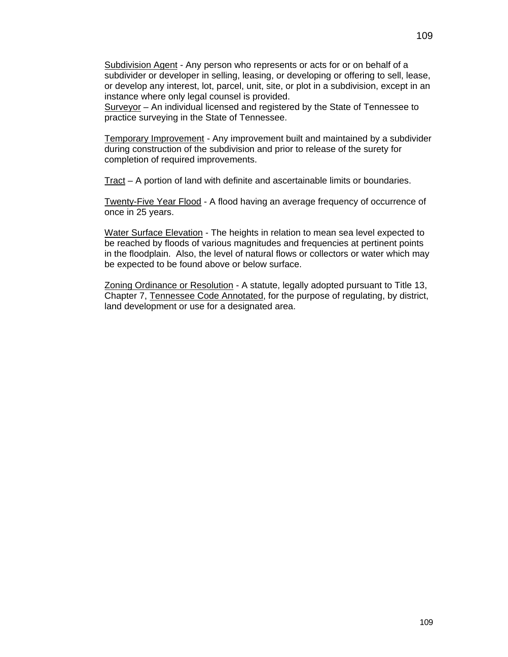Subdivision Agent - Any person who represents or acts for or on behalf of a subdivider or developer in selling, leasing, or developing or offering to sell, lease, or develop any interest, lot, parcel, unit, site, or plot in a subdivision, except in an instance where only legal counsel is provided.

Surveyor – An individual licensed and registered by the State of Tennessee to practice surveying in the State of Tennessee.

Temporary Improvement - Any improvement built and maintained by a subdivider during construction of the subdivision and prior to release of the surety for completion of required improvements.

Tract – A portion of land with definite and ascertainable limits or boundaries.

Twenty-Five Year Flood - A flood having an average frequency of occurrence of once in 25 years.

Water Surface Elevation - The heights in relation to mean sea level expected to be reached by floods of various magnitudes and frequencies at pertinent points in the floodplain. Also, the level of natural flows or collectors or water which may be expected to be found above or below surface.

Zoning Ordinance or Resolution - A statute, legally adopted pursuant to Title 13, Chapter 7, Tennessee Code Annotated, for the purpose of regulating, by district, land development or use for a designated area.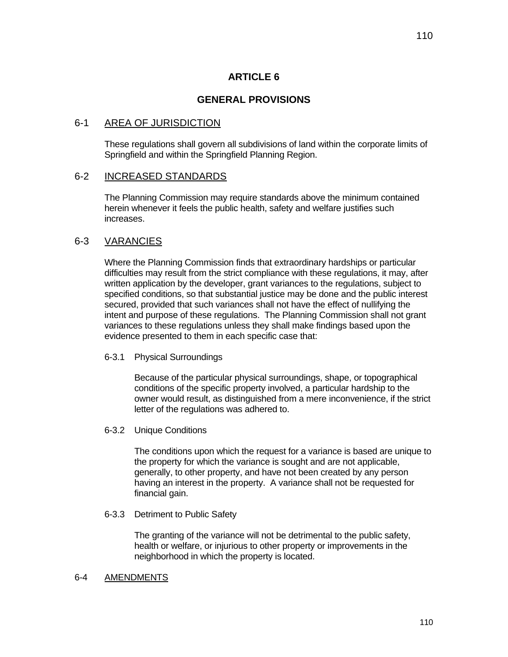# **ARTICLE 6**

# **GENERAL PROVISIONS**

## 6-1 AREA OF JURISDICTION

These regulations shall govern all subdivisions of land within the corporate limits of Springfield and within the Springfield Planning Region.

## 6-2 INCREASED STANDARDS

The Planning Commission may require standards above the minimum contained herein whenever it feels the public health, safety and welfare justifies such increases.

## 6-3 VARANCIES

Where the Planning Commission finds that extraordinary hardships or particular difficulties may result from the strict compliance with these regulations, it may, after written application by the developer, grant variances to the regulations, subject to specified conditions, so that substantial justice may be done and the public interest secured, provided that such variances shall not have the effect of nullifying the intent and purpose of these regulations. The Planning Commission shall not grant variances to these regulations unless they shall make findings based upon the evidence presented to them in each specific case that:

6-3.1 Physical Surroundings

 Because of the particular physical surroundings, shape, or topographical conditions of the specific property involved, a particular hardship to the owner would result, as distinguished from a mere inconvenience, if the strict letter of the regulations was adhered to.

6-3.2 Unique Conditions

 The conditions upon which the request for a variance is based are unique to the property for which the variance is sought and are not applicable, generally, to other property, and have not been created by any person having an interest in the property. A variance shall not be requested for financial gain.

6-3.3 Detriment to Public Safety

 The granting of the variance will not be detrimental to the public safety, health or welfare, or injurious to other property or improvements in the neighborhood in which the property is located.

#### 6-4 AMENDMENTS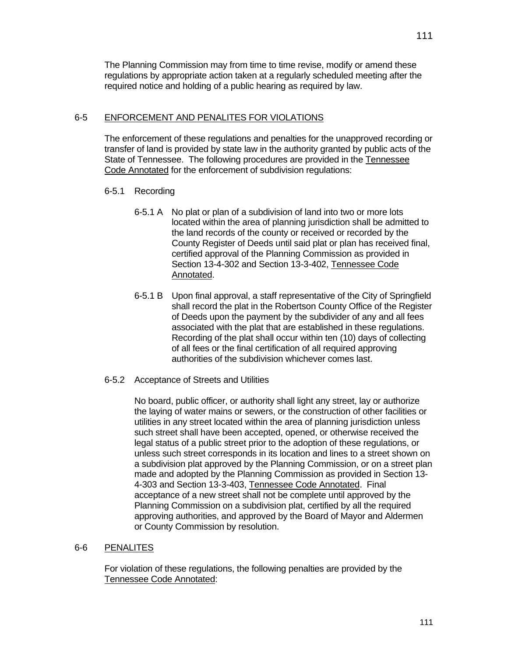The Planning Commission may from time to time revise, modify or amend these regulations by appropriate action taken at a regularly scheduled meeting after the required notice and holding of a public hearing as required by law.

## 6-5 ENFORCEMENT AND PENALITES FOR VIOLATIONS

 The enforcement of these regulations and penalties for the unapproved recording or transfer of land is provided by state law in the authority granted by public acts of the State of Tennessee. The following procedures are provided in the Tennessee Code Annotated for the enforcement of subdivision regulations:

## 6-5.1 Recording

- 6-5.1 A No plat or plan of a subdivision of land into two or more lots located within the area of planning jurisdiction shall be admitted to the land records of the county or received or recorded by the County Register of Deeds until said plat or plan has received final, certified approval of the Planning Commission as provided in Section 13-4-302 and Section 13-3-402, Tennessee Code Annotated.
- 6-5.1 B Upon final approval, a staff representative of the City of Springfield shall record the plat in the Robertson County Office of the Register of Deeds upon the payment by the subdivider of any and all fees associated with the plat that are established in these regulations. Recording of the plat shall occur within ten (10) days of collecting of all fees or the final certification of all required approving authorities of the subdivision whichever comes last.
- 6-5.2 Acceptance of Streets and Utilities

 No board, public officer, or authority shall light any street, lay or authorize the laying of water mains or sewers, or the construction of other facilities or utilities in any street located within the area of planning jurisdiction unless such street shall have been accepted, opened, or otherwise received the legal status of a public street prior to the adoption of these regulations, or unless such street corresponds in its location and lines to a street shown on a subdivision plat approved by the Planning Commission, or on a street plan made and adopted by the Planning Commission as provided in Section 13- 4-303 and Section 13-3-403, Tennessee Code Annotated. Final acceptance of a new street shall not be complete until approved by the Planning Commission on a subdivision plat, certified by all the required approving authorities, and approved by the Board of Mayor and Aldermen or County Commission by resolution.

## 6-6 PENALITES

For violation of these regulations, the following penalties are provided by the Tennessee Code Annotated: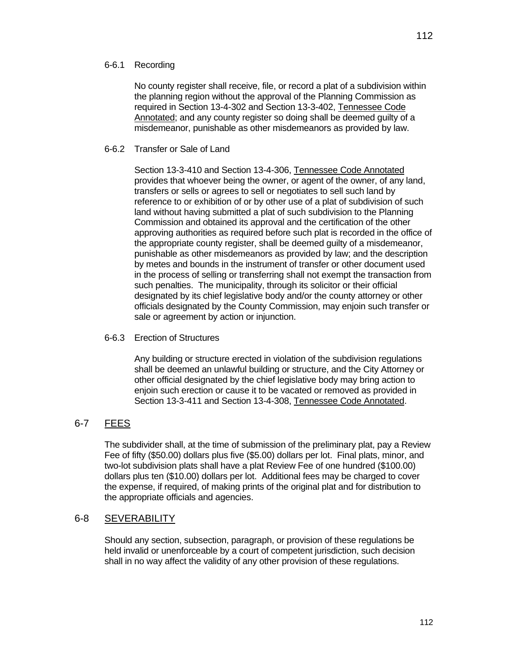## 6-6.1 Recording

No county register shall receive, file, or record a plat of a subdivision within the planning region without the approval of the Planning Commission as required in Section 13-4-302 and Section 13-3-402, Tennessee Code Annotated; and any county register so doing shall be deemed guilty of a misdemeanor, punishable as other misdemeanors as provided by law.

## 6-6.2 Transfer or Sale of Land

Section 13-3-410 and Section 13-4-306, Tennessee Code Annotated provides that whoever being the owner, or agent of the owner, of any land, transfers or sells or agrees to sell or negotiates to sell such land by reference to or exhibition of or by other use of a plat of subdivision of such land without having submitted a plat of such subdivision to the Planning Commission and obtained its approval and the certification of the other approving authorities as required before such plat is recorded in the office of the appropriate county register, shall be deemed guilty of a misdemeanor, punishable as other misdemeanors as provided by law; and the description by metes and bounds in the instrument of transfer or other document used in the process of selling or transferring shall not exempt the transaction from such penalties. The municipality, through its solicitor or their official designated by its chief legislative body and/or the county attorney or other officials designated by the County Commission, may enjoin such transfer or sale or agreement by action or injunction.

## 6-6.3 Erection of Structures

Any building or structure erected in violation of the subdivision regulations shall be deemed an unlawful building or structure, and the City Attorney or other official designated by the chief legislative body may bring action to enjoin such erection or cause it to be vacated or removed as provided in Section 13-3-411 and Section 13-4-308, Tennessee Code Annotated.

# 6-7 FEES

 The subdivider shall, at the time of submission of the preliminary plat, pay a Review Fee of fifty (\$50.00) dollars plus five (\$5.00) dollars per lot. Final plats, minor, and two-lot subdivision plats shall have a plat Review Fee of one hundred (\$100.00) dollars plus ten (\$10.00) dollars per lot. Additional fees may be charged to cover the expense, if required, of making prints of the original plat and for distribution to the appropriate officials and agencies.

## 6-8 SEVERABILITY

Should any section, subsection, paragraph, or provision of these regulations be held invalid or unenforceable by a court of competent jurisdiction, such decision shall in no way affect the validity of any other provision of these regulations.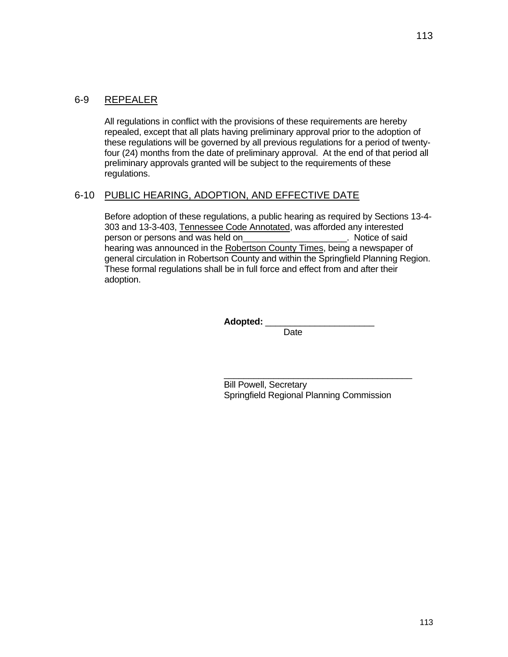All regulations in conflict with the provisions of these requirements are hereby repealed, except that all plats having preliminary approval prior to the adoption of these regulations will be governed by all previous regulations for a period of twentyfour (24) months from the date of preliminary approval. At the end of that period all preliminary approvals granted will be subject to the requirements of these regulations.

## 6-10 PUBLIC HEARING, ADOPTION, AND EFFECTIVE DATE

Before adoption of these regulations, a public hearing as required by Sections 13-4- 303 and 13-3-403, Tennessee Code Annotated, was afforded any interested person or persons and was held on example to the Notice of said hearing was announced in the Robertson County Times, being a newspaper of general circulation in Robertson County and within the Springfield Planning Region. These formal regulations shall be in full force and effect from and after their adoption.

Adopted: \_\_\_\_

**Date Date Date** 

 $\mathcal{L}_\mathcal{L} = \{ \mathcal{L}_\mathcal{L} = \{ \mathcal{L}_\mathcal{L} = \{ \mathcal{L}_\mathcal{L} = \{ \mathcal{L}_\mathcal{L} = \{ \mathcal{L}_\mathcal{L} = \{ \mathcal{L}_\mathcal{L} = \{ \mathcal{L}_\mathcal{L} = \{ \mathcal{L}_\mathcal{L} = \{ \mathcal{L}_\mathcal{L} = \{ \mathcal{L}_\mathcal{L} = \{ \mathcal{L}_\mathcal{L} = \{ \mathcal{L}_\mathcal{L} = \{ \mathcal{L}_\mathcal{L} = \{ \mathcal{L}_\mathcal{$  Bill Powell, Secretary Springfield Regional Planning Commission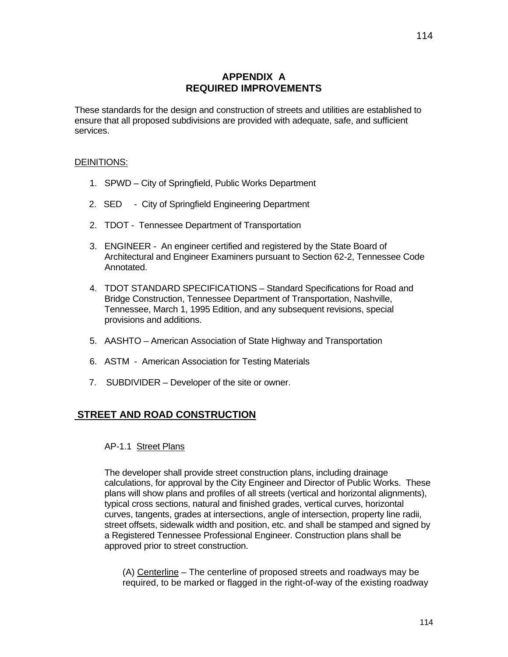# **APPENDIX A REQUIRED IMPROVEMENTS**

These standards for the design and construction of streets and utilities are established to ensure that all proposed subdivisions are provided with adequate, safe, and sufficient services.

#### DEINITIONS:

- 1. SPWD City of Springfield, Public Works Department
- 2. SED City of Springfield Engineering Department
- 2. TDOT Tennessee Department of Transportation
- 3. ENGINEER An engineer certified and registered by the State Board of Architectural and Engineer Examiners pursuant to Section 62-2, Tennessee Code Annotated.
- 4. TDOT STANDARD SPECIFICATIONS Standard Specifications for Road and Bridge Construction, Tennessee Department of Transportation, Nashville, Tennessee, March 1, 1995 Edition, and any subsequent revisions, special provisions and additions.
- 5. AASHTO American Association of State Highway and Transportation
- 6. ASTM American Association for Testing Materials
- 7. SUBDIVIDER Developer of the site or owner.

# **STREET AND ROAD CONSTRUCTION**

#### AP-1.1 Street Plans

The developer shall provide street construction plans, including drainage calculations, for approval by the City Engineer and Director of Public Works. These plans will show plans and profiles of all streets (vertical and horizontal alignments), typical cross sections, natural and finished grades, vertical curves, horizontal curves, tangents, grades at intersections, angle of intersection, property line radii, street offsets, sidewalk width and position, etc. and shall be stamped and signed by a Registered Tennessee Professional Engineer. Construction plans shall be approved prior to street construction.

(A) Centerline – The centerline of proposed streets and roadways may be required, to be marked or flagged in the right-of-way of the existing roadway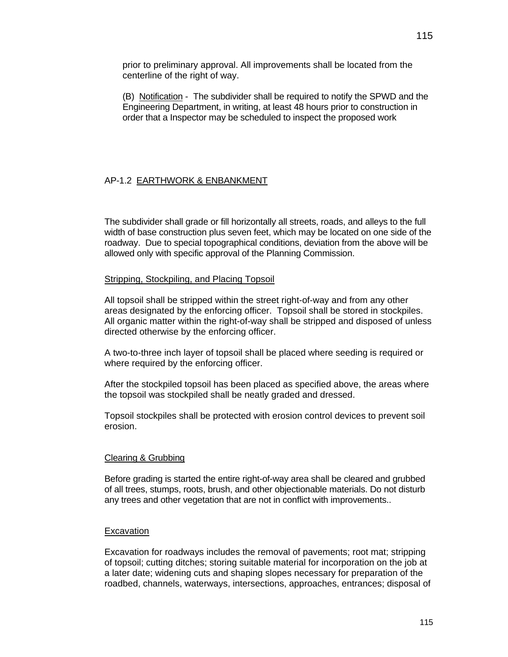prior to preliminary approval. All improvements shall be located from the centerline of the right of way.

(B) Notification - The subdivider shall be required to notify the SPWD and the Engineering Department, in writing, at least 48 hours prior to construction in order that a Inspector may be scheduled to inspect the proposed work

## AP-1.2 EARTHWORK & ENBANKMENT

The subdivider shall grade or fill horizontally all streets, roads, and alleys to the full width of base construction plus seven feet, which may be located on one side of the roadway. Due to special topographical conditions, deviation from the above will be allowed only with specific approval of the Planning Commission.

#### Stripping, Stockpiling, and Placing Topsoil

All topsoil shall be stripped within the street right-of-way and from any other areas designated by the enforcing officer. Topsoil shall be stored in stockpiles. All organic matter within the right-of-way shall be stripped and disposed of unless directed otherwise by the enforcing officer.

A two-to-three inch layer of topsoil shall be placed where seeding is required or where required by the enforcing officer.

After the stockpiled topsoil has been placed as specified above, the areas where the topsoil was stockpiled shall be neatly graded and dressed.

Topsoil stockpiles shall be protected with erosion control devices to prevent soil erosion.

#### Clearing & Grubbing

Before grading is started the entire right-of-way area shall be cleared and grubbed of all trees, stumps, roots, brush, and other objectionable materials. Do not disturb any trees and other vegetation that are not in conflict with improvements..

#### **Excavation**

Excavation for roadways includes the removal of pavements; root mat; stripping of topsoil; cutting ditches; storing suitable material for incorporation on the job at a later date; widening cuts and shaping slopes necessary for preparation of the roadbed, channels, waterways, intersections, approaches, entrances; disposal of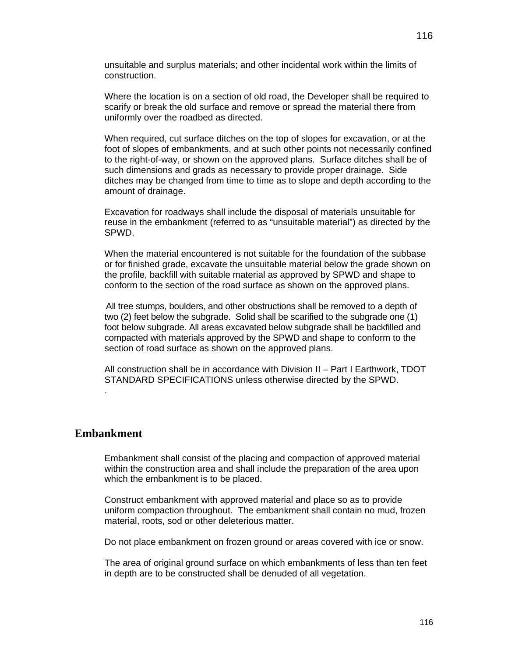unsuitable and surplus materials; and other incidental work within the limits of construction.

Where the location is on a section of old road, the Developer shall be required to scarify or break the old surface and remove or spread the material there from uniformly over the roadbed as directed.

When required, cut surface ditches on the top of slopes for excavation, or at the foot of slopes of embankments, and at such other points not necessarily confined to the right-of-way, or shown on the approved plans. Surface ditches shall be of such dimensions and grads as necessary to provide proper drainage. Side ditches may be changed from time to time as to slope and depth according to the amount of drainage.

Excavation for roadways shall include the disposal of materials unsuitable for reuse in the embankment (referred to as "unsuitable material") as directed by the SPWD.

When the material encountered is not suitable for the foundation of the subbase or for finished grade, excavate the unsuitable material below the grade shown on the profile, backfill with suitable material as approved by SPWD and shape to conform to the section of the road surface as shown on the approved plans.

 All tree stumps, boulders, and other obstructions shall be removed to a depth of two (2) feet below the subgrade. Solid shall be scarified to the subgrade one (1) foot below subgrade. All areas excavated below subgrade shall be backfilled and compacted with materials approved by the SPWD and shape to conform to the section of road surface as shown on the approved plans.

All construction shall be in accordance with Division II – Part I Earthwork, TDOT STANDARD SPECIFICATIONS unless otherwise directed by the SPWD.

# **Embankment**

.

Embankment shall consist of the placing and compaction of approved material within the construction area and shall include the preparation of the area upon which the embankment is to be placed.

Construct embankment with approved material and place so as to provide uniform compaction throughout. The embankment shall contain no mud, frozen material, roots, sod or other deleterious matter.

Do not place embankment on frozen ground or areas covered with ice or snow.

The area of original ground surface on which embankments of less than ten feet in depth are to be constructed shall be denuded of all vegetation.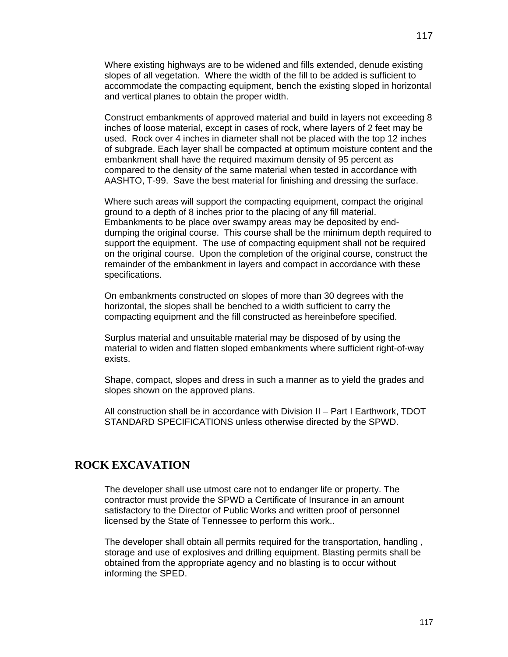Where existing highways are to be widened and fills extended, denude existing slopes of all vegetation. Where the width of the fill to be added is sufficient to accommodate the compacting equipment, bench the existing sloped in horizontal and vertical planes to obtain the proper width.

Construct embankments of approved material and build in layers not exceeding 8 inches of loose material, except in cases of rock, where layers of 2 feet may be used. Rock over 4 inches in diameter shall not be placed with the top 12 inches of subgrade. Each layer shall be compacted at optimum moisture content and the embankment shall have the required maximum density of 95 percent as compared to the density of the same material when tested in accordance with AASHTO, T-99. Save the best material for finishing and dressing the surface.

Where such areas will support the compacting equipment, compact the original ground to a depth of 8 inches prior to the placing of any fill material. Embankments to be place over swampy areas may be deposited by enddumping the original course. This course shall be the minimum depth required to support the equipment. The use of compacting equipment shall not be required on the original course. Upon the completion of the original course, construct the remainder of the embankment in layers and compact in accordance with these specifications.

On embankments constructed on slopes of more than 30 degrees with the horizontal, the slopes shall be benched to a width sufficient to carry the compacting equipment and the fill constructed as hereinbefore specified.

Surplus material and unsuitable material may be disposed of by using the material to widen and flatten sloped embankments where sufficient right-of-way exists.

Shape, compact, slopes and dress in such a manner as to yield the grades and slopes shown on the approved plans.

All construction shall be in accordance with Division II – Part I Earthwork, TDOT STANDARD SPECIFICATIONS unless otherwise directed by the SPWD.

# **ROCK EXCAVATION**

The developer shall use utmost care not to endanger life or property. The contractor must provide the SPWD a Certificate of Insurance in an amount satisfactory to the Director of Public Works and written proof of personnel licensed by the State of Tennessee to perform this work..

The developer shall obtain all permits required for the transportation, handling , storage and use of explosives and drilling equipment. Blasting permits shall be obtained from the appropriate agency and no blasting is to occur without informing the SPED.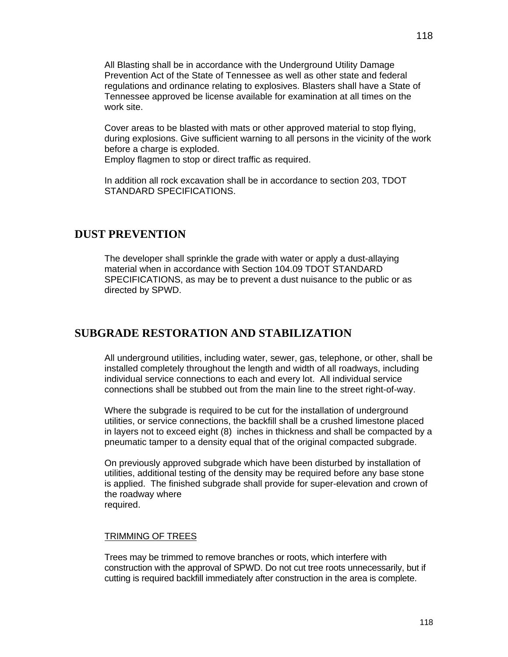All Blasting shall be in accordance with the Underground Utility Damage Prevention Act of the State of Tennessee as well as other state and federal regulations and ordinance relating to explosives. Blasters shall have a State of Tennessee approved be license available for examination at all times on the work site.

Cover areas to be blasted with mats or other approved material to stop flying, during explosions. Give sufficient warning to all persons in the vicinity of the work before a charge is exploded.

Employ flagmen to stop or direct traffic as required.

In addition all rock excavation shall be in accordance to section 203, TDOT STANDARD SPECIFICATIONS.

# **DUST PREVENTION**

The developer shall sprinkle the grade with water or apply a dust-allaying material when in accordance with Section 104.09 TDOT STANDARD SPECIFICATIONS, as may be to prevent a dust nuisance to the public or as directed by SPWD.

# **SUBGRADE RESTORATION AND STABILIZATION**

All underground utilities, including water, sewer, gas, telephone, or other, shall be installed completely throughout the length and width of all roadways, including individual service connections to each and every lot. All individual service connections shall be stubbed out from the main line to the street right-of-way.

Where the subgrade is required to be cut for the installation of underground utilities, or service connections, the backfill shall be a crushed limestone placed in layers not to exceed eight (8) inches in thickness and shall be compacted by a pneumatic tamper to a density equal that of the original compacted subgrade.

On previously approved subgrade which have been disturbed by installation of utilities, additional testing of the density may be required before any base stone is applied. The finished subgrade shall provide for super-elevation and crown of the roadway where required.

#### TRIMMING OF TREES

Trees may be trimmed to remove branches or roots, which interfere with construction with the approval of SPWD. Do not cut tree roots unnecessarily, but if cutting is required backfill immediately after construction in the area is complete.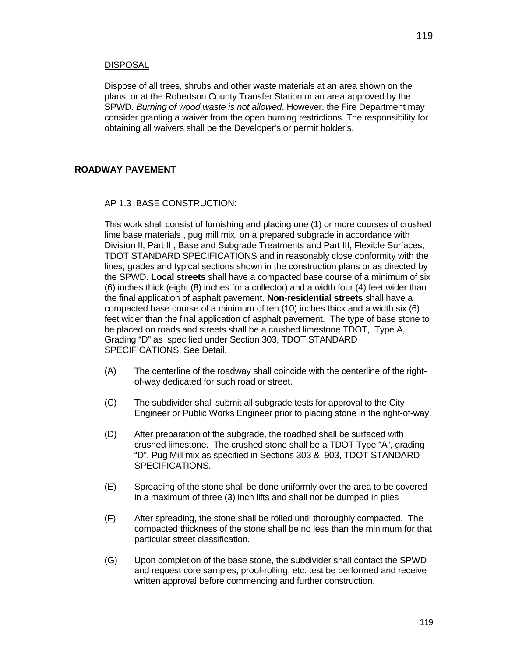Dispose of all trees, shrubs and other waste materials at an area shown on the plans, or at the Robertson County Transfer Station or an area approved by the SPWD. *Burning of wood waste is not allowed*. However, the Fire Department may consider granting a waiver from the open burning restrictions. The responsibility for obtaining all waivers shall be the Developer's or permit holder's.

### **ROADWAY PAVEMENT**

#### AP 1.3 BASE CONSTRUCTION:

This work shall consist of furnishing and placing one (1) or more courses of crushed lime base materials , pug mill mix, on a prepared subgrade in accordance with Division II, Part II , Base and Subgrade Treatments and Part III, Flexible Surfaces, TDOT STANDARD SPECIFICATIONS and in reasonably close conformity with the lines, grades and typical sections shown in the construction plans or as directed by the SPWD. **Local streets** shall have a compacted base course of a minimum of six (6) inches thick (eight (8) inches for a collector) and a width four (4) feet wider than the final application of asphalt pavement. **Non-residential streets** shall have a compacted base course of a minimum of ten (10) inches thick and a width six (6) feet wider than the final application of asphalt pavement. The type of base stone to be placed on roads and streets shall be a crushed limestone TDOT, Type A, Grading "D" as specified under Section 303, TDOT STANDARD SPECIFICATIONS. See Detail.

- (A) The centerline of the roadway shall coincide with the centerline of the rightof-way dedicated for such road or street.
- (C) The subdivider shall submit all subgrade tests for approval to the City Engineer or Public Works Engineer prior to placing stone in the right-of-way.
- (D) After preparation of the subgrade, the roadbed shall be surfaced with crushed limestone. The crushed stone shall be a TDOT Type "A", grading "D", Pug Mill mix as specified in Sections 303 & 903, TDOT STANDARD SPECIFICATIONS.
- (E) Spreading of the stone shall be done uniformly over the area to be covered in a maximum of three (3) inch lifts and shall not be dumped in piles
- (F) After spreading, the stone shall be rolled until thoroughly compacted. The compacted thickness of the stone shall be no less than the minimum for that particular street classification.
- (G) Upon completion of the base stone, the subdivider shall contact the SPWD and request core samples, proof-rolling, etc. test be performed and receive written approval before commencing and further construction.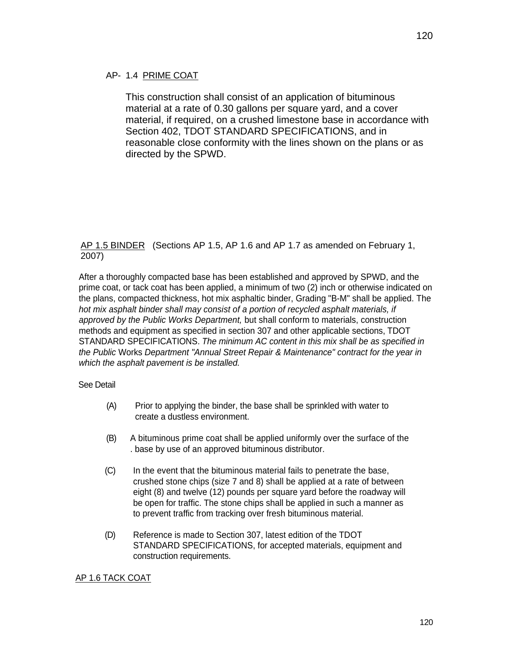### AP- 1.4 PRIME COAT

This construction shall consist of an application of bituminous material at a rate of 0.30 gallons per square yard, and a cover material, if required, on a crushed limestone base in accordance with Section 402, TDOT STANDARD SPECIFICATIONS, and in reasonable close conformity with the lines shown on the plans or as directed by the SPWD.

### AP 1.5 BINDER (Sections AP 1.5, AP 1.6 and AP 1.7 as amended on February 1, 2007)

After a thoroughly compacted base has been established and approved by SPWD, and the prime coat, or tack coat has been applied, a minimum of two (2) inch or otherwise indicated on the plans, compacted thickness, hot mix asphaltic binder, Grading "B-M" shall be applied. The *hot mix asphalt binder shall may consist of a portion of recycled asphalt materials, if approved by the Public Works Department,* but shall conform to materials, construction methods and equipment as specified in section 307 and other applicable sections, TDOT STANDARD SPECIFICATIONS. *The minimum AC content in this mix shall be as specified in the Public* Works *Department "Annual Street Repair & Maintenance" contract for the year in which the asphalt pavement is be installed.*

#### See Detail

- (A) Prior to applying the binder, the base shall be sprinkled with water to create a dustless environment.
- (B) A bituminous prime coat shall be applied uniformly over the surface of the . base by use of an approved bituminous distributor.
- (C) In the event that the bituminous material fails to penetrate the base, crushed stone chips (size 7 and 8) shall be applied at a rate of between eight (8) and twelve (12) pounds per square yard before the roadway will be open for traffic. The stone chips shall be applied in such a manner as to prevent traffic from tracking over fresh bituminous material.
- (D) Reference is made to Section 307, latest edition of the TDOT STANDARD SPECIFICATIONS, for accepted materials, equipment and construction requirements.

### AP 1.6 TACK COAT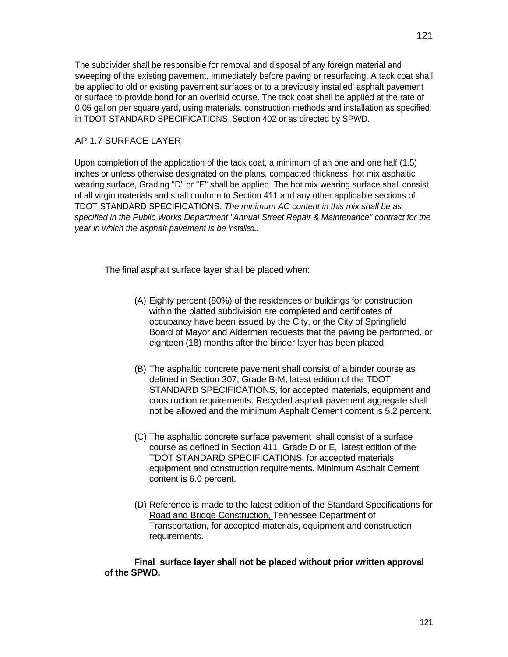The subdivider shall be responsible for removal and disposal of any foreign material and sweeping of the existing pavement, immediately before paving or resurfacing. A tack coat shall be applied to old or existing pavement surfaces or to a previously installed' asphalt pavement or surface to provide bond for an overlaid course. The tack coat shall be applied at the rate of 0.05 gallon per square yard, using materials, construction methods and installation as specified in TDOT STANDARD SPECIFICATIONS, Section 402 or as directed by SPWD.

### AP 1.7 SURFACE LAYER

Upon completion of the application of the tack coat, a minimum of an one and one half (1.5) inches or unless otherwise designated on the plans, compacted thickness, hot mix asphaltic wearing surface, Grading "D" or "E" shall be applied. The hot mix wearing surface shall consist of all virgin materials and shall conform to Section 411 and any other applicable sections of TDOT STANDARD SPECIFICATIONS. *The minimum AC content in this mix shall be as specified in the Public Works Department "Annual Street Repair & Maintenance" contract for the year in which the asphalt pavement is be installed..*

The final asphalt surface layer shall be placed when:

- (A) Eighty percent (80%) of the residences or buildings for construction within the platted subdivision are completed and certificates of occupancy have been issued by the City, or the City of Springfield Board of Mayor and Aldermen requests that the paving be performed, or eighteen (18) months after the binder layer has been placed.
- (B) The asphaltic concrete pavement shall consist of a binder course as defined in Section 307, Grade B-M, latest edition of the TDOT STANDARD SPECIFICATIONS, for accepted materials, equipment and construction requirements. Recycled asphalt pavement aggregate shall not be allowed and the minimum Asphalt Cement content is 5.2 percent.
- (C) The asphaltic concrete surface pavement shall consist of a surface course as defined in Section 411, Grade D or E, latest edition of the TDOT STANDARD SPECIFICATIONS, for accepted materials, equipment and construction requirements. Minimum Asphalt Cement content is 6.0 percent.
- (D) Reference is made to the latest edition of the Standard Specifications for Road and Bridge Construction, Tennessee Department of Transportation, for accepted materials, equipment and construction requirements.

**Final surface layer shall not be placed without prior written approval of the SPWD.**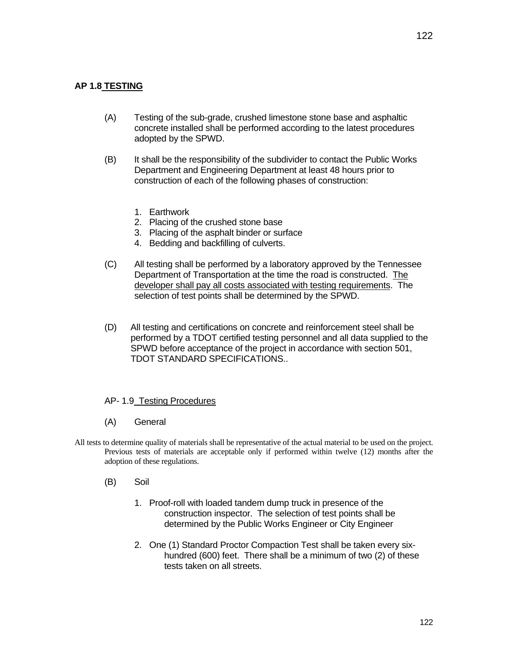# **AP 1.8 TESTING**

- (A) Testing of the sub-grade, crushed limestone stone base and asphaltic concrete installed shall be performed according to the latest procedures adopted by the SPWD.
- (B) It shall be the responsibility of the subdivider to contact the Public Works Department and Engineering Department at least 48 hours prior to construction of each of the following phases of construction:
	- 1. Earthwork
	- 2. Placing of the crushed stone base
	- 3. Placing of the asphalt binder or surface
	- 4. Bedding and backfilling of culverts.
- (C) All testing shall be performed by a laboratory approved by the Tennessee Department of Transportation at the time the road is constructed. The developer shall pay all costs associated with testing requirements. The selection of test points shall be determined by the SPWD.
- (D) All testing and certifications on concrete and reinforcement steel shall be performed by a TDOT certified testing personnel and all data supplied to the SPWD before acceptance of the project in accordance with section 501, TDOT STANDARD SPECIFICATIONS..

### AP- 1.9 Testing Procedures

- (A) General
- All tests to determine quality of materials shall be representative of the actual material to be used on the project. Previous tests of materials are acceptable only if performed within twelve (12) months after the adoption of these regulations.
	- (B) Soil
		- 1. Proof-roll with loaded tandem dump truck in presence of the construction inspector. The selection of test points shall be determined by the Public Works Engineer or City Engineer
		- 2. One (1) Standard Proctor Compaction Test shall be taken every sixhundred (600) feet. There shall be a minimum of two (2) of these tests taken on all streets.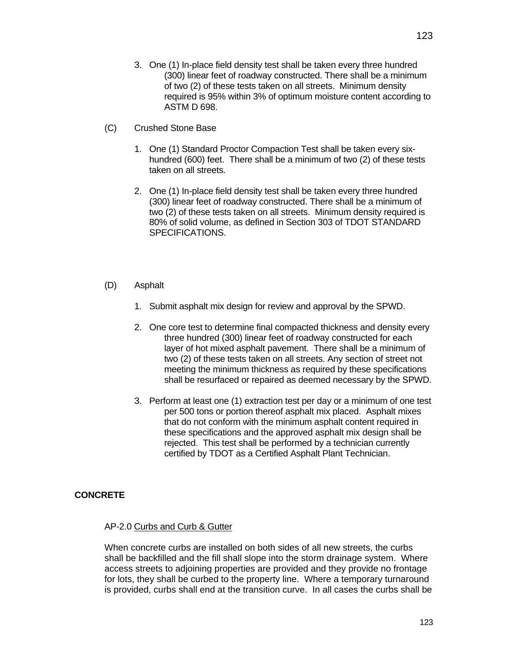- 3. One (1) In-place field density test shall be taken every three hundred (300) linear feet of roadway constructed. There shall be a minimum of two (2) of these tests taken on all streets. Minimum density required is 95% within 3% of optimum moisture content according to ASTM D 698.
- (C) Crushed Stone Base
	- 1. One (1) Standard Proctor Compaction Test shall be taken every sixhundred (600) feet. There shall be a minimum of two (2) of these tests taken on all streets.
	- 2. One (1) In-place field density test shall be taken every three hundred (300) linear feet of roadway constructed. There shall be a minimum of two (2) of these tests taken on all streets. Minimum density required is 80% of solid volume, as defined in Section 303 of TDOT STANDARD SPECIFICATIONS.
- (D) Asphalt
	- 1. Submit asphalt mix design for review and approval by the SPWD.
	- 2. One core test to determine final compacted thickness and density every three hundred (300) linear feet of roadway constructed for each layer of hot mixed asphalt pavement. There shall be a minimum of two (2) of these tests taken on all streets. Any section of street not meeting the minimum thickness as required by these specifications shall be resurfaced or repaired as deemed necessary by the SPWD.
	- 3. Perform at least one (1) extraction test per day or a minimum of one test per 500 tons or portion thereof asphalt mix placed. Asphalt mixes that do not conform with the minimum asphalt content required in these specifications and the approved asphalt mix design shall be rejected. This test shall be performed by a technician currently certified by TDOT as a Certified Asphalt Plant Technician.

### **CONCRETE**

#### AP-2.0 Curbs and Curb & Gutter

When concrete curbs are installed on both sides of all new streets, the curbs shall be backfilled and the fill shall slope into the storm drainage system. Where access streets to adjoining properties are provided and they provide no frontage for lots, they shall be curbed to the property line. Where a temporary turnaround is provided, curbs shall end at the transition curve. In all cases the curbs shall be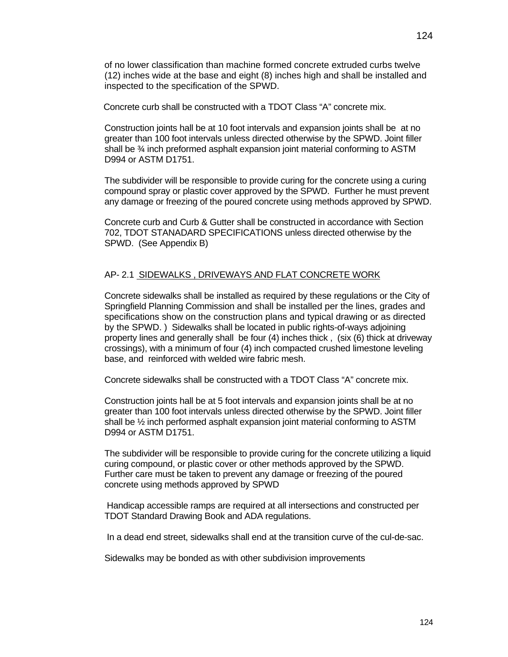of no lower classification than machine formed concrete extruded curbs twelve (12) inches wide at the base and eight (8) inches high and shall be installed and inspected to the specification of the SPWD.

Concrete curb shall be constructed with a TDOT Class "A" concrete mix.

Construction joints hall be at 10 foot intervals and expansion joints shall be at no greater than 100 foot intervals unless directed otherwise by the SPWD. Joint filler shall be ¾ inch preformed asphalt expansion joint material conforming to ASTM D994 or ASTM D1751.

The subdivider will be responsible to provide curing for the concrete using a curing compound spray or plastic cover approved by the SPWD. Further he must prevent any damage or freezing of the poured concrete using methods approved by SPWD.

Concrete curb and Curb & Gutter shall be constructed in accordance with Section 702, TDOT STANADARD SPECIFICATIONS unless directed otherwise by the SPWD. (See Appendix B)

#### AP- 2.1 SIDEWALKS , DRIVEWAYS AND FLAT CONCRETE WORK

Concrete sidewalks shall be installed as required by these regulations or the City of Springfield Planning Commission and shall be installed per the lines, grades and specifications show on the construction plans and typical drawing or as directed by the SPWD. ) Sidewalks shall be located in public rights-of-ways adjoining property lines and generally shall be four (4) inches thick , (six (6) thick at driveway crossings), with a minimum of four (4) inch compacted crushed limestone leveling base, and reinforced with welded wire fabric mesh.

Concrete sidewalks shall be constructed with a TDOT Class "A" concrete mix.

Construction joints hall be at 5 foot intervals and expansion joints shall be at no greater than 100 foot intervals unless directed otherwise by the SPWD. Joint filler shall be ½ inch performed asphalt expansion joint material conforming to ASTM D994 or ASTM D1751.

The subdivider will be responsible to provide curing for the concrete utilizing a liquid curing compound, or plastic cover or other methods approved by the SPWD. Further care must be taken to prevent any damage or freezing of the poured concrete using methods approved by SPWD

 Handicap accessible ramps are required at all intersections and constructed per TDOT Standard Drawing Book and ADA regulations.

In a dead end street, sidewalks shall end at the transition curve of the cul-de-sac.

Sidewalks may be bonded as with other subdivision improvements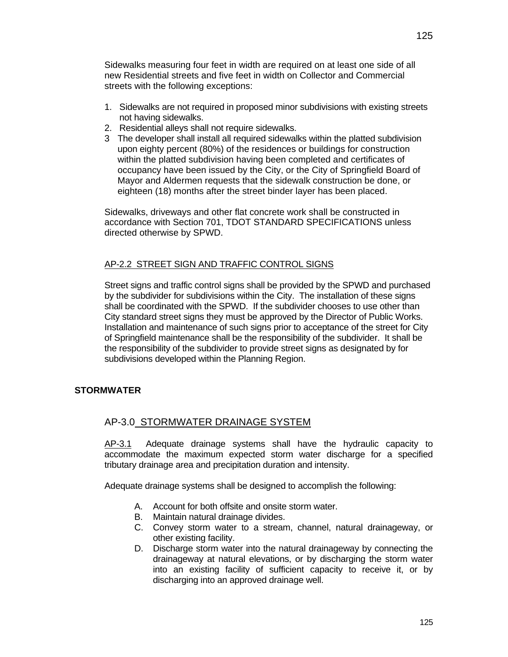Sidewalks measuring four feet in width are required on at least one side of all new Residential streets and five feet in width on Collector and Commercial streets with the following exceptions:

- 1. Sidewalks are not required in proposed minor subdivisions with existing streets not having sidewalks.
- 2. Residential alleys shall not require sidewalks.
- 3 The developer shall install all required sidewalks within the platted subdivision upon eighty percent (80%) of the residences or buildings for construction within the platted subdivision having been completed and certificates of occupancy have been issued by the City, or the City of Springfield Board of Mayor and Aldermen requests that the sidewalk construction be done, or eighteen (18) months after the street binder layer has been placed.

Sidewalks, driveways and other flat concrete work shall be constructed in accordance with Section 701, TDOT STANDARD SPECIFICATIONS unless directed otherwise by SPWD.

## AP-2.2 STREET SIGN AND TRAFFIC CONTROL SIGNS

Street signs and traffic control signs shall be provided by the SPWD and purchased by the subdivider for subdivisions within the City. The installation of these signs shall be coordinated with the SPWD. If the subdivider chooses to use other than City standard street signs they must be approved by the Director of Public Works. Installation and maintenance of such signs prior to acceptance of the street for City of Springfield maintenance shall be the responsibility of the subdivider. It shall be the responsibility of the subdivider to provide street signs as designated by for subdivisions developed within the Planning Region.

# **STORMWATER**

# AP-3.0 STORMWATER DRAINAGE SYSTEM

AP-3.1 Adequate drainage systems shall have the hydraulic capacity to accommodate the maximum expected storm water discharge for a specified tributary drainage area and precipitation duration and intensity.

Adequate drainage systems shall be designed to accomplish the following:

- A. Account for both offsite and onsite storm water.
- B. Maintain natural drainage divides.
- C. Convey storm water to a stream, channel, natural drainageway, or other existing facility.
- D. Discharge storm water into the natural drainageway by connecting the drainageway at natural elevations, or by discharging the storm water into an existing facility of sufficient capacity to receive it, or by discharging into an approved drainage well.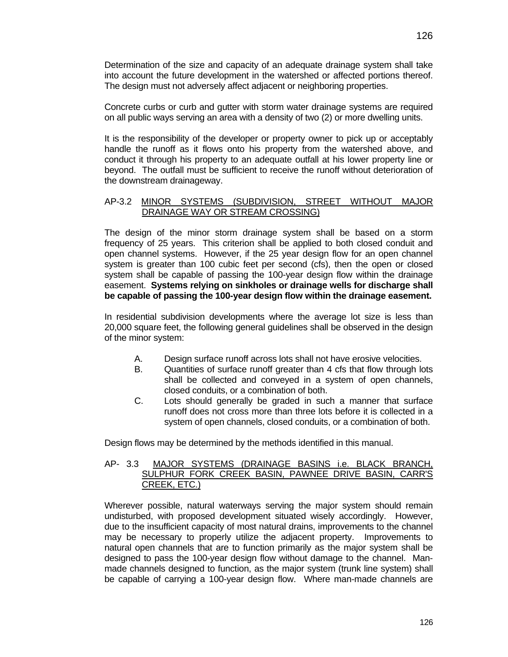126

Determination of the size and capacity of an adequate drainage system shall take into account the future development in the watershed or affected portions thereof. The design must not adversely affect adjacent or neighboring properties.

Concrete curbs or curb and gutter with storm water drainage systems are required on all public ways serving an area with a density of two (2) or more dwelling units.

It is the responsibility of the developer or property owner to pick up or acceptably handle the runoff as it flows onto his property from the watershed above, and conduct it through his property to an adequate outfall at his lower property line or beyond. The outfall must be sufficient to receive the runoff without deterioration of the downstream drainageway.

### AP-3.2 MINOR SYSTEMS (SUBDIVISION, STREET WITHOUT MAJOR DRAINAGE WAY OR STREAM CROSSING)

The design of the minor storm drainage system shall be based on a storm frequency of 25 years. This criterion shall be applied to both closed conduit and open channel systems. However, if the 25 year design flow for an open channel system is greater than 100 cubic feet per second (cfs), then the open or closed system shall be capable of passing the 100-year design flow within the drainage easement. **Systems relying on sinkholes or drainage wells for discharge shall be capable of passing the 100-year design flow within the drainage easement.** 

In residential subdivision developments where the average lot size is less than 20,000 square feet, the following general guidelines shall be observed in the design of the minor system:

- A. Design surface runoff across lots shall not have erosive velocities.
- B. Quantities of surface runoff greater than 4 cfs that flow through lots shall be collected and conveyed in a system of open channels, closed conduits, or a combination of both.
- C. Lots should generally be graded in such a manner that surface runoff does not cross more than three lots before it is collected in a system of open channels, closed conduits, or a combination of both.

Design flows may be determined by the methods identified in this manual.

### AP- 3.3 MAJOR SYSTEMS (DRAINAGE BASINS i.e. BLACK BRANCH, SULPHUR FORK CREEK BASIN, PAWNEE DRIVE BASIN, CARR'S CREEK, ETC.)

Wherever possible, natural waterways serving the major system should remain undisturbed, with proposed development situated wisely accordingly. However, due to the insufficient capacity of most natural drains, improvements to the channel may be necessary to properly utilize the adjacent property. Improvements to natural open channels that are to function primarily as the major system shall be designed to pass the 100-year design flow without damage to the channel. Manmade channels designed to function, as the major system (trunk line system) shall be capable of carrying a 100-year design flow. Where man-made channels are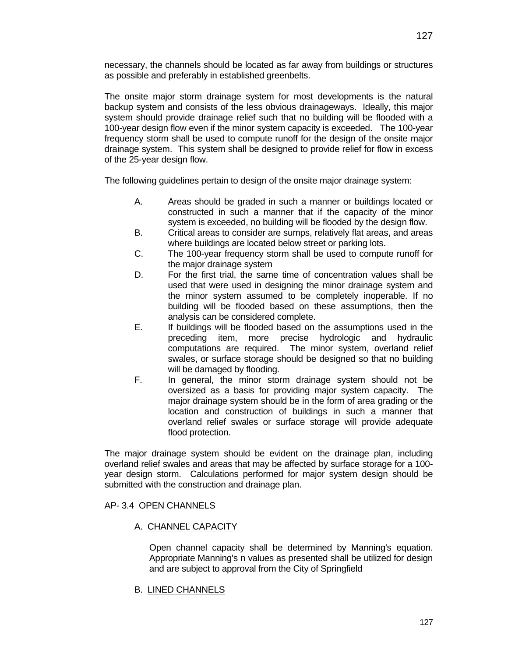necessary, the channels should be located as far away from buildings or structures as possible and preferably in established greenbelts.

The onsite major storm drainage system for most developments is the natural backup system and consists of the less obvious drainageways. Ideally, this major system should provide drainage relief such that no building will be flooded with a 100-year design flow even if the minor system capacity is exceeded. The 100-year frequency storm shall be used to compute runoff for the design of the onsite major drainage system. This system shall be designed to provide relief for flow in excess of the 25-year design flow.

The following guidelines pertain to design of the onsite major drainage system:

- A. Areas should be graded in such a manner or buildings located or constructed in such a manner that if the capacity of the minor system is exceeded, no building will be flooded by the design flow.
- B. Critical areas to consider are sumps, relatively flat areas, and areas where buildings are located below street or parking lots.
- C. The 100-year frequency storm shall be used to compute runoff for the major drainage system
- D. For the first trial, the same time of concentration values shall be used that were used in designing the minor drainage system and the minor system assumed to be completely inoperable. If no building will be flooded based on these assumptions, then the analysis can be considered complete.
- E. If buildings will be flooded based on the assumptions used in the preceding item, more precise hydrologic and hydraulic computations are required. The minor system, overland relief swales, or surface storage should be designed so that no building will be damaged by flooding.
- F. In general, the minor storm drainage system should not be oversized as a basis for providing major system capacity. The major drainage system should be in the form of area grading or the location and construction of buildings in such a manner that overland relief swales or surface storage will provide adequate flood protection.

The major drainage system should be evident on the drainage plan, including overland relief swales and areas that may be affected by surface storage for a 100 year design storm. Calculations performed for major system design should be submitted with the construction and drainage plan.

### AP- 3.4 OPEN CHANNELS

### A. CHANNEL CAPACITY

Open channel capacity shall be determined by Manning's equation. Appropriate Manning's n values as presented shall be utilized for design and are subject to approval from the City of Springfield

#### B. LINED CHANNELS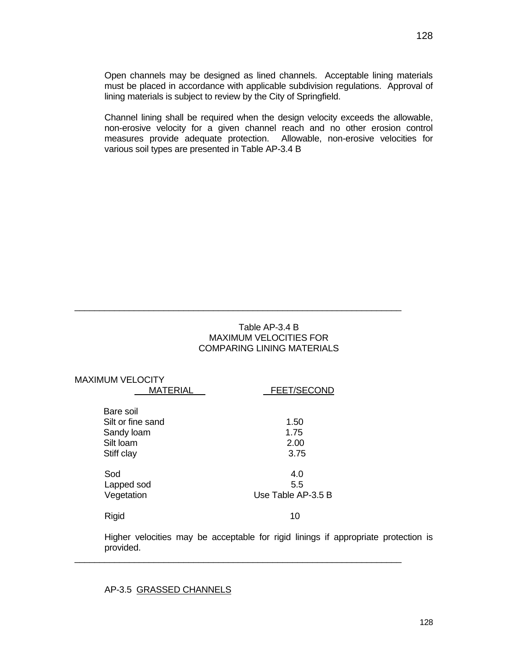Open channels may be designed as lined channels. Acceptable lining materials must be placed in accordance with applicable subdivision regulations. Approval of lining materials is subject to review by the City of Springfield.

Channel lining shall be required when the design velocity exceeds the allowable, non-erosive velocity for a given channel reach and no other erosion control measures provide adequate protection. Allowable, non-erosive velocities for various soil types are presented in Table AP-3.4 B

### Table AP-3.4 B MAXIMUM VELOCITIES FOR COMPARING LINING MATERIALS

\_\_\_\_\_\_\_\_\_\_\_\_\_\_\_\_\_\_\_\_\_\_\_\_\_\_\_\_\_\_\_\_\_\_\_\_\_\_\_\_\_\_\_\_\_\_\_\_\_\_\_\_\_\_\_\_\_\_\_\_\_\_\_\_\_\_

| <b>MAXIMUM VELOCITY</b><br><b>MATERIAL</b>                              | FEET/SECOND                      |
|-------------------------------------------------------------------------|----------------------------------|
| Bare soil<br>Silt or fine sand<br>Sandy loam<br>Silt loam<br>Stiff clay | 1.50<br>1.75<br>2.00<br>3.75     |
| Sod<br>Lapped sod<br>Vegetation                                         | 4.0<br>5.5<br>Use Table AP-3.5 B |
| Rigid                                                                   | 10                               |

Higher velocities may be acceptable for rigid linings if appropriate protection is provided.

\_\_\_\_\_\_\_\_\_\_\_\_\_\_\_\_\_\_\_\_\_\_\_\_\_\_\_\_\_\_\_\_\_\_\_\_\_\_\_\_\_\_\_\_\_\_\_\_\_\_\_\_\_\_\_\_\_\_\_\_\_\_\_\_\_\_

AP-3.5 GRASSED CHANNELS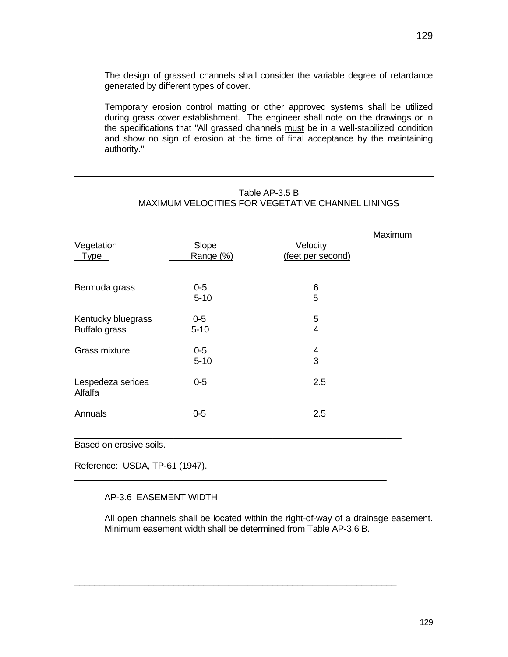Temporary erosion control matting or other approved systems shall be utilized during grass cover establishment. The engineer shall note on the drawings or in the specifications that "All grassed channels must be in a well-stabilized condition and show no sign of erosion at the time of final acceptance by the maintaining authority."

| Vegetation<br><b>Type</b>                  | Slope<br>Range (%) | Velocity<br>(feet per second) | Maximum |
|--------------------------------------------|--------------------|-------------------------------|---------|
| Bermuda grass                              | $0-5$<br>$5 - 10$  | 6<br>5                        |         |
| Kentucky bluegrass<br><b>Buffalo grass</b> | $0-5$<br>$5 - 10$  | 5<br>$\overline{4}$           |         |
| Grass mixture                              | $0-5$<br>$5 - 10$  | 4<br>3                        |         |
| Lespedeza sericea<br>Alfalfa               | $0 - 5$            | 2.5                           |         |
| Annuals                                    | $0 - 5$            | 2.5                           |         |

\_\_\_\_\_\_\_\_\_\_\_\_\_\_\_\_\_\_\_\_\_\_\_\_\_\_\_\_\_\_\_\_\_\_\_\_\_\_\_\_\_\_\_\_\_\_\_\_\_\_\_\_\_\_\_\_\_\_\_\_\_\_\_

\_\_\_\_\_\_\_\_\_\_\_\_\_\_\_\_\_\_\_\_\_\_\_\_\_\_\_\_\_\_\_\_\_\_\_\_\_\_\_\_\_\_\_\_\_\_\_\_\_\_\_\_\_\_\_\_\_\_\_\_\_\_\_\_\_

MAXIMUM VELOCITIES FOR VEGETATIVE CHANNEL LININGS

Table AP-3.5 B

Based on erosive soils.

Reference: USDA, TP-61 (1947).

# AP-3.6 EASEMENT WIDTH

All open channels shall be located within the right-of-way of a drainage easement. Minimum easement width shall be determined from Table AP-3.6 B.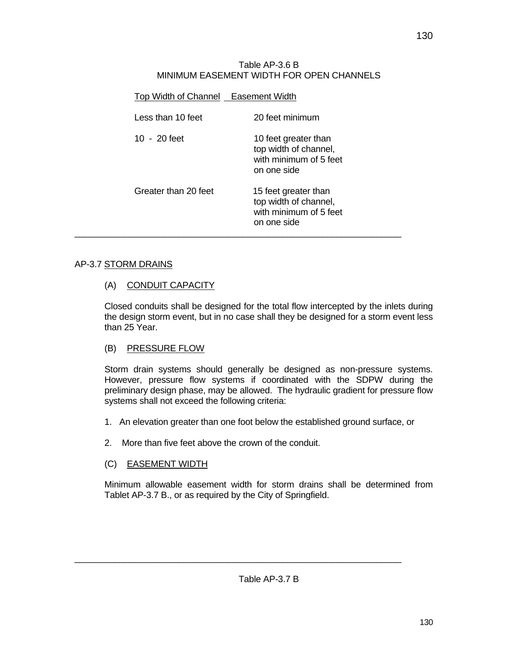### Table AP-3.6 B MINIMUM EASEMENT WIDTH FOR OPEN CHANNELS

| Top Width of Channel Easement Width |                                                                                        |
|-------------------------------------|----------------------------------------------------------------------------------------|
| Less than 10 feet                   | 20 feet minimum                                                                        |
| 10 $-20$ feet                       | 10 feet greater than<br>top width of channel,<br>with minimum of 5 feet<br>on one side |
| Greater than 20 feet                | 15 feet greater than<br>top width of channel,<br>with minimum of 5 feet<br>on one side |

# AP-3.7 STORM DRAINS

# (A) CONDUIT CAPACITY

Closed conduits shall be designed for the total flow intercepted by the inlets during the design storm event, but in no case shall they be designed for a storm event less than 25 Year.

# (B) PRESSURE FLOW

Storm drain systems should generally be designed as non-pressure systems. However, pressure flow systems if coordinated with the SDPW during the preliminary design phase, may be allowed. The hydraulic gradient for pressure flow systems shall not exceed the following criteria:

- 1. An elevation greater than one foot below the established ground surface, or
- 2. More than five feet above the crown of the conduit.

# (C) EASEMENT WIDTH

Minimum allowable easement width for storm drains shall be determined from Tablet AP-3.7 B., or as required by the City of Springfield.

\_\_\_\_\_\_\_\_\_\_\_\_\_\_\_\_\_\_\_\_\_\_\_\_\_\_\_\_\_\_\_\_\_\_\_\_\_\_\_\_\_\_\_\_\_\_\_\_\_\_\_\_\_\_\_\_\_\_\_\_\_\_\_\_\_\_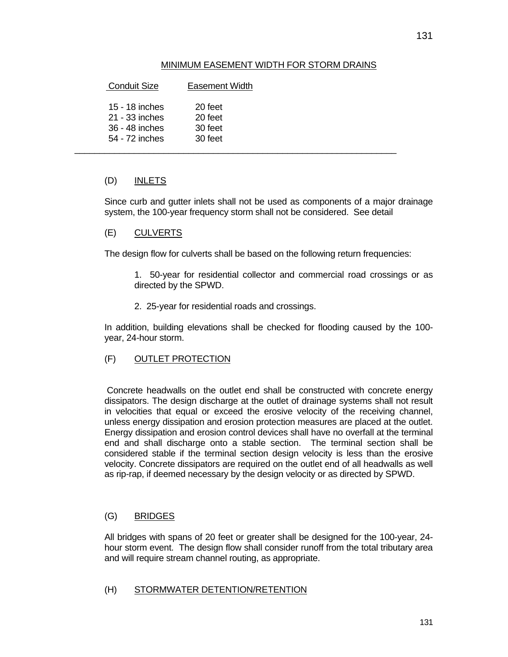### MINIMUM EASEMENT WIDTH FOR STORM DRAINS

| <b>Conduit Size</b>                                                  | Easement Width                           |  |
|----------------------------------------------------------------------|------------------------------------------|--|
| 15 - 18 inches<br>21 - 33 inches<br>36 - 48 inches<br>54 - 72 inches | 20 feet<br>20 feet<br>30 feet<br>30 feet |  |

## (D) INLETS

Since curb and gutter inlets shall not be used as components of a major drainage system, the 100-year frequency storm shall not be considered. See detail

### (E) CULVERTS

The design flow for culverts shall be based on the following return frequencies:

1. 50-year for residential collector and commercial road crossings or as directed by the SPWD.

2. 25-year for residential roads and crossings.

In addition, building elevations shall be checked for flooding caused by the 100 year, 24-hour storm.

### (F) OUTLET PROTECTION

 Concrete headwalls on the outlet end shall be constructed with concrete energy dissipators. The design discharge at the outlet of drainage systems shall not result in velocities that equal or exceed the erosive velocity of the receiving channel, unless energy dissipation and erosion protection measures are placed at the outlet. Energy dissipation and erosion control devices shall have no overfall at the terminal end and shall discharge onto a stable section. The terminal section shall be considered stable if the terminal section design velocity is less than the erosive velocity. Concrete dissipators are required on the outlet end of all headwalls as well as rip-rap, if deemed necessary by the design velocity or as directed by SPWD.

### (G) BRIDGES

All bridges with spans of 20 feet or greater shall be designed for the 100-year, 24 hour storm event. The design flow shall consider runoff from the total tributary area and will require stream channel routing, as appropriate.

### (H) STORMWATER DETENTION/RETENTION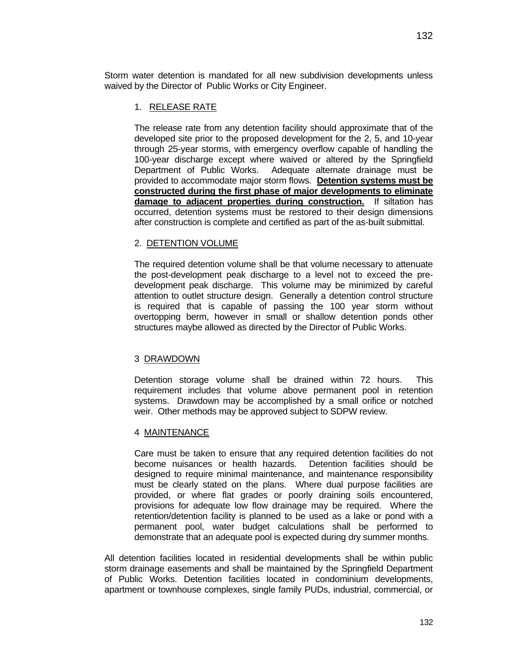Storm water detention is mandated for all new subdivision developments unless waived by the Director of Public Works or City Engineer.

### 1. RELEASE RATE

The release rate from any detention facility should approximate that of the developed site prior to the proposed development for the 2, 5, and 10-year through 25-year storms, with emergency overflow capable of handling the 100-year discharge except where waived or altered by the Springfield Department of Public Works. Adequate alternate drainage must be provided to accommodate major storm flows. **Detention systems must be constructed during the first phase of major developments to eliminate damage to adjacent properties during construction.** If siltation has occurred, detention systems must be restored to their design dimensions after construction is complete and certified as part of the as-built submittal.

### 2. DETENTION VOLUME

The required detention volume shall be that volume necessary to attenuate the post-development peak discharge to a level not to exceed the predevelopment peak discharge. This volume may be minimized by careful attention to outlet structure design. Generally a detention control structure is required that is capable of passing the 100 year storm without overtopping berm, however in small or shallow detention ponds other structures maybe allowed as directed by the Director of Public Works.

### 3 DRAWDOWN

Detention storage volume shall be drained within 72 hours. This requirement includes that volume above permanent pool in retention systems. Drawdown may be accomplished by a small orifice or notched weir. Other methods may be approved subject to SDPW review.

#### 4 MAINTENANCE

Care must be taken to ensure that any required detention facilities do not become nuisances or health hazards. Detention facilities should be designed to require minimal maintenance, and maintenance responsibility must be clearly stated on the plans. Where dual purpose facilities are provided, or where flat grades or poorly draining soils encountered, provisions for adequate low flow drainage may be required. Where the retention/detention facility is planned to be used as a lake or pond with a permanent pool, water budget calculations shall be performed to demonstrate that an adequate pool is expected during dry summer months.

All detention facilities located in residential developments shall be within public storm drainage easements and shall be maintained by the Springfield Department of Public Works. Detention facilities located in condominium developments, apartment or townhouse complexes, single family PUDs, industrial, commercial, or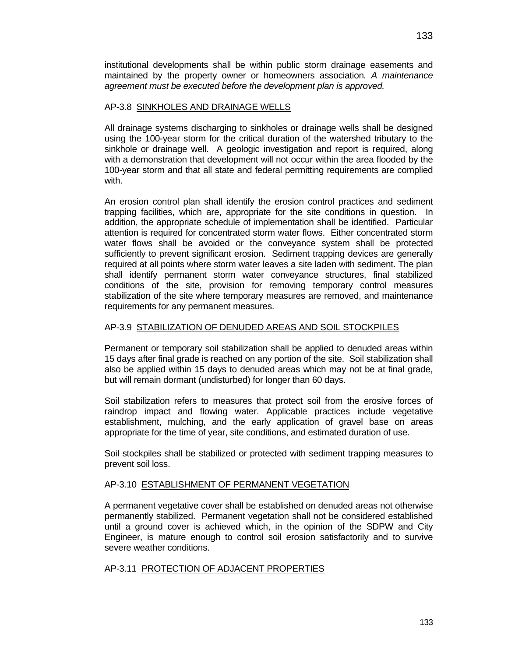institutional developments shall be within public storm drainage easements and maintained by the property owner or homeowners association*. A maintenance agreement must be executed before the development plan is approved.* 

### AP-3.8 SINKHOLES AND DRAINAGE WELLS

All drainage systems discharging to sinkholes or drainage wells shall be designed using the 100-year storm for the critical duration of the watershed tributary to the sinkhole or drainage well. A geologic investigation and report is required, along with a demonstration that development will not occur within the area flooded by the 100-year storm and that all state and federal permitting requirements are complied with.

An erosion control plan shall identify the erosion control practices and sediment trapping facilities, which are, appropriate for the site conditions in question. In addition, the appropriate schedule of implementation shall be identified. Particular attention is required for concentrated storm water flows. Either concentrated storm water flows shall be avoided or the conveyance system shall be protected sufficiently to prevent significant erosion. Sediment trapping devices are generally required at all points where storm water leaves a site laden with sediment. The plan shall identify permanent storm water conveyance structures, final stabilized conditions of the site, provision for removing temporary control measures stabilization of the site where temporary measures are removed, and maintenance requirements for any permanent measures.

### AP-3.9 STABILIZATION OF DENUDED AREAS AND SOIL STOCKPILES

Permanent or temporary soil stabilization shall be applied to denuded areas within 15 days after final grade is reached on any portion of the site. Soil stabilization shall also be applied within 15 days to denuded areas which may not be at final grade, but will remain dormant (undisturbed) for longer than 60 days.

Soil stabilization refers to measures that protect soil from the erosive forces of raindrop impact and flowing water. Applicable practices include vegetative establishment, mulching, and the early application of gravel base on areas appropriate for the time of year, site conditions, and estimated duration of use.

Soil stockpiles shall be stabilized or protected with sediment trapping measures to prevent soil loss.

#### AP-3.10 ESTABLISHMENT OF PERMANENT VEGETATION

A permanent vegetative cover shall be established on denuded areas not otherwise permanently stabilized. Permanent vegetation shall not be considered established until a ground cover is achieved which, in the opinion of the SDPW and City Engineer, is mature enough to control soil erosion satisfactorily and to survive severe weather conditions.

#### AP-3.11 PROTECTION OF ADJACENT PROPERTIES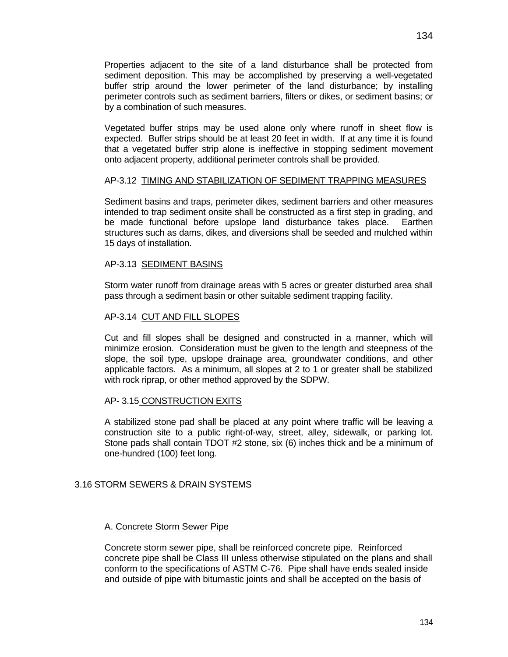Properties adjacent to the site of a land disturbance shall be protected from sediment deposition. This may be accomplished by preserving a well-vegetated buffer strip around the lower perimeter of the land disturbance; by installing perimeter controls such as sediment barriers, filters or dikes, or sediment basins; or by a combination of such measures.

Vegetated buffer strips may be used alone only where runoff in sheet flow is expected. Buffer strips should be at least 20 feet in width. If at any time it is found that a vegetated buffer strip alone is ineffective in stopping sediment movement onto adjacent property, additional perimeter controls shall be provided.

#### AP-3.12 TIMING AND STABILIZATION OF SEDIMENT TRAPPING MEASURES

Sediment basins and traps, perimeter dikes, sediment barriers and other measures intended to trap sediment onsite shall be constructed as a first step in grading, and be made functional before upslope land disturbance takes place. Earthen structures such as dams, dikes, and diversions shall be seeded and mulched within 15 days of installation.

#### AP-3.13 SEDIMENT BASINS

Storm water runoff from drainage areas with 5 acres or greater disturbed area shall pass through a sediment basin or other suitable sediment trapping facility.

#### AP-3.14 CUT AND FILL SLOPES

Cut and fill slopes shall be designed and constructed in a manner, which will minimize erosion. Consideration must be given to the length and steepness of the slope, the soil type, upslope drainage area, groundwater conditions, and other applicable factors. As a minimum, all slopes at 2 to 1 or greater shall be stabilized with rock riprap, or other method approved by the SDPW.

#### AP- 3.15 CONSTRUCTION EXITS

A stabilized stone pad shall be placed at any point where traffic will be leaving a construction site to a public right-of-way, street, alley, sidewalk, or parking lot. Stone pads shall contain TDOT #2 stone, six (6) inches thick and be a minimum of one-hundred (100) feet long.

#### 3.16 STORM SEWERS & DRAIN SYSTEMS

#### A. Concrete Storm Sewer Pipe

Concrete storm sewer pipe, shall be reinforced concrete pipe. Reinforced concrete pipe shall be Class III unless otherwise stipulated on the plans and shall conform to the specifications of ASTM C-76. Pipe shall have ends sealed inside and outside of pipe with bitumastic joints and shall be accepted on the basis of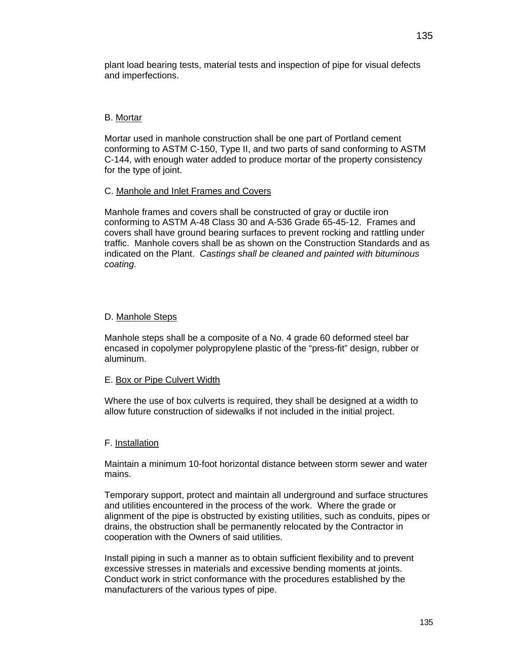plant load bearing tests, material tests and inspection of pipe for visual defects and imperfections.

### B. Mortar

Mortar used in manhole construction shall be one part of Portland cement conforming to ASTM C-150, Type II, and two parts of sand conforming to ASTM C-144, with enough water added to produce mortar of the property consistency for the type of joint.

### C. Manhole and Inlet Frames and Covers

Manhole frames and covers shall be constructed of gray or ductile iron conforming to ASTM A-48 Class 30 and A-536 Grade 65-45-12. Frames and covers shall have ground bearing surfaces to prevent rocking and rattling under traffic. Manhole covers shall be as shown on the Construction Standards and as indicated on the Plant. *Castings shall be cleaned and painted with bituminous coating.* 

### D. Manhole Steps

Manhole steps shall be a composite of a No. 4 grade 60 deformed steel bar encased in copolymer polypropylene plastic of the "press-fit" design, rubber or aluminum.

#### E. Box or Pipe Culvert Width

Where the use of box culverts is required, they shall be designed at a width to allow future construction of sidewalks if not included in the initial project.

#### F. Installation

Maintain a minimum 10-foot horizontal distance between storm sewer and water mains.

Temporary support, protect and maintain all underground and surface structures and utilities encountered in the process of the work. Where the grade or alignment of the pipe is obstructed by existing utilities, such as conduits, pipes or drains, the obstruction shall be permanently relocated by the Contractor in cooperation with the Owners of said utilities.

Install piping in such a manner as to obtain sufficient flexibility and to prevent excessive stresses in materials and excessive bending moments at joints. Conduct work in strict conformance with the procedures established by the manufacturers of the various types of pipe.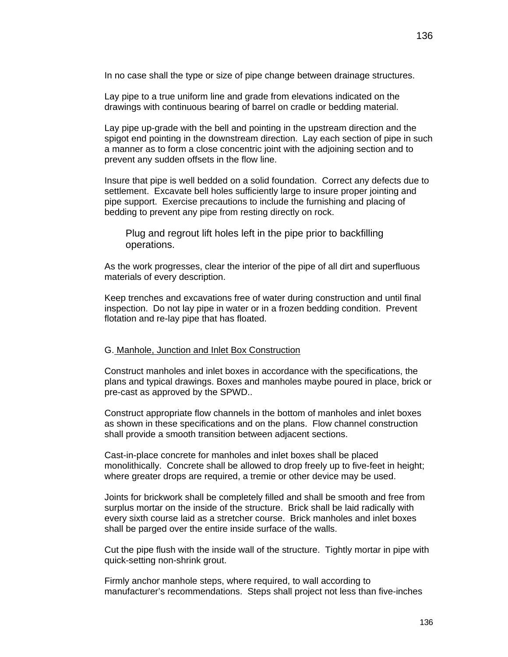Lay pipe to a true uniform line and grade from elevations indicated on the drawings with continuous bearing of barrel on cradle or bedding material.

Lay pipe up-grade with the bell and pointing in the upstream direction and the spigot end pointing in the downstream direction. Lay each section of pipe in such a manner as to form a close concentric joint with the adjoining section and to prevent any sudden offsets in the flow line.

Insure that pipe is well bedded on a solid foundation. Correct any defects due to settlement. Excavate bell holes sufficiently large to insure proper jointing and pipe support. Exercise precautions to include the furnishing and placing of bedding to prevent any pipe from resting directly on rock.

Plug and regrout lift holes left in the pipe prior to backfilling operations.

As the work progresses, clear the interior of the pipe of all dirt and superfluous materials of every description.

Keep trenches and excavations free of water during construction and until final inspection. Do not lay pipe in water or in a frozen bedding condition. Prevent flotation and re-lay pipe that has floated.

#### G. Manhole, Junction and Inlet Box Construction

Construct manholes and inlet boxes in accordance with the specifications, the plans and typical drawings. Boxes and manholes maybe poured in place, brick or pre-cast as approved by the SPWD..

Construct appropriate flow channels in the bottom of manholes and inlet boxes as shown in these specifications and on the plans. Flow channel construction shall provide a smooth transition between adjacent sections.

Cast-in-place concrete for manholes and inlet boxes shall be placed monolithically. Concrete shall be allowed to drop freely up to five-feet in height; where greater drops are required, a tremie or other device may be used.

Joints for brickwork shall be completely filled and shall be smooth and free from surplus mortar on the inside of the structure. Brick shall be laid radically with every sixth course laid as a stretcher course. Brick manholes and inlet boxes shall be parged over the entire inside surface of the walls.

Cut the pipe flush with the inside wall of the structure. Tightly mortar in pipe with quick-setting non-shrink grout.

Firmly anchor manhole steps, where required, to wall according to manufacturer's recommendations. Steps shall project not less than five-inches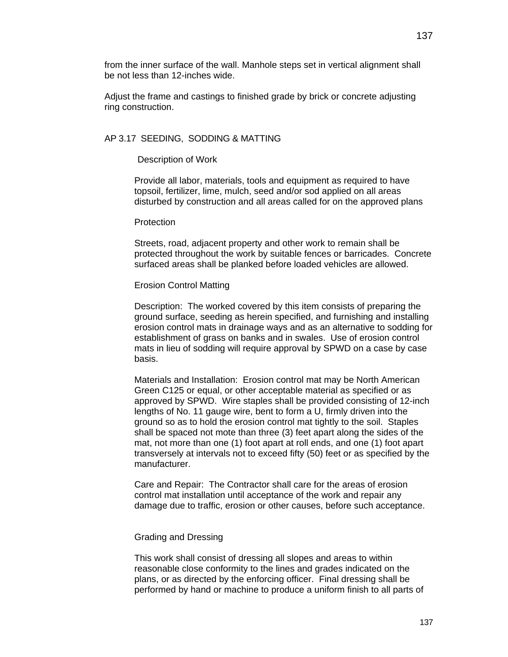from the inner surface of the wall. Manhole steps set in vertical alignment shall be not less than 12-inches wide.

Adjust the frame and castings to finished grade by brick or concrete adjusting ring construction.

### AP 3.17 SEEDING, SODDING & MATTING

### Description of Work

Provide all labor, materials, tools and equipment as required to have topsoil, fertilizer, lime, mulch, seed and/or sod applied on all areas disturbed by construction and all areas called for on the approved plans

#### **Protection**

Streets, road, adjacent property and other work to remain shall be protected throughout the work by suitable fences or barricades. Concrete surfaced areas shall be planked before loaded vehicles are allowed.

### Erosion Control Matting

Description: The worked covered by this item consists of preparing the ground surface, seeding as herein specified, and furnishing and installing erosion control mats in drainage ways and as an alternative to sodding for establishment of grass on banks and in swales. Use of erosion control mats in lieu of sodding will require approval by SPWD on a case by case basis.

Materials and Installation: Erosion control mat may be North American Green C125 or equal, or other acceptable material as specified or as approved by SPWD. Wire staples shall be provided consisting of 12-inch lengths of No. 11 gauge wire, bent to form a U, firmly driven into the ground so as to hold the erosion control mat tightly to the soil. Staples shall be spaced not mote than three (3) feet apart along the sides of the mat, not more than one (1) foot apart at roll ends, and one (1) foot apart transversely at intervals not to exceed fifty (50) feet or as specified by the manufacturer.

Care and Repair: The Contractor shall care for the areas of erosion control mat installation until acceptance of the work and repair any damage due to traffic, erosion or other causes, before such acceptance.

#### Grading and Dressing

This work shall consist of dressing all slopes and areas to within reasonable close conformity to the lines and grades indicated on the plans, or as directed by the enforcing officer. Final dressing shall be performed by hand or machine to produce a uniform finish to all parts of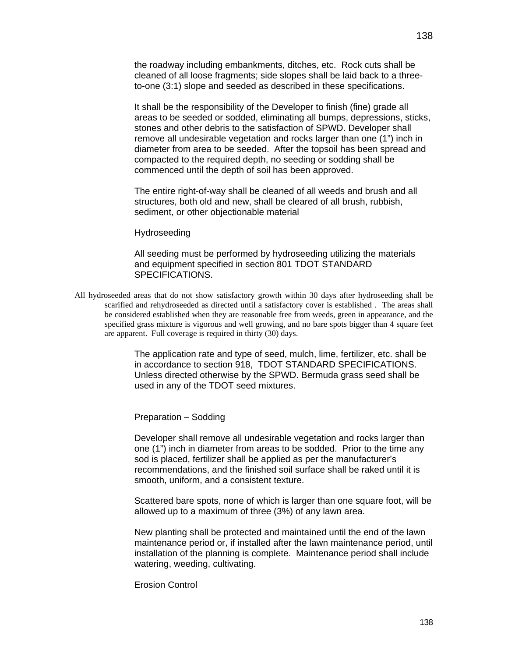the roadway including embankments, ditches, etc. Rock cuts shall be cleaned of all loose fragments; side slopes shall be laid back to a threeto-one (3:1) slope and seeded as described in these specifications.

It shall be the responsibility of the Developer to finish (fine) grade all areas to be seeded or sodded, eliminating all bumps, depressions, sticks, stones and other debris to the satisfaction of SPWD. Developer shall remove all undesirable vegetation and rocks larger than one (1") inch in diameter from area to be seeded. After the topsoil has been spread and compacted to the required depth, no seeding or sodding shall be commenced until the depth of soil has been approved.

The entire right-of-way shall be cleaned of all weeds and brush and all structures, both old and new, shall be cleared of all brush, rubbish, sediment, or other objectionable material

#### Hydroseeding

All seeding must be performed by hydroseeding utilizing the materials and equipment specified in section 801 TDOT STANDARD SPECIFICATIONS.

All hydroseeded areas that do not show satisfactory growth within 30 days after hydroseeding shall be scarified and rehydroseeded as directed until a satisfactory cover is established . The areas shall be considered established when they are reasonable free from weeds, green in appearance, and the specified grass mixture is vigorous and well growing, and no bare spots bigger than 4 square feet are apparent. Full coverage is required in thirty (30) days.

> The application rate and type of seed, mulch, lime, fertilizer, etc. shall be in accordance to section 918, TDOT STANDARD SPECIFICATIONS. Unless directed otherwise by the SPWD. Bermuda grass seed shall be used in any of the TDOT seed mixtures.

Preparation – Sodding

Developer shall remove all undesirable vegetation and rocks larger than one (1") inch in diameter from areas to be sodded. Prior to the time any sod is placed, fertilizer shall be applied as per the manufacturer's recommendations, and the finished soil surface shall be raked until it is smooth, uniform, and a consistent texture.

Scattered bare spots, none of which is larger than one square foot, will be allowed up to a maximum of three (3%) of any lawn area.

New planting shall be protected and maintained until the end of the lawn maintenance period or, if installed after the lawn maintenance period, until installation of the planning is complete. Maintenance period shall include watering, weeding, cultivating.

Erosion Control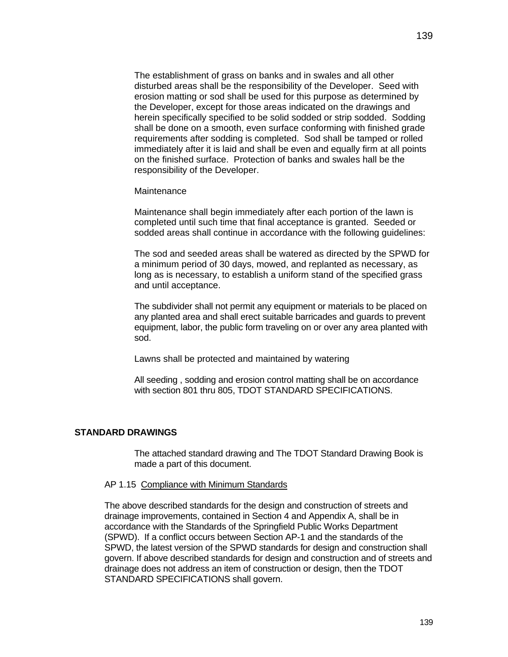The establishment of grass on banks and in swales and all other disturbed areas shall be the responsibility of the Developer. Seed with erosion matting or sod shall be used for this purpose as determined by the Developer, except for those areas indicated on the drawings and herein specifically specified to be solid sodded or strip sodded. Sodding shall be done on a smooth, even surface conforming with finished grade requirements after sodding is completed. Sod shall be tamped or rolled immediately after it is laid and shall be even and equally firm at all points on the finished surface. Protection of banks and swales hall be the responsibility of the Developer.

#### **Maintenance**

Maintenance shall begin immediately after each portion of the lawn is completed until such time that final acceptance is granted. Seeded or sodded areas shall continue in accordance with the following guidelines:

The sod and seeded areas shall be watered as directed by the SPWD for a minimum period of 30 days, mowed, and replanted as necessary, as long as is necessary, to establish a uniform stand of the specified grass and until acceptance.

The subdivider shall not permit any equipment or materials to be placed on any planted area and shall erect suitable barricades and guards to prevent equipment, labor, the public form traveling on or over any area planted with sod.

Lawns shall be protected and maintained by watering

All seeding , sodding and erosion control matting shall be on accordance with section 801 thru 805, TDOT STANDARD SPECIFICATIONS.

#### **STANDARD DRAWINGS**

The attached standard drawing and The TDOT Standard Drawing Book is made a part of this document.

#### AP 1.15 Compliance with Minimum Standards

The above described standards for the design and construction of streets and drainage improvements, contained in Section 4 and Appendix A, shall be in accordance with the Standards of the Springfield Public Works Department (SPWD). If a conflict occurs between Section AP-1 and the standards of the SPWD, the latest version of the SPWD standards for design and construction shall govern. If above described standards for design and construction and of streets and drainage does not address an item of construction or design, then the TDOT STANDARD SPECIFICATIONS shall govern.